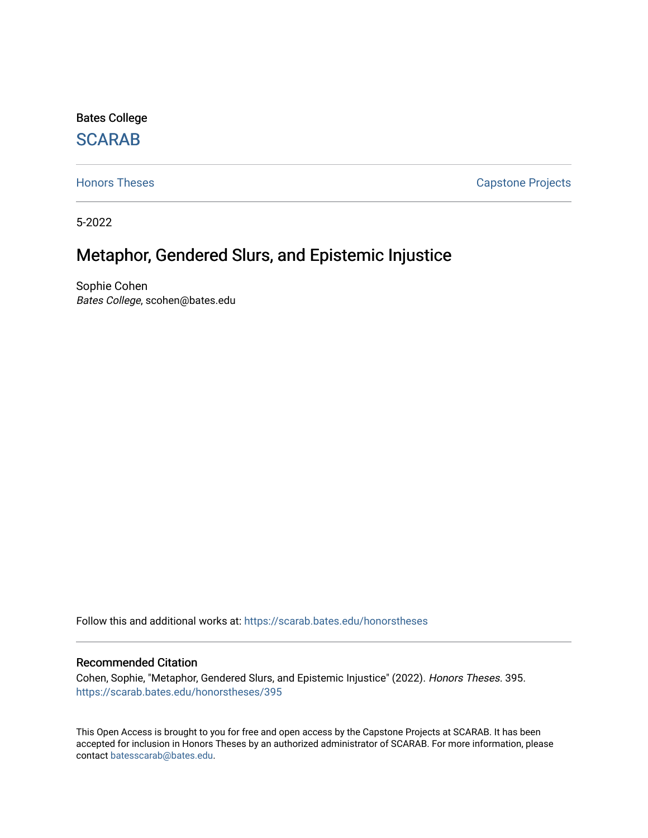Bates College

## **SCARAB**

[Honors Theses](https://scarab.bates.edu/honorstheses) **Capstone Projects** 

5-2022

# Metaphor, Gendered Slurs, and Epistemic Injustice

Sophie Cohen Bates College, scohen@bates.edu

Follow this and additional works at: [https://scarab.bates.edu/honorstheses](https://scarab.bates.edu/honorstheses?utm_source=scarab.bates.edu%2Fhonorstheses%2F395&utm_medium=PDF&utm_campaign=PDFCoverPages) 

#### Recommended Citation

Cohen, Sophie, "Metaphor, Gendered Slurs, and Epistemic Injustice" (2022). Honors Theses. 395. [https://scarab.bates.edu/honorstheses/395](https://scarab.bates.edu/honorstheses/395?utm_source=scarab.bates.edu%2Fhonorstheses%2F395&utm_medium=PDF&utm_campaign=PDFCoverPages) 

This Open Access is brought to you for free and open access by the Capstone Projects at SCARAB. It has been accepted for inclusion in Honors Theses by an authorized administrator of SCARAB. For more information, please contact [batesscarab@bates.edu](mailto:batesscarab@bates.edu).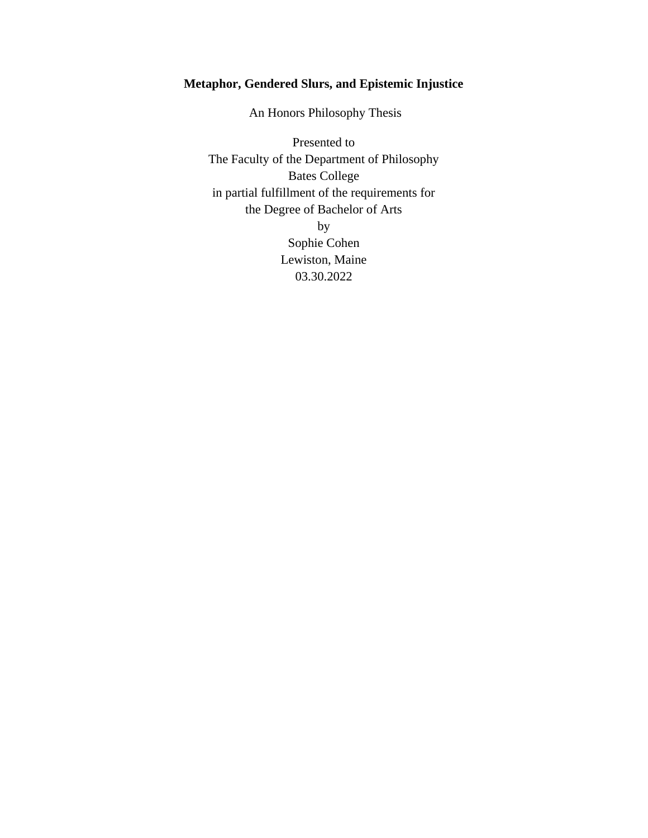## **Metaphor, Gendered Slurs, and Epistemic Injustice**

An Honors Philosophy Thesis

Presented to The Faculty of the Department of Philosophy Bates College in partial fulfillment of the requirements for the Degree of Bachelor of Arts by Sophie Cohen Lewiston, Maine 03.30.2022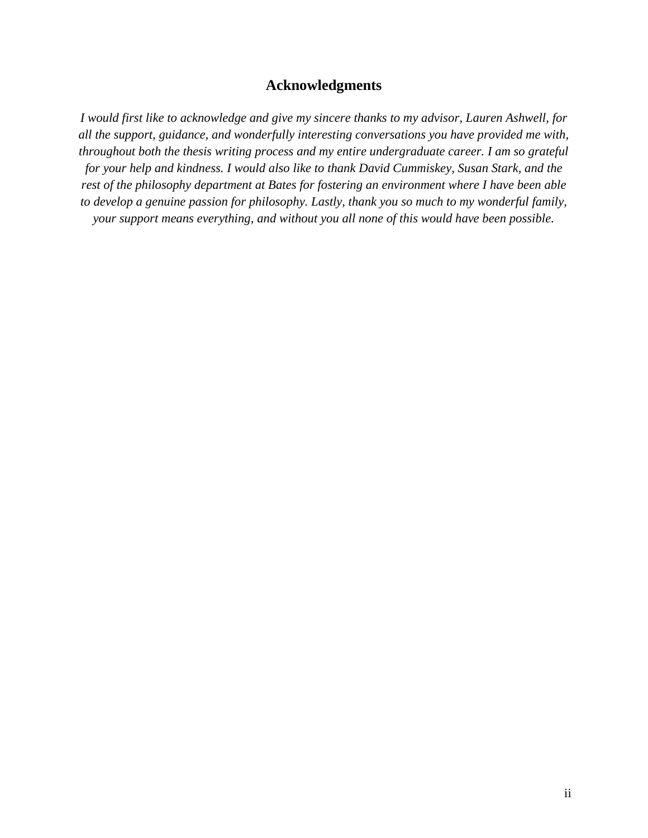## **Acknowledgments**

<span id="page-2-0"></span>*I would first like to acknowledge and give my sincere thanks to my advisor, Lauren Ashwell, for all the support, guidance, and wonderfully interesting conversations you have provided me with, throughout both the thesis writing process and my entire undergraduate career. I am so grateful for your help and kindness. I would also like to thank David Cummiskey, Susan Stark, and the rest of the philosophy department at Bates for fostering an environment where I have been able to develop a genuine passion for philosophy. Lastly, thank you so much to my wonderful family, your support means everything, and without you all none of this would have been possible.*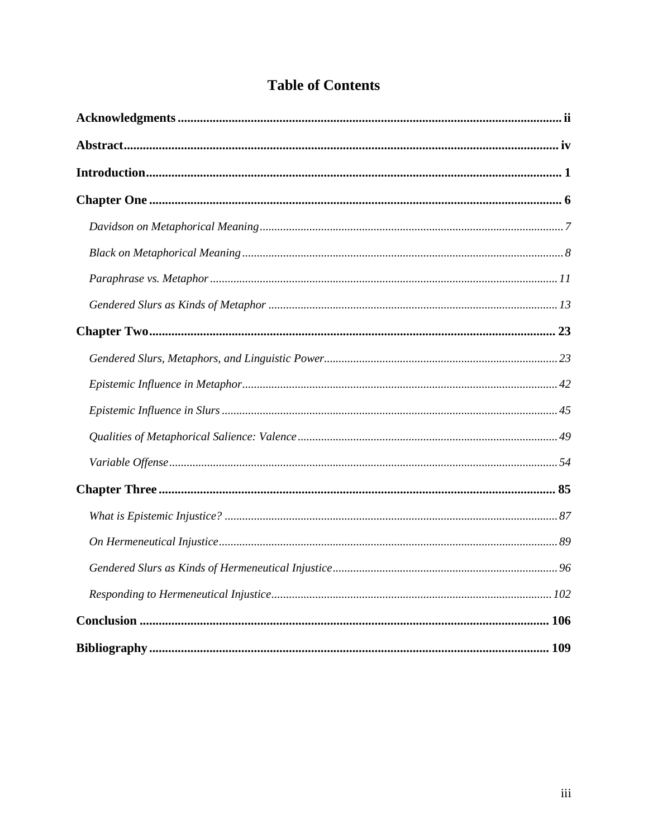|  | <b>Table of Contents</b> |
|--|--------------------------|
|  |                          |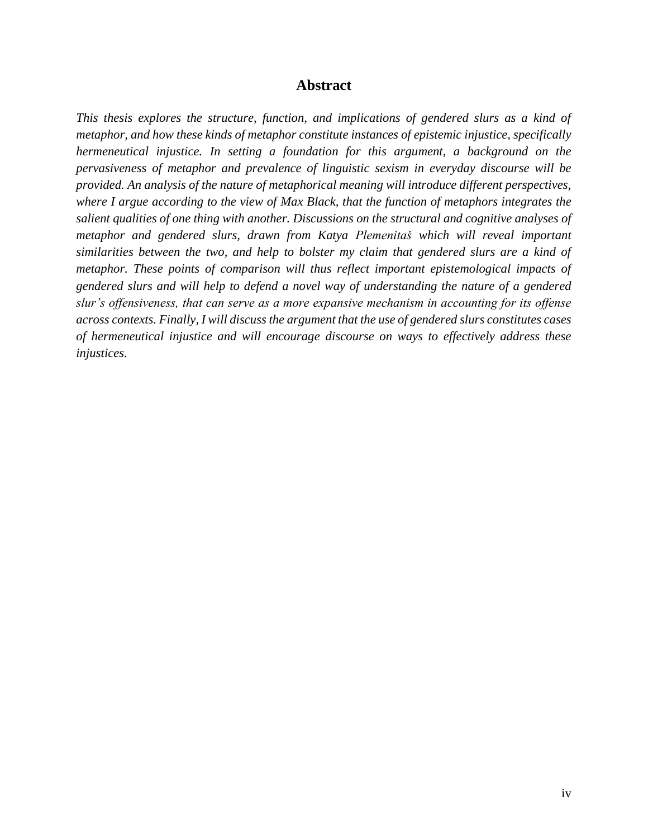#### **Abstract**

<span id="page-4-0"></span>*This thesis explores the structure, function, and implications of gendered slurs as a kind of metaphor, and how these kinds of metaphor constitute instances of epistemic injustice, specifically hermeneutical injustice. In setting a foundation for this argument, a background on the pervasiveness of metaphor and prevalence of linguistic sexism in everyday discourse will be provided. An analysis of the nature of metaphorical meaning will introduce different perspectives, where I argue according to the view of Max Black, that the function of metaphors integrates the salient qualities of one thing with another. Discussions on the structural and cognitive analyses of metaphor and gendered slurs, drawn from Katya Plemenitaš which will reveal important similarities between the two, and help to bolster my claim that gendered slurs are a kind of metaphor. These points of comparison will thus reflect important epistemological impacts of gendered slurs and will help to defend a novel way of understanding the nature of a gendered slur's offensiveness, that can serve as a more expansive mechanism in accounting for its offense across contexts. Finally, I will discuss the argument that the use of gendered slurs constitutes cases of hermeneutical injustice and will encourage discourse on ways to effectively address these injustices.*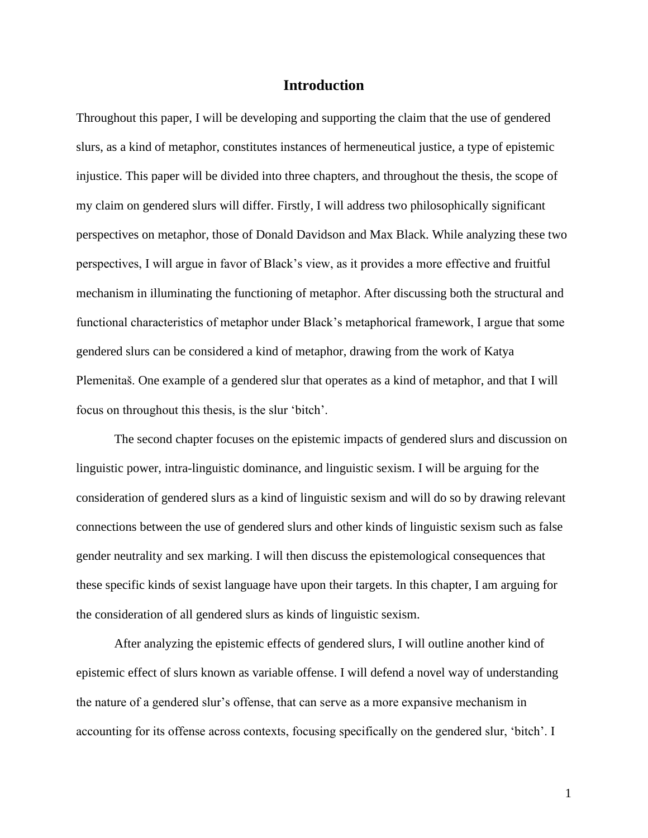#### **Introduction**

<span id="page-5-0"></span>Throughout this paper, I will be developing and supporting the claim that the use of gendered slurs, as a kind of metaphor, constitutes instances of hermeneutical justice, a type of epistemic injustice. This paper will be divided into three chapters, and throughout the thesis, the scope of my claim on gendered slurs will differ. Firstly, I will address two philosophically significant perspectives on metaphor, those of Donald Davidson and Max Black. While analyzing these two perspectives, I will argue in favor of Black's view, as it provides a more effective and fruitful mechanism in illuminating the functioning of metaphor. After discussing both the structural and functional characteristics of metaphor under Black's metaphorical framework, I argue that some gendered slurs can be considered a kind of metaphor, drawing from the work of Katya Plemenitaš. One example of a gendered slur that operates as a kind of metaphor, and that I will focus on throughout this thesis, is the slur 'bitch'.

The second chapter focuses on the epistemic impacts of gendered slurs and discussion on linguistic power, intra-linguistic dominance, and linguistic sexism. I will be arguing for the consideration of gendered slurs as a kind of linguistic sexism and will do so by drawing relevant connections between the use of gendered slurs and other kinds of linguistic sexism such as false gender neutrality and sex marking. I will then discuss the epistemological consequences that these specific kinds of sexist language have upon their targets. In this chapter, I am arguing for the consideration of all gendered slurs as kinds of linguistic sexism.

After analyzing the epistemic effects of gendered slurs, I will outline another kind of epistemic effect of slurs known as variable offense. I will defend a novel way of understanding the nature of a gendered slur's offense, that can serve as a more expansive mechanism in accounting for its offense across contexts, focusing specifically on the gendered slur, 'bitch'. I

1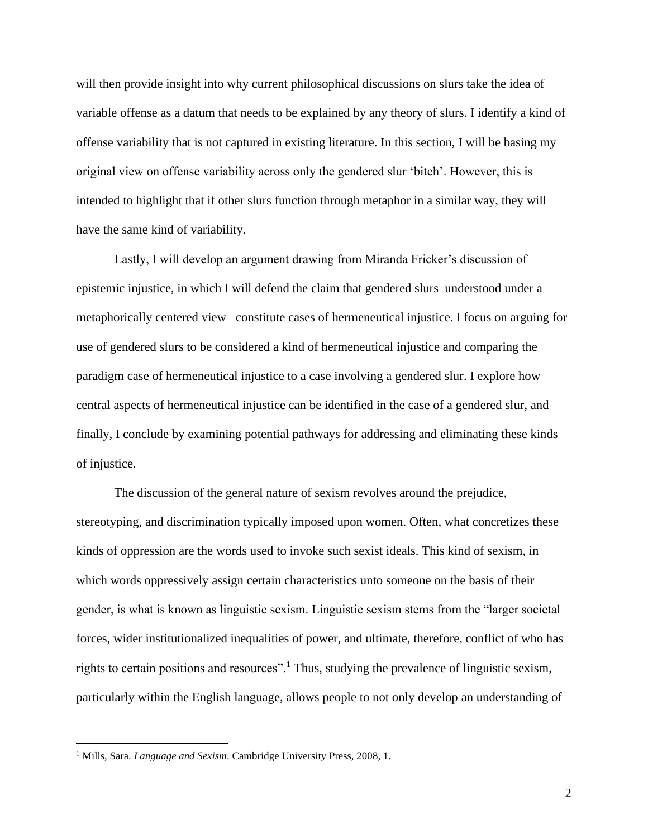will then provide insight into why current philosophical discussions on slurs take the idea of variable offense as a datum that needs to be explained by any theory of slurs. I identify a kind of offense variability that is not captured in existing literature. In this section, I will be basing my original view on offense variability across only the gendered slur 'bitch'. However, this is intended to highlight that if other slurs function through metaphor in a similar way, they will have the same kind of variability.

Lastly, I will develop an argument drawing from Miranda Fricker's discussion of epistemic injustice, in which I will defend the claim that gendered slurs–understood under a metaphorically centered view– constitute cases of hermeneutical injustice. I focus on arguing for use of gendered slurs to be considered a kind of hermeneutical injustice and comparing the paradigm case of hermeneutical injustice to a case involving a gendered slur. I explore how central aspects of hermeneutical injustice can be identified in the case of a gendered slur, and finally, I conclude by examining potential pathways for addressing and eliminating these kinds of injustice.

The discussion of the general nature of sexism revolves around the prejudice, stereotyping, and discrimination typically imposed upon women. Often, what concretizes these kinds of oppression are the words used to invoke such sexist ideals. This kind of sexism, in which words oppressively assign certain characteristics unto someone on the basis of their gender, is what is known as linguistic sexism. Linguistic sexism stems from the "larger societal forces, wider institutionalized inequalities of power, and ultimate, therefore, conflict of who has rights to certain positions and resources".<sup>1</sup> Thus, studying the prevalence of linguistic sexism, particularly within the English language, allows people to not only develop an understanding of

<sup>1</sup> Mills, Sara. *Language and Sexism*. Cambridge University Press, 2008, 1.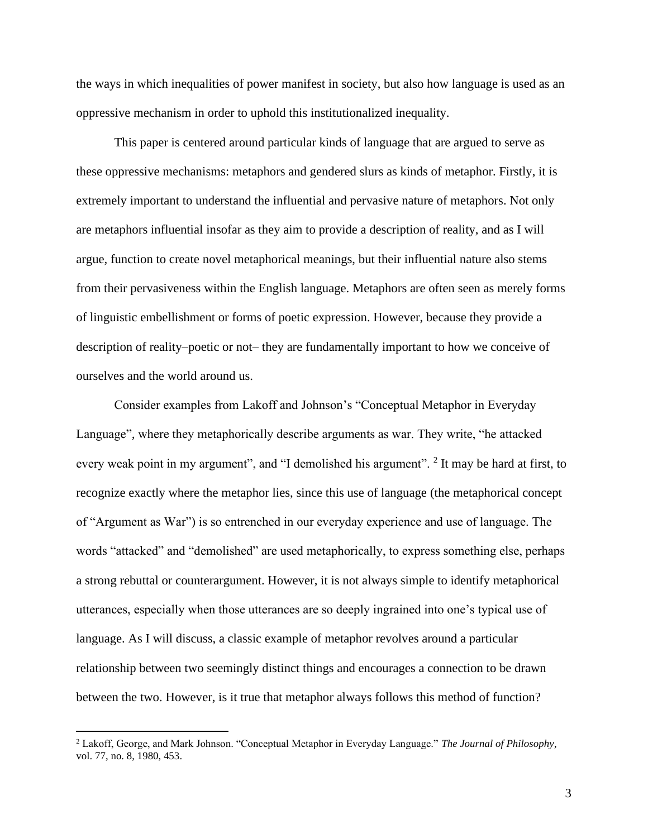the ways in which inequalities of power manifest in society, but also how language is used as an oppressive mechanism in order to uphold this institutionalized inequality.

This paper is centered around particular kinds of language that are argued to serve as these oppressive mechanisms: metaphors and gendered slurs as kinds of metaphor. Firstly, it is extremely important to understand the influential and pervasive nature of metaphors. Not only are metaphors influential insofar as they aim to provide a description of reality, and as I will argue, function to create novel metaphorical meanings, but their influential nature also stems from their pervasiveness within the English language. Metaphors are often seen as merely forms of linguistic embellishment or forms of poetic expression. However, because they provide a description of reality–poetic or not– they are fundamentally important to how we conceive of ourselves and the world around us.

Consider examples from Lakoff and Johnson's "Conceptual Metaphor in Everyday Language"*,* where they metaphorically describe arguments as war. They write, "he attacked every weak point in my argument", and "I demolished his argument". <sup>2</sup> It may be hard at first, to recognize exactly where the metaphor lies, since this use of language (the metaphorical concept of "Argument as War") is so entrenched in our everyday experience and use of language. The words "attacked" and "demolished" are used metaphorically, to express something else, perhaps a strong rebuttal or counterargument. However, it is not always simple to identify metaphorical utterances, especially when those utterances are so deeply ingrained into one's typical use of language. As I will discuss, a classic example of metaphor revolves around a particular relationship between two seemingly distinct things and encourages a connection to be drawn between the two. However, is it true that metaphor always follows this method of function?

<sup>2</sup> Lakoff, George, and Mark Johnson. "Conceptual Metaphor in Everyday Language." *The Journal of Philosophy*, vol. 77, no. 8, 1980, 453.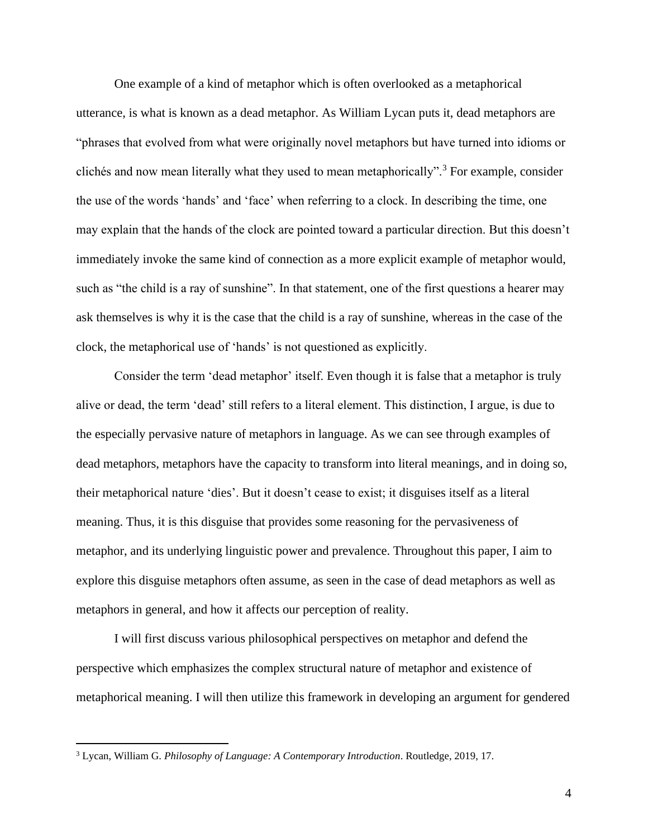One example of a kind of metaphor which is often overlooked as a metaphorical utterance, is what is known as a dead metaphor. As William Lycan puts it, dead metaphors are "phrases that evolved from what were originally novel metaphors but have turned into idioms or clichés and now mean literally what they used to mean metaphorically".<sup>3</sup> For example, consider the use of the words 'hands' and 'face' when referring to a clock. In describing the time, one may explain that the hands of the clock are pointed toward a particular direction. But this doesn't immediately invoke the same kind of connection as a more explicit example of metaphor would, such as "the child is a ray of sunshine". In that statement, one of the first questions a hearer may ask themselves is why it is the case that the child is a ray of sunshine, whereas in the case of the clock, the metaphorical use of 'hands' is not questioned as explicitly.

Consider the term 'dead metaphor' itself. Even though it is false that a metaphor is truly alive or dead, the term 'dead' still refers to a literal element. This distinction, I argue, is due to the especially pervasive nature of metaphors in language. As we can see through examples of dead metaphors, metaphors have the capacity to transform into literal meanings, and in doing so, their metaphorical nature 'dies'. But it doesn't cease to exist; it disguises itself as a literal meaning. Thus, it is this disguise that provides some reasoning for the pervasiveness of metaphor, and its underlying linguistic power and prevalence. Throughout this paper, I aim to explore this disguise metaphors often assume, as seen in the case of dead metaphors as well as metaphors in general, and how it affects our perception of reality.

I will first discuss various philosophical perspectives on metaphor and defend the perspective which emphasizes the complex structural nature of metaphor and existence of metaphorical meaning. I will then utilize this framework in developing an argument for gendered

<sup>3</sup> Lycan, William G. *Philosophy of Language: A Contemporary Introduction*. Routledge, 2019, 17.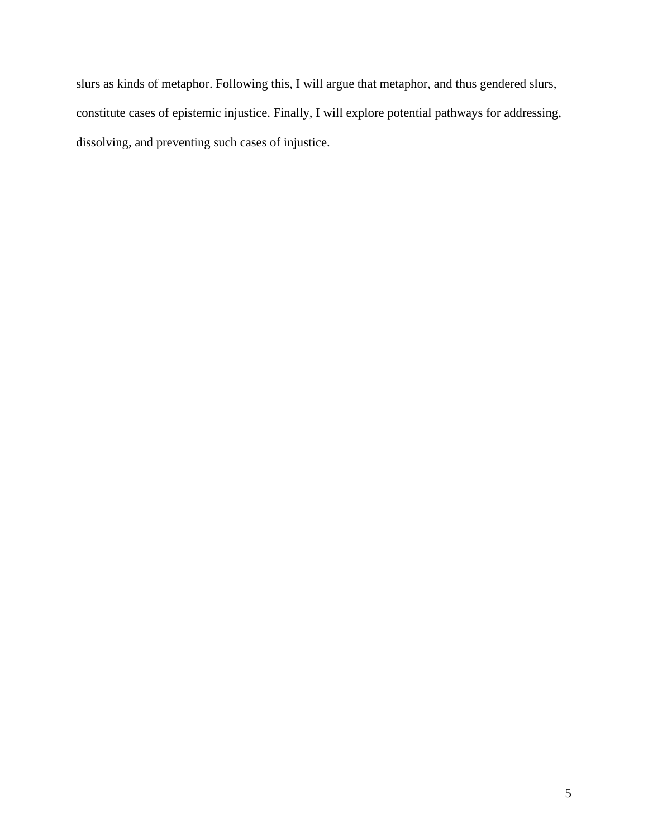slurs as kinds of metaphor. Following this, I will argue that metaphor, and thus gendered slurs, constitute cases of epistemic injustice. Finally, I will explore potential pathways for addressing, dissolving, and preventing such cases of injustice.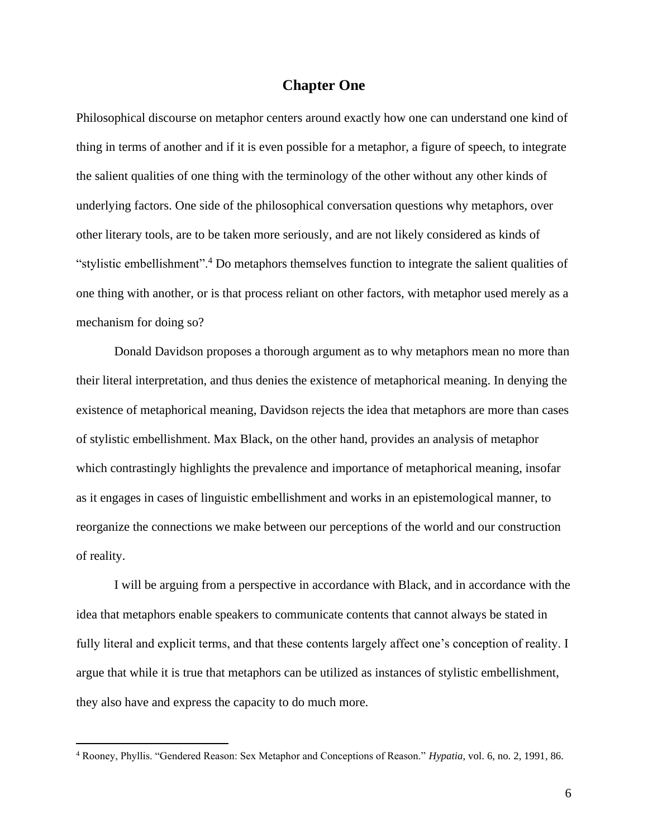#### **Chapter One**

<span id="page-10-0"></span>Philosophical discourse on metaphor centers around exactly how one can understand one kind of thing in terms of another and if it is even possible for a metaphor, a figure of speech, to integrate the salient qualities of one thing with the terminology of the other without any other kinds of underlying factors. One side of the philosophical conversation questions why metaphors, over other literary tools, are to be taken more seriously, and are not likely considered as kinds of "stylistic embellishment".<sup>4</sup> Do metaphors themselves function to integrate the salient qualities of one thing with another, or is that process reliant on other factors, with metaphor used merely as a mechanism for doing so?

Donald Davidson proposes a thorough argument as to why metaphors mean no more than their literal interpretation, and thus denies the existence of metaphorical meaning. In denying the existence of metaphorical meaning, Davidson rejects the idea that metaphors are more than cases of stylistic embellishment. Max Black, on the other hand, provides an analysis of metaphor which contrastingly highlights the prevalence and importance of metaphorical meaning, insofar as it engages in cases of linguistic embellishment and works in an epistemological manner, to reorganize the connections we make between our perceptions of the world and our construction of reality.

I will be arguing from a perspective in accordance with Black, and in accordance with the idea that metaphors enable speakers to communicate contents that cannot always be stated in fully literal and explicit terms, and that these contents largely affect one's conception of reality. I argue that while it is true that metaphors can be utilized as instances of stylistic embellishment, they also have and express the capacity to do much more.

<sup>4</sup> Rooney, Phyllis. "Gendered Reason: Sex Metaphor and Conceptions of Reason." *Hypatia*, vol. 6, no. 2, 1991, 86.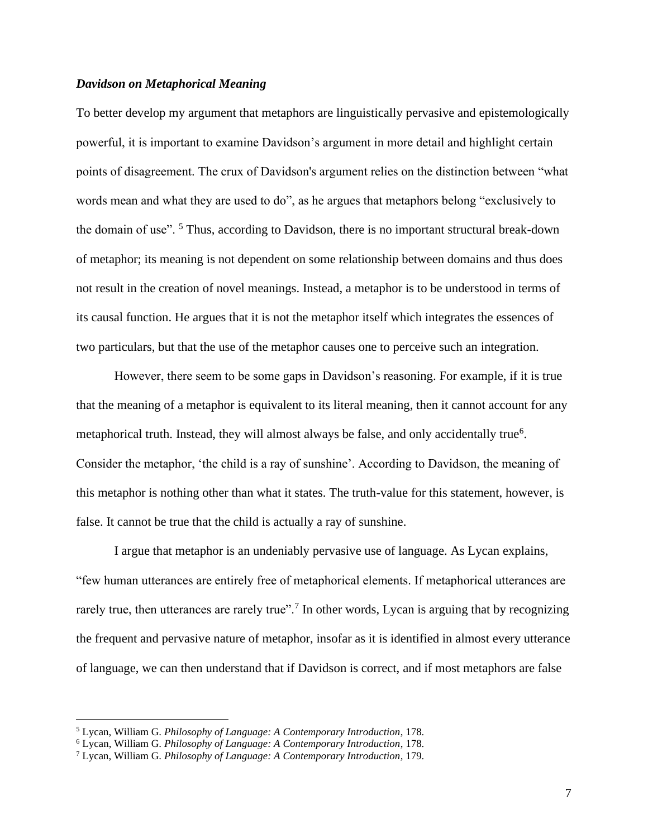#### <span id="page-11-0"></span>*Davidson on Metaphorical Meaning*

To better develop my argument that metaphors are linguistically pervasive and epistemologically powerful, it is important to examine Davidson's argument in more detail and highlight certain points of disagreement. The crux of Davidson's argument relies on the distinction between "what words mean and what they are used to do", as he argues that metaphors belong "exclusively to the domain of use". <sup>5</sup> Thus, according to Davidson, there is no important structural break-down of metaphor; its meaning is not dependent on some relationship between domains and thus does not result in the creation of novel meanings. Instead, a metaphor is to be understood in terms of its causal function. He argues that it is not the metaphor itself which integrates the essences of two particulars, but that the use of the metaphor causes one to perceive such an integration.

However, there seem to be some gaps in Davidson's reasoning. For example, if it is true that the meaning of a metaphor is equivalent to its literal meaning, then it cannot account for any metaphorical truth. Instead, they will almost always be false, and only accidentally true<sup>6</sup>. Consider the metaphor, 'the child is a ray of sunshine'. According to Davidson, the meaning of this metaphor is nothing other than what it states. The truth-value for this statement, however, is false. It cannot be true that the child is actually a ray of sunshine.

I argue that metaphor is an undeniably pervasive use of language. As Lycan explains, "few human utterances are entirely free of metaphorical elements. If metaphorical utterances are rarely true, then utterances are rarely true".<sup>7</sup> In other words, Lycan is arguing that by recognizing the frequent and pervasive nature of metaphor, insofar as it is identified in almost every utterance of language, we can then understand that if Davidson is correct, and if most metaphors are false

<sup>5</sup> Lycan, William G. *Philosophy of Language: A Contemporary Introduction*, 178.

<sup>6</sup> Lycan, William G. *Philosophy of Language: A Contemporary Introduction*, 178.

<sup>7</sup> Lycan, William G. *Philosophy of Language: A Contemporary Introduction,* 179.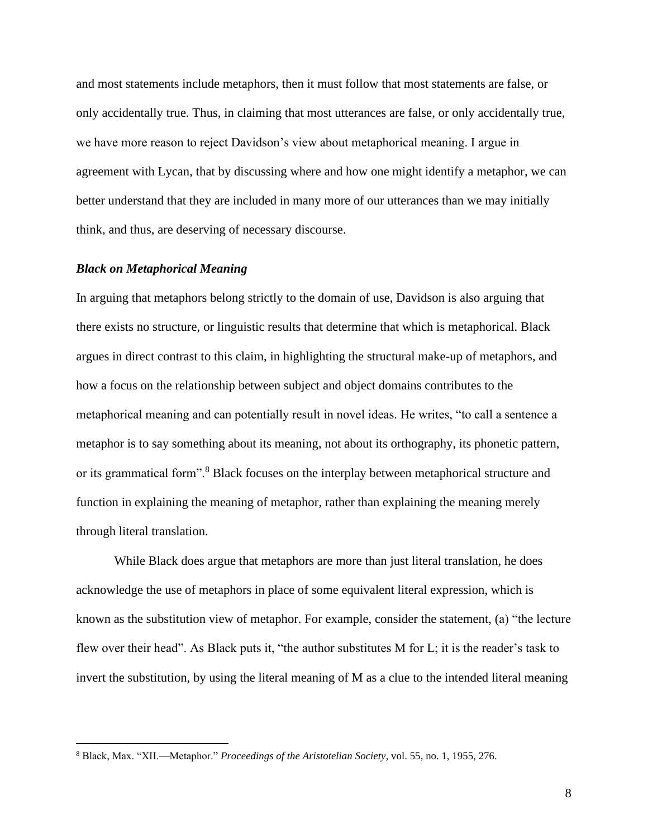and most statements include metaphors, then it must follow that most statements are false, or only accidentally true. Thus, in claiming that most utterances are false, or only accidentally true, we have more reason to reject Davidson's view about metaphorical meaning. I argue in agreement with Lycan, that by discussing where and how one might identify a metaphor, we can better understand that they are included in many more of our utterances than we may initially think, and thus, are deserving of necessary discourse.

#### <span id="page-12-0"></span>*Black on Metaphorical Meaning*

In arguing that metaphors belong strictly to the domain of use, Davidson is also arguing that there exists no structure, or linguistic results that determine that which is metaphorical. Black argues in direct contrast to this claim, in highlighting the structural make-up of metaphors, and how a focus on the relationship between subject and object domains contributes to the metaphorical meaning and can potentially result in novel ideas. He writes, "to call a sentence a metaphor is to say something about its meaning, not about its orthography, its phonetic pattern, or its grammatical form".<sup>8</sup> Black focuses on the interplay between metaphorical structure and function in explaining the meaning of metaphor, rather than explaining the meaning merely through literal translation.

While Black does argue that metaphors are more than just literal translation, he does acknowledge the use of metaphors in place of some equivalent literal expression, which is known as the substitution view of metaphor. For example, consider the statement, (a) "the lecture flew over their head". As Black puts it, "the author substitutes M for L; it is the reader's task to invert the substitution, by using the literal meaning of M as a clue to the intended literal meaning

8

<sup>8</sup> Black, Max. "XII.—Metaphor." *Proceedings of the Aristotelian Society*, vol. 55, no. 1, 1955, 276.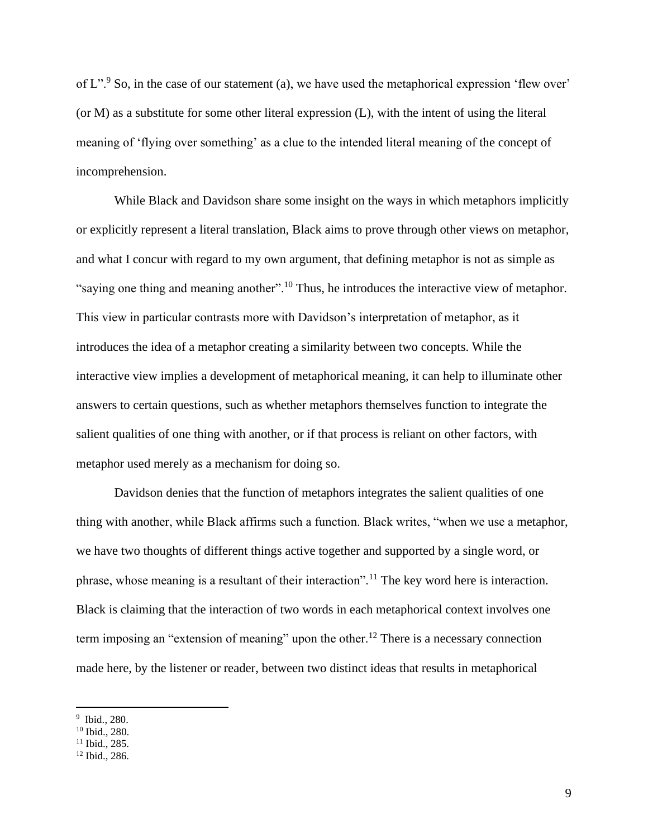of L".<sup>9</sup> So, in the case of our statement (a), we have used the metaphorical expression 'flew over' (or M) as a substitute for some other literal expression (L), with the intent of using the literal meaning of 'flying over something' as a clue to the intended literal meaning of the concept of incomprehension.

While Black and Davidson share some insight on the ways in which metaphors implicitly or explicitly represent a literal translation, Black aims to prove through other views on metaphor, and what I concur with regard to my own argument, that defining metaphor is not as simple as "saying one thing and meaning another".<sup>10</sup> Thus, he introduces the interactive view of metaphor. This view in particular contrasts more with Davidson's interpretation of metaphor, as it introduces the idea of a metaphor creating a similarity between two concepts. While the interactive view implies a development of metaphorical meaning, it can help to illuminate other answers to certain questions, such as whether metaphors themselves function to integrate the salient qualities of one thing with another, or if that process is reliant on other factors, with metaphor used merely as a mechanism for doing so.

Davidson denies that the function of metaphors integrates the salient qualities of one thing with another, while Black affirms such a function. Black writes, "when we use a metaphor, we have two thoughts of different things active together and supported by a single word, or phrase, whose meaning is a resultant of their interaction".<sup>11</sup> The key word here is interaction. Black is claiming that the interaction of two words in each metaphorical context involves one term imposing an "extension of meaning" upon the other.<sup>12</sup> There is a necessary connection made here, by the listener or reader, between two distinct ideas that results in metaphorical

<sup>9</sup> Ibid., 280.

<sup>10</sup> Ibid., 280.

 $11$  Ibid., 285.

<sup>12</sup> Ibid., 286.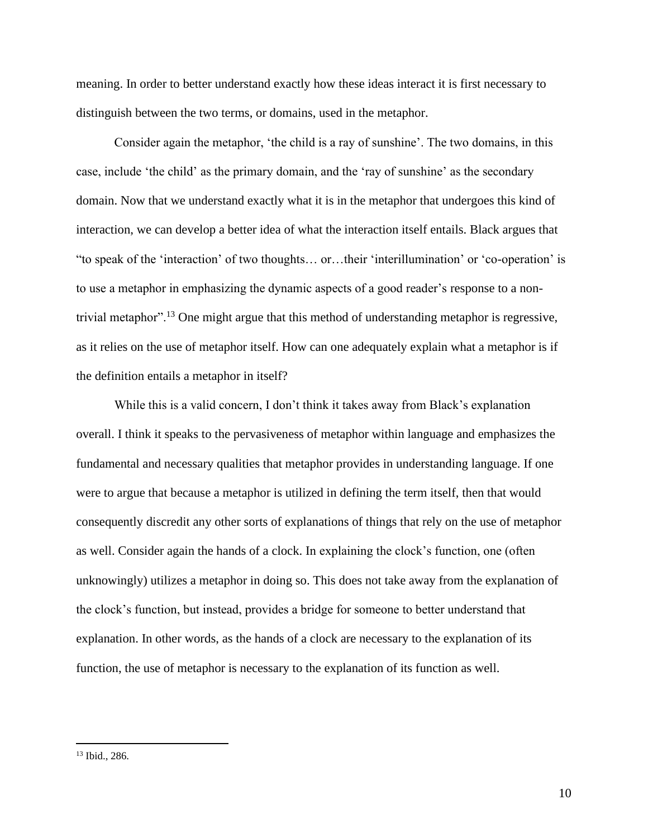meaning. In order to better understand exactly how these ideas interact it is first necessary to distinguish between the two terms, or domains, used in the metaphor.

Consider again the metaphor, 'the child is a ray of sunshine'. The two domains, in this case, include 'the child' as the primary domain, and the 'ray of sunshine' as the secondary domain. Now that we understand exactly what it is in the metaphor that undergoes this kind of interaction, we can develop a better idea of what the interaction itself entails. Black argues that "to speak of the 'interaction' of two thoughts… or…their 'interillumination' or 'co-operation' is to use a metaphor in emphasizing the dynamic aspects of a good reader's response to a nontrivial metaphor".<sup>13</sup> One might argue that this method of understanding metaphor is regressive, as it relies on the use of metaphor itself. How can one adequately explain what a metaphor is if the definition entails a metaphor in itself?

While this is a valid concern, I don't think it takes away from Black's explanation overall. I think it speaks to the pervasiveness of metaphor within language and emphasizes the fundamental and necessary qualities that metaphor provides in understanding language. If one were to argue that because a metaphor is utilized in defining the term itself, then that would consequently discredit any other sorts of explanations of things that rely on the use of metaphor as well. Consider again the hands of a clock. In explaining the clock's function, one (often unknowingly) utilizes a metaphor in doing so. This does not take away from the explanation of the clock's function, but instead, provides a bridge for someone to better understand that explanation. In other words, as the hands of a clock are necessary to the explanation of its function, the use of metaphor is necessary to the explanation of its function as well.

<sup>13</sup> Ibid., 286.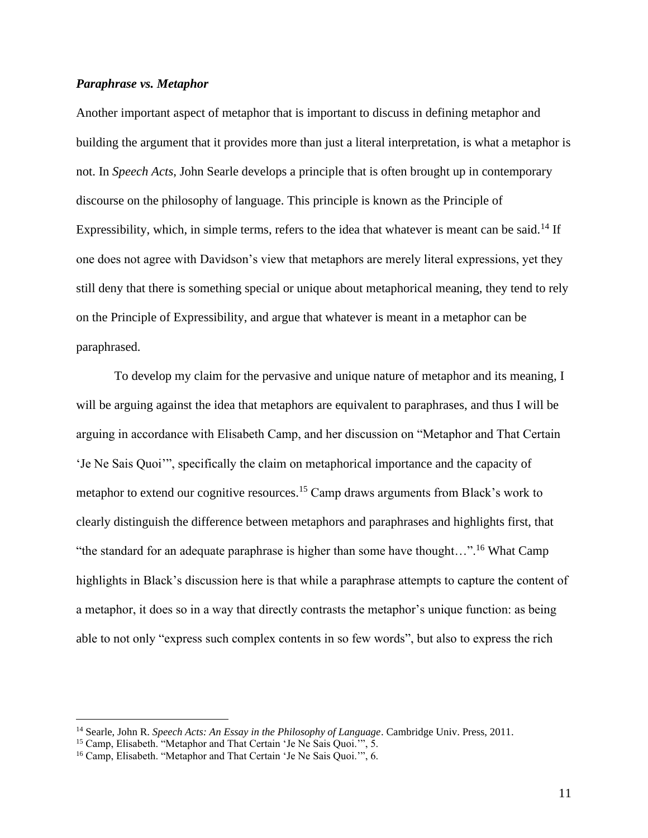#### <span id="page-15-0"></span>*Paraphrase vs. Metaphor*

Another important aspect of metaphor that is important to discuss in defining metaphor and building the argument that it provides more than just a literal interpretation, is what a metaphor is not. In *Speech Acts*, John Searle develops a principle that is often brought up in contemporary discourse on the philosophy of language. This principle is known as the Principle of Expressibility, which, in simple terms, refers to the idea that whatever is meant can be said.<sup>14</sup> If one does not agree with Davidson's view that metaphors are merely literal expressions, yet they still deny that there is something special or unique about metaphorical meaning, they tend to rely on the Principle of Expressibility, and argue that whatever is meant in a metaphor can be paraphrased.

To develop my claim for the pervasive and unique nature of metaphor and its meaning, I will be arguing against the idea that metaphors are equivalent to paraphrases, and thus I will be arguing in accordance with Elisabeth Camp, and her discussion on "Metaphor and That Certain 'Je Ne Sais Quoi'", specifically the claim on metaphorical importance and the capacity of metaphor to extend our cognitive resources.<sup>15</sup> Camp draws arguments from Black's work to clearly distinguish the difference between metaphors and paraphrases and highlights first, that "the standard for an adequate paraphrase is higher than some have thought...".<sup>16</sup> What Camp highlights in Black's discussion here is that while a paraphrase attempts to capture the content of a metaphor, it does so in a way that directly contrasts the metaphor's unique function: as being able to not only "express such complex contents in so few words", but also to express the rich

<sup>14</sup> Searle, John R. *Speech Acts: An Essay in the Philosophy of Language*. Cambridge Univ. Press, 2011.

<sup>&</sup>lt;sup>15</sup> Camp, Elisabeth. "Metaphor and That Certain 'Je Ne Sais Quoi.", 5.

<sup>16</sup> Camp, Elisabeth. "Metaphor and That Certain 'Je Ne Sais Quoi.'", 6.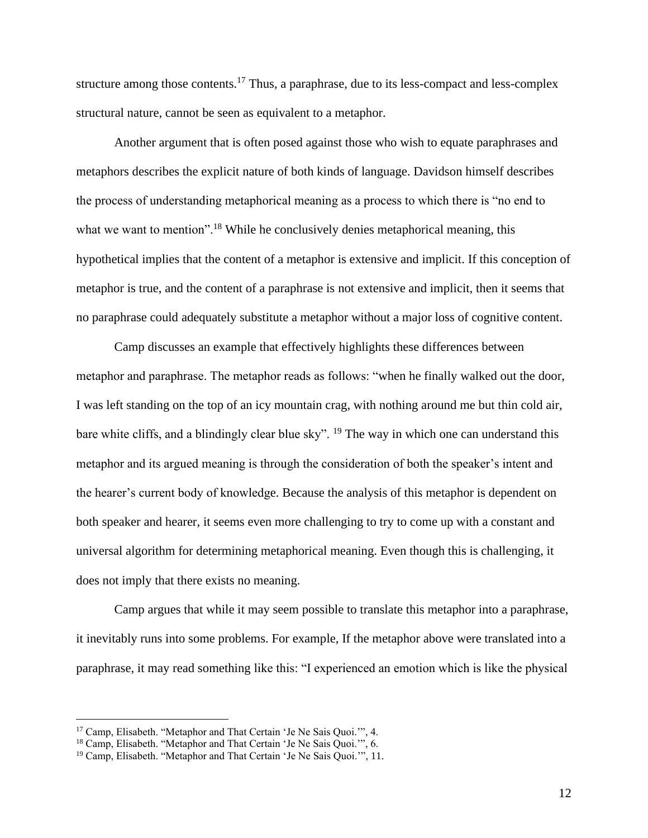structure among those contents.<sup>17</sup> Thus, a paraphrase, due to its less-compact and less-complex structural nature, cannot be seen as equivalent to a metaphor.

Another argument that is often posed against those who wish to equate paraphrases and metaphors describes the explicit nature of both kinds of language. Davidson himself describes the process of understanding metaphorical meaning as a process to which there is "no end to what we want to mention".<sup>18</sup> While he conclusively denies metaphorical meaning, this hypothetical implies that the content of a metaphor is extensive and implicit. If this conception of metaphor is true, and the content of a paraphrase is not extensive and implicit, then it seems that no paraphrase could adequately substitute a metaphor without a major loss of cognitive content.

Camp discusses an example that effectively highlights these differences between metaphor and paraphrase. The metaphor reads as follows: "when he finally walked out the door, I was left standing on the top of an icy mountain crag, with nothing around me but thin cold air, bare white cliffs, and a blindingly clear blue sky". <sup>19</sup> The way in which one can understand this metaphor and its argued meaning is through the consideration of both the speaker's intent and the hearer's current body of knowledge. Because the analysis of this metaphor is dependent on both speaker and hearer, it seems even more challenging to try to come up with a constant and universal algorithm for determining metaphorical meaning. Even though this is challenging, it does not imply that there exists no meaning.

Camp argues that while it may seem possible to translate this metaphor into a paraphrase, it inevitably runs into some problems. For example, If the metaphor above were translated into a paraphrase, it may read something like this: "I experienced an emotion which is like the physical

<sup>&</sup>lt;sup>17</sup> Camp, Elisabeth. "Metaphor and That Certain 'Je Ne Sais Quoi.", 4.

<sup>18</sup> Camp, Elisabeth. "Metaphor and That Certain 'Je Ne Sais Quoi.'", 6.

<sup>19</sup> Camp, Elisabeth. "Metaphor and That Certain 'Je Ne Sais Quoi.'", 11.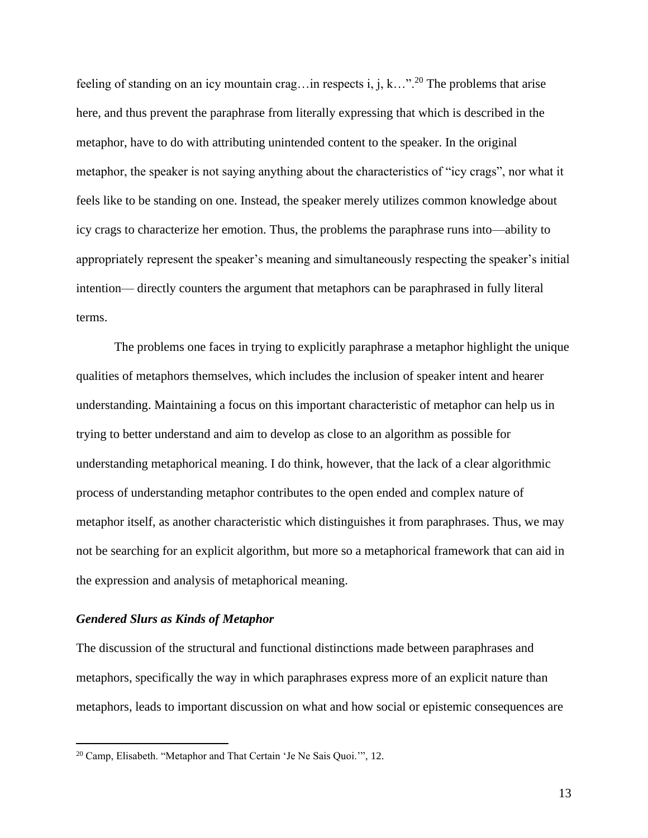feeling of standing on an icy mountain crag…in respects i, j, k…"<sup>20</sup> The problems that arise here, and thus prevent the paraphrase from literally expressing that which is described in the metaphor, have to do with attributing unintended content to the speaker. In the original metaphor, the speaker is not saying anything about the characteristics of "icy crags", nor what it feels like to be standing on one. Instead, the speaker merely utilizes common knowledge about icy crags to characterize her emotion. Thus, the problems the paraphrase runs into—ability to appropriately represent the speaker's meaning and simultaneously respecting the speaker's initial intention— directly counters the argument that metaphors can be paraphrased in fully literal terms.

The problems one faces in trying to explicitly paraphrase a metaphor highlight the unique qualities of metaphors themselves, which includes the inclusion of speaker intent and hearer understanding. Maintaining a focus on this important characteristic of metaphor can help us in trying to better understand and aim to develop as close to an algorithm as possible for understanding metaphorical meaning. I do think, however, that the lack of a clear algorithmic process of understanding metaphor contributes to the open ended and complex nature of metaphor itself, as another characteristic which distinguishes it from paraphrases. Thus, we may not be searching for an explicit algorithm, but more so a metaphorical framework that can aid in the expression and analysis of metaphorical meaning.

#### <span id="page-17-0"></span>*Gendered Slurs as Kinds of Metaphor*

The discussion of the structural and functional distinctions made between paraphrases and metaphors, specifically the way in which paraphrases express more of an explicit nature than metaphors, leads to important discussion on what and how social or epistemic consequences are

<sup>20</sup> Camp, Elisabeth. "Metaphor and That Certain 'Je Ne Sais Quoi.'", 12.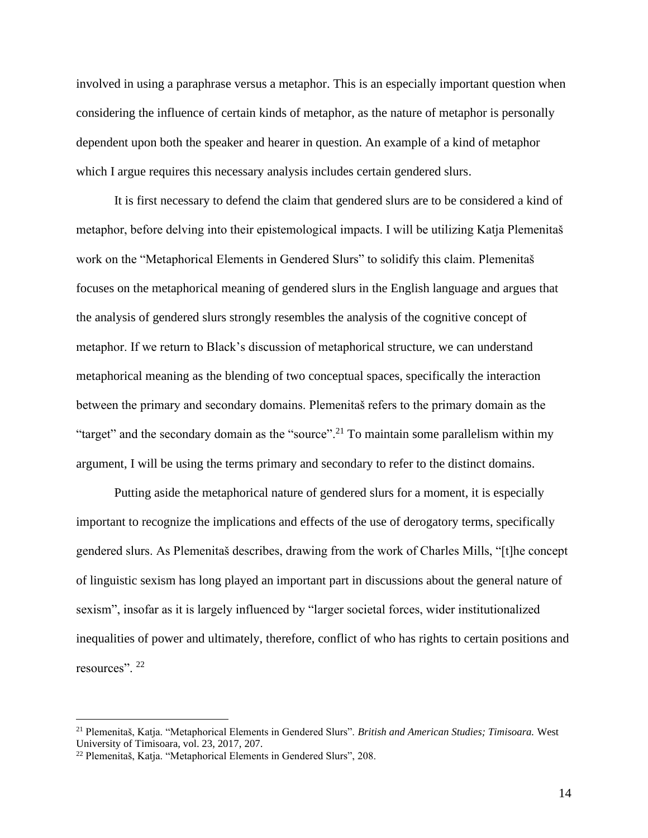involved in using a paraphrase versus a metaphor. This is an especially important question when considering the influence of certain kinds of metaphor, as the nature of metaphor is personally dependent upon both the speaker and hearer in question. An example of a kind of metaphor which I argue requires this necessary analysis includes certain gendered slurs.

It is first necessary to defend the claim that gendered slurs are to be considered a kind of metaphor, before delving into their epistemological impacts. I will be utilizing Katja Plemenitaš work on the "Metaphorical Elements in Gendered Slurs" to solidify this claim. Plemenitaš focuses on the metaphorical meaning of gendered slurs in the English language and argues that the analysis of gendered slurs strongly resembles the analysis of the cognitive concept of metaphor. If we return to Black's discussion of metaphorical structure, we can understand metaphorical meaning as the blending of two conceptual spaces, specifically the interaction between the primary and secondary domains. Plemenitaš refers to the primary domain as the "target" and the secondary domain as the "source".<sup>21</sup> To maintain some parallelism within my argument, I will be using the terms primary and secondary to refer to the distinct domains.

Putting aside the metaphorical nature of gendered slurs for a moment, it is especially important to recognize the implications and effects of the use of derogatory terms, specifically gendered slurs. As Plemenitaš describes, drawing from the work of Charles Mills, "[t]he concept of linguistic sexism has long played an important part in discussions about the general nature of sexism", insofar as it is largely influenced by "larger societal forces, wider institutionalized inequalities of power and ultimately, therefore, conflict of who has rights to certain positions and resources". <sup>22</sup>

<sup>21</sup> Plemenitaš, Katja. "Metaphorical Elements in Gendered Slurs". *British and American Studies; Timisoara.* West University of Timisoara, vol. 23, 2017, 207.

<sup>22</sup> Plemenitaš, Katja. "Metaphorical Elements in Gendered Slurs", 208.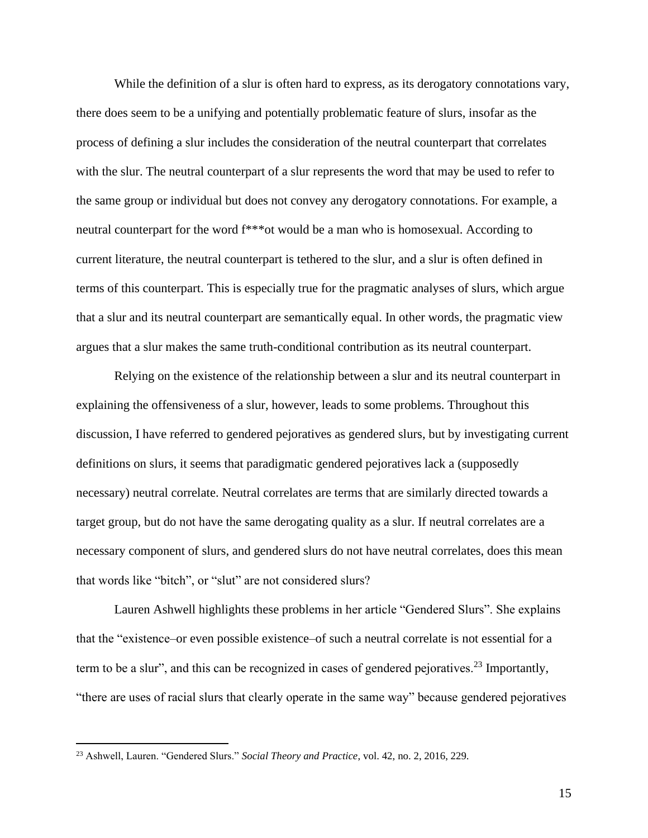While the definition of a slur is often hard to express, as its derogatory connotations vary, there does seem to be a unifying and potentially problematic feature of slurs, insofar as the process of defining a slur includes the consideration of the neutral counterpart that correlates with the slur. The neutral counterpart of a slur represents the word that may be used to refer to the same group or individual but does not convey any derogatory connotations. For example, a neutral counterpart for the word f\*\*\*ot would be a man who is homosexual. According to current literature, the neutral counterpart is tethered to the slur, and a slur is often defined in terms of this counterpart. This is especially true for the pragmatic analyses of slurs, which argue that a slur and its neutral counterpart are semantically equal. In other words, the pragmatic view argues that a slur makes the same truth-conditional contribution as its neutral counterpart.

Relying on the existence of the relationship between a slur and its neutral counterpart in explaining the offensiveness of a slur, however, leads to some problems. Throughout this discussion, I have referred to gendered pejoratives as gendered slurs, but by investigating current definitions on slurs, it seems that paradigmatic gendered pejoratives lack a (supposedly necessary) neutral correlate. Neutral correlates are terms that are similarly directed towards a target group, but do not have the same derogating quality as a slur. If neutral correlates are a necessary component of slurs, and gendered slurs do not have neutral correlates, does this mean that words like "bitch", or "slut" are not considered slurs?

Lauren Ashwell highlights these problems in her article "Gendered Slurs". She explains that the "existence–or even possible existence–of such a neutral correlate is not essential for a term to be a slur", and this can be recognized in cases of gendered pejoratives.<sup>23</sup> Importantly, "there are uses of racial slurs that clearly operate in the same way" because gendered pejoratives

<sup>23</sup> Ashwell, Lauren. "Gendered Slurs." *Social Theory and Practice*, vol. 42, no. 2, 2016, 229.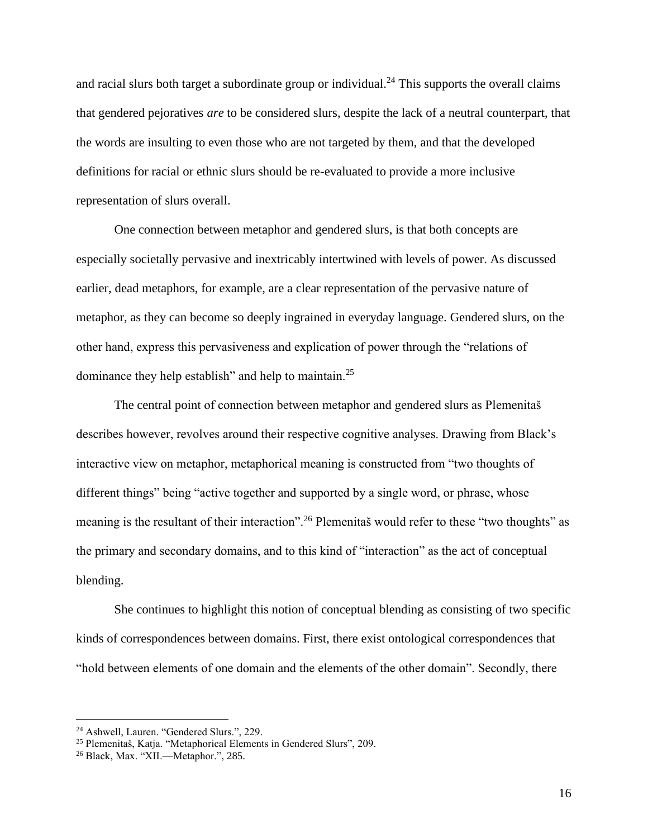and racial slurs both target a subordinate group or individual.<sup>24</sup> This supports the overall claims that gendered pejoratives *are* to be considered slurs, despite the lack of a neutral counterpart, that the words are insulting to even those who are not targeted by them, and that the developed definitions for racial or ethnic slurs should be re-evaluated to provide a more inclusive representation of slurs overall.

One connection between metaphor and gendered slurs, is that both concepts are especially societally pervasive and inextricably intertwined with levels of power. As discussed earlier, dead metaphors, for example, are a clear representation of the pervasive nature of metaphor, as they can become so deeply ingrained in everyday language. Gendered slurs, on the other hand, express this pervasiveness and explication of power through the "relations of dominance they help establish" and help to maintain.<sup>25</sup>

The central point of connection between metaphor and gendered slurs as Plemenitaš describes however, revolves around their respective cognitive analyses. Drawing from Black's interactive view on metaphor, metaphorical meaning is constructed from "two thoughts of different things" being "active together and supported by a single word, or phrase, whose meaning is the resultant of their interaction".<sup>26</sup> Plemenitaš would refer to these "two thoughts" as the primary and secondary domains, and to this kind of "interaction" as the act of conceptual blending.

She continues to highlight this notion of conceptual blending as consisting of two specific kinds of correspondences between domains. First, there exist ontological correspondences that "hold between elements of one domain and the elements of the other domain". Secondly, there

<sup>24</sup> Ashwell, Lauren. "Gendered Slurs.", 229.

<sup>25</sup> Plemenitaš, Katja. "Metaphorical Elements in Gendered Slurs", 209.

<sup>26</sup> Black, Max. "XII.—Metaphor.", 285.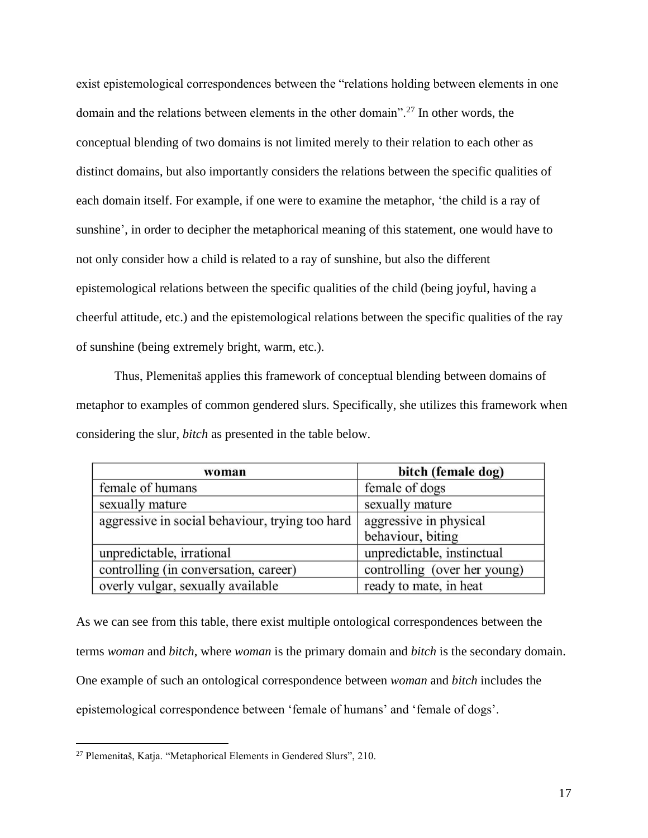exist epistemological correspondences between the "relations holding between elements in one domain and the relations between elements in the other domain".<sup>27</sup> In other words, the conceptual blending of two domains is not limited merely to their relation to each other as distinct domains, but also importantly considers the relations between the specific qualities of each domain itself. For example, if one were to examine the metaphor, 'the child is a ray of sunshine', in order to decipher the metaphorical meaning of this statement, one would have to not only consider how a child is related to a ray of sunshine, but also the different epistemological relations between the specific qualities of the child (being joyful, having a cheerful attitude, etc.) and the epistemological relations between the specific qualities of the ray of sunshine (being extremely bright, warm, etc.).

Thus, Plemenitaš applies this framework of conceptual blending between domains of metaphor to examples of common gendered slurs. Specifically, she utilizes this framework when considering the slur, *bitch* as presented in the table below.

| woman                                           | bitch (female dog)           |
|-------------------------------------------------|------------------------------|
| female of humans                                | female of dogs               |
| sexually mature                                 | sexually mature              |
| aggressive in social behaviour, trying too hard | aggressive in physical       |
|                                                 | behaviour, biting            |
| unpredictable, irrational                       | unpredictable, instinctual   |
| controlling (in conversation, career)           | controlling (over her young) |
| overly vulgar, sexually available               | ready to mate, in heat       |

As we can see from this table, there exist multiple ontological correspondences between the terms *woman* and *bitch*, where *woman* is the primary domain and *bitch* is the secondary domain. One example of such an ontological correspondence between *woman* and *bitch* includes the epistemological correspondence between 'female of humans' and 'female of dogs'.

<sup>27</sup> Plemenitaš, Katja. "Metaphorical Elements in Gendered Slurs", 210.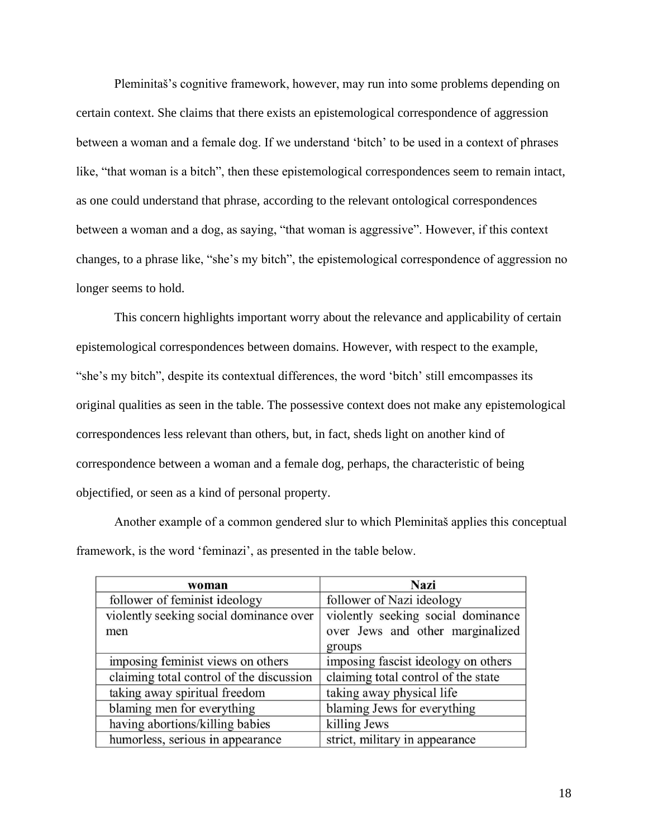Pleminitaš's cognitive framework, however, may run into some problems depending on certain context. She claims that there exists an epistemological correspondence of aggression between a woman and a female dog. If we understand 'bitch' to be used in a context of phrases like, "that woman is a bitch", then these epistemological correspondences seem to remain intact, as one could understand that phrase, according to the relevant ontological correspondences between a woman and a dog, as saying, "that woman is aggressive". However, if this context changes, to a phrase like, "she's my bitch", the epistemological correspondence of aggression no longer seems to hold.

This concern highlights important worry about the relevance and applicability of certain epistemological correspondences between domains. However, with respect to the example, "she's my bitch", despite its contextual differences, the word 'bitch' still emcompasses its original qualities as seen in the table. The possessive context does not make any epistemological correspondences less relevant than others, but, in fact, sheds light on another kind of correspondence between a woman and a female dog, perhaps, the characteristic of being objectified, or seen as a kind of personal property.

Another example of a common gendered slur to which Pleminitaš applies this conceptual framework, is the word 'feminazi', as presented in the table below.

| woman                                    | <b>Nazi</b>                         |
|------------------------------------------|-------------------------------------|
| follower of feminist ideology            | follower of Nazi ideology           |
| violently seeking social dominance over  | violently seeking social dominance  |
| men                                      | over Jews and other marginalized    |
|                                          | groups                              |
| imposing feminist views on others        | imposing fascist ideology on others |
| claiming total control of the discussion | claiming total control of the state |
| taking away spiritual freedom            | taking away physical life           |
| blaming men for everything               | blaming Jews for everything         |
| having abortions/killing babies          | killing Jews                        |
| humorless, serious in appearance         | strict, military in appearance      |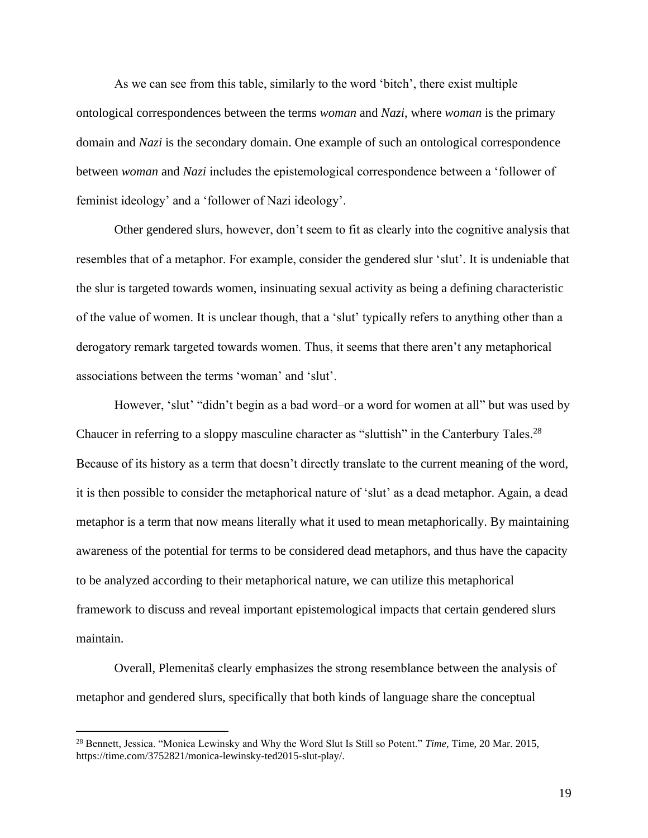As we can see from this table, similarly to the word 'bitch', there exist multiple ontological correspondences between the terms *woman* and *Nazi*, where *woman* is the primary domain and *Nazi* is the secondary domain. One example of such an ontological correspondence between *woman* and *Nazi* includes the epistemological correspondence between a 'follower of feminist ideology' and a 'follower of Nazi ideology'.

Other gendered slurs, however, don't seem to fit as clearly into the cognitive analysis that resembles that of a metaphor. For example, consider the gendered slur 'slut'. It is undeniable that the slur is targeted towards women, insinuating sexual activity as being a defining characteristic of the value of women. It is unclear though, that a 'slut' typically refers to anything other than a derogatory remark targeted towards women. Thus, it seems that there aren't any metaphorical associations between the terms 'woman' and 'slut'.

However, 'slut' "didn't begin as a bad word–or a word for women at all" but was used by Chaucer in referring to a sloppy masculine character as "sluttish" in the Canterbury Tales.<sup>28</sup> Because of its history as a term that doesn't directly translate to the current meaning of the word, it is then possible to consider the metaphorical nature of 'slut' as a dead metaphor. Again, a dead metaphor is a term that now means literally what it used to mean metaphorically. By maintaining awareness of the potential for terms to be considered dead metaphors, and thus have the capacity to be analyzed according to their metaphorical nature, we can utilize this metaphorical framework to discuss and reveal important epistemological impacts that certain gendered slurs maintain.

Overall, Plemenitaš clearly emphasizes the strong resemblance between the analysis of metaphor and gendered slurs, specifically that both kinds of language share the conceptual

<sup>28</sup> Bennett, Jessica. "Monica Lewinsky and Why the Word Slut Is Still so Potent." *Time*, Time, 20 Mar. 2015, https://time.com/3752821/monica-lewinsky-ted2015-slut-play/.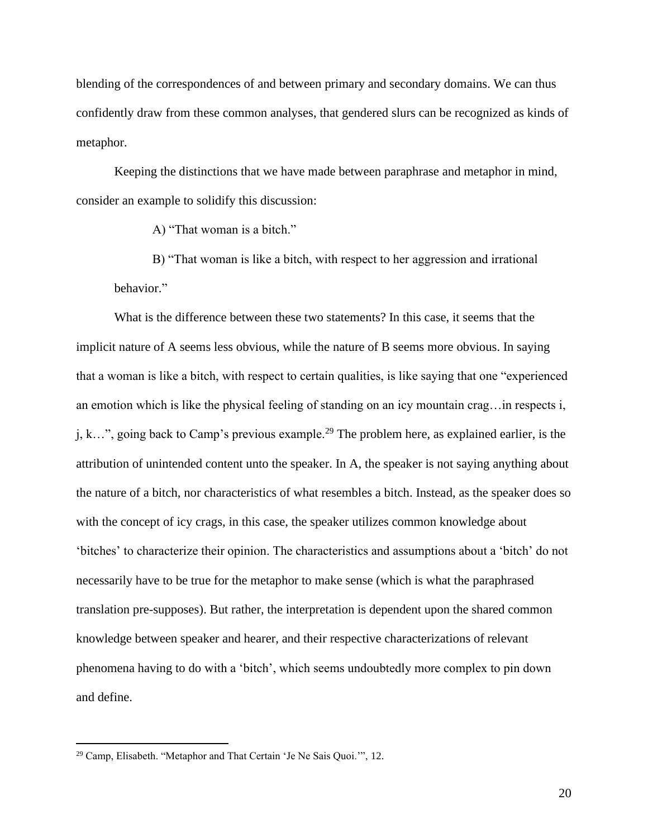blending of the correspondences of and between primary and secondary domains. We can thus confidently draw from these common analyses, that gendered slurs can be recognized as kinds of metaphor.

Keeping the distinctions that we have made between paraphrase and metaphor in mind, consider an example to solidify this discussion:

A) "That woman is a bitch."

B) "That woman is like a bitch, with respect to her aggression and irrational behavior."

What is the difference between these two statements? In this case, it seems that the implicit nature of A seems less obvious, while the nature of B seems more obvious. In saying that a woman is like a bitch, with respect to certain qualities, is like saying that one "experienced an emotion which is like the physical feeling of standing on an icy mountain crag…in respects i, j, k…", going back to Camp's previous example.<sup>29</sup> The problem here, as explained earlier, is the attribution of unintended content unto the speaker. In A, the speaker is not saying anything about the nature of a bitch, nor characteristics of what resembles a bitch. Instead, as the speaker does so with the concept of icy crags, in this case, the speaker utilizes common knowledge about 'bitches' to characterize their opinion. The characteristics and assumptions about a 'bitch' do not necessarily have to be true for the metaphor to make sense (which is what the paraphrased translation pre-supposes). But rather, the interpretation is dependent upon the shared common knowledge between speaker and hearer, and their respective characterizations of relevant phenomena having to do with a 'bitch', which seems undoubtedly more complex to pin down and define.

<sup>29</sup> Camp, Elisabeth. "Metaphor and That Certain 'Je Ne Sais Quoi.'", 12.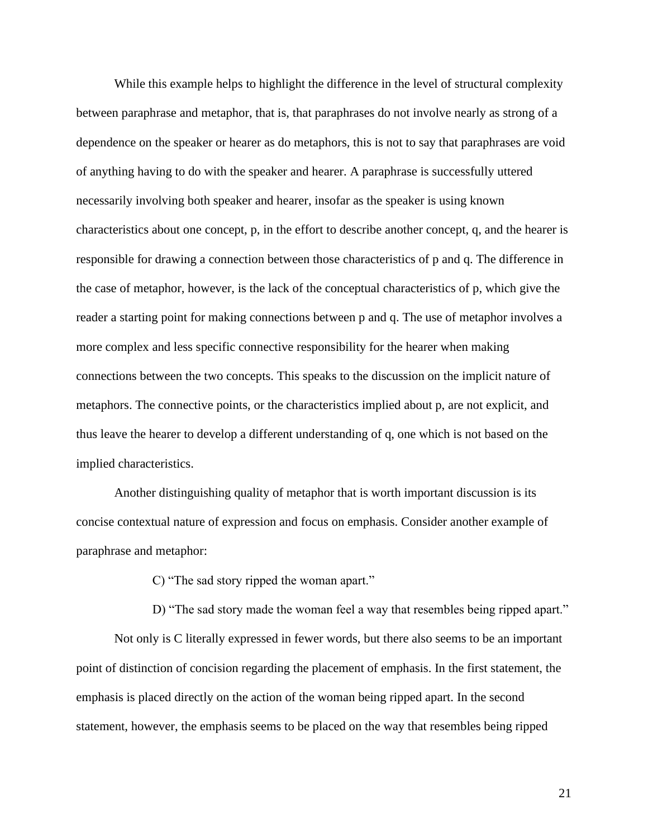While this example helps to highlight the difference in the level of structural complexity between paraphrase and metaphor, that is, that paraphrases do not involve nearly as strong of a dependence on the speaker or hearer as do metaphors, this is not to say that paraphrases are void of anything having to do with the speaker and hearer. A paraphrase is successfully uttered necessarily involving both speaker and hearer, insofar as the speaker is using known characteristics about one concept, p, in the effort to describe another concept, q, and the hearer is responsible for drawing a connection between those characteristics of p and q. The difference in the case of metaphor, however, is the lack of the conceptual characteristics of p, which give the reader a starting point for making connections between p and q. The use of metaphor involves a more complex and less specific connective responsibility for the hearer when making connections between the two concepts. This speaks to the discussion on the implicit nature of metaphors. The connective points, or the characteristics implied about p, are not explicit, and thus leave the hearer to develop a different understanding of q, one which is not based on the implied characteristics.

Another distinguishing quality of metaphor that is worth important discussion is its concise contextual nature of expression and focus on emphasis. Consider another example of paraphrase and metaphor:

C) "The sad story ripped the woman apart."

D) "The sad story made the woman feel a way that resembles being ripped apart."

Not only is C literally expressed in fewer words, but there also seems to be an important point of distinction of concision regarding the placement of emphasis. In the first statement, the emphasis is placed directly on the action of the woman being ripped apart. In the second statement, however, the emphasis seems to be placed on the way that resembles being ripped

21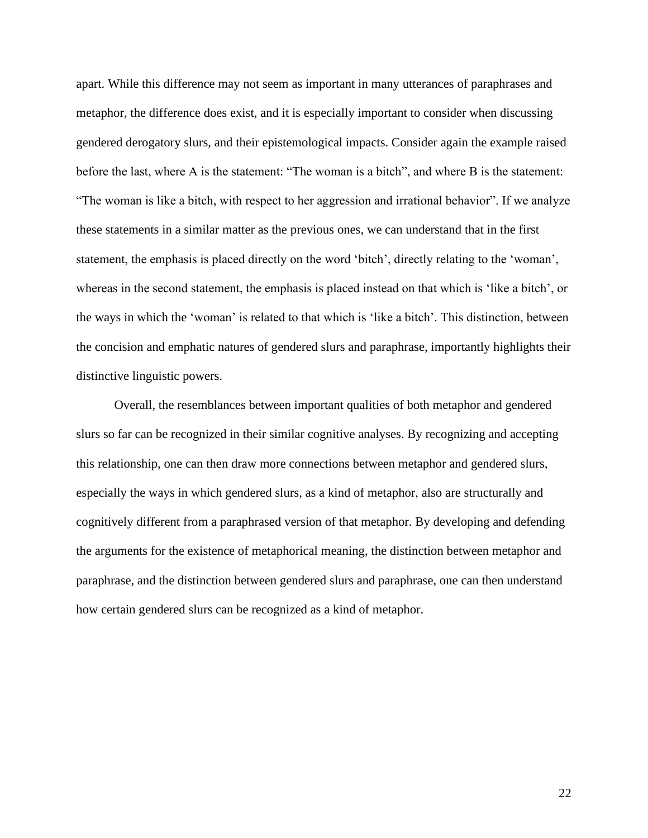apart. While this difference may not seem as important in many utterances of paraphrases and metaphor, the difference does exist, and it is especially important to consider when discussing gendered derogatory slurs, and their epistemological impacts. Consider again the example raised before the last, where A is the statement: "The woman is a bitch", and where B is the statement: "The woman is like a bitch, with respect to her aggression and irrational behavior". If we analyze these statements in a similar matter as the previous ones, we can understand that in the first statement, the emphasis is placed directly on the word 'bitch', directly relating to the 'woman', whereas in the second statement, the emphasis is placed instead on that which is 'like a bitch', or the ways in which the 'woman' is related to that which is 'like a bitch'. This distinction, between the concision and emphatic natures of gendered slurs and paraphrase, importantly highlights their distinctive linguistic powers.

Overall, the resemblances between important qualities of both metaphor and gendered slurs so far can be recognized in their similar cognitive analyses. By recognizing and accepting this relationship, one can then draw more connections between metaphor and gendered slurs, especially the ways in which gendered slurs, as a kind of metaphor, also are structurally and cognitively different from a paraphrased version of that metaphor. By developing and defending the arguments for the existence of metaphorical meaning, the distinction between metaphor and paraphrase, and the distinction between gendered slurs and paraphrase, one can then understand how certain gendered slurs can be recognized as a kind of metaphor.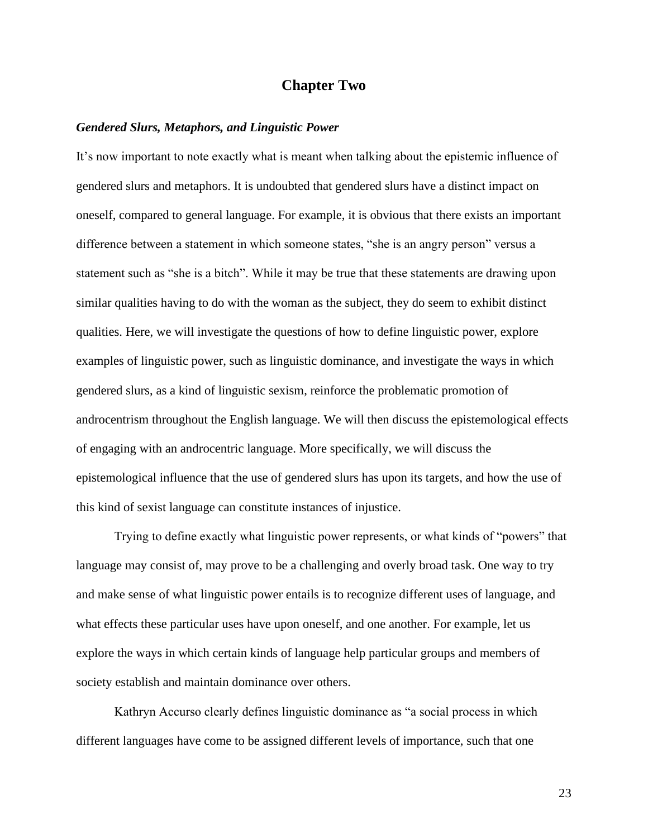## **Chapter Two**

#### <span id="page-27-1"></span><span id="page-27-0"></span>*Gendered Slurs, Metaphors, and Linguistic Power*

It's now important to note exactly what is meant when talking about the epistemic influence of gendered slurs and metaphors. It is undoubted that gendered slurs have a distinct impact on oneself, compared to general language. For example, it is obvious that there exists an important difference between a statement in which someone states, "she is an angry person" versus a statement such as "she is a bitch". While it may be true that these statements are drawing upon similar qualities having to do with the woman as the subject, they do seem to exhibit distinct qualities. Here, we will investigate the questions of how to define linguistic power, explore examples of linguistic power, such as linguistic dominance, and investigate the ways in which gendered slurs, as a kind of linguistic sexism, reinforce the problematic promotion of androcentrism throughout the English language. We will then discuss the epistemological effects of engaging with an androcentric language. More specifically, we will discuss the epistemological influence that the use of gendered slurs has upon its targets, and how the use of this kind of sexist language can constitute instances of injustice.

Trying to define exactly what linguistic power represents, or what kinds of "powers" that language may consist of, may prove to be a challenging and overly broad task. One way to try and make sense of what linguistic power entails is to recognize different uses of language, and what effects these particular uses have upon oneself, and one another. For example, let us explore the ways in which certain kinds of language help particular groups and members of society establish and maintain dominance over others.

Kathryn Accurso clearly defines linguistic dominance as "a social process in which different languages have come to be assigned different levels of importance, such that one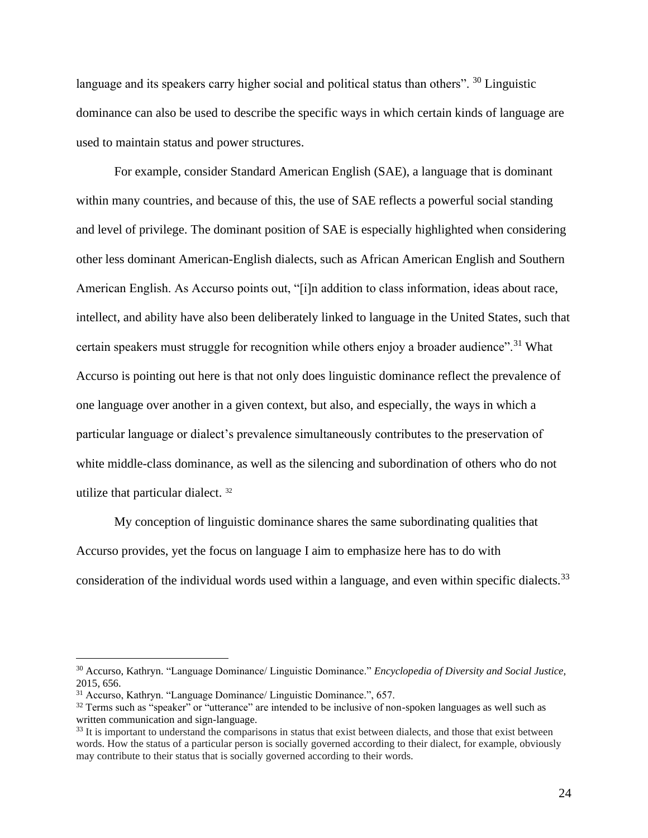language and its speakers carry higher social and political status than others". <sup>30</sup> Linguistic dominance can also be used to describe the specific ways in which certain kinds of language are used to maintain status and power structures.

For example, consider Standard American English (SAE), a language that is dominant within many countries, and because of this, the use of SAE reflects a powerful social standing and level of privilege. The dominant position of SAE is especially highlighted when considering other less dominant American-English dialects, such as African American English and Southern American English. As Accurso points out, "[i]n addition to class information, ideas about race, intellect, and ability have also been deliberately linked to language in the United States, such that certain speakers must struggle for recognition while others enjoy a broader audience".<sup>31</sup> What Accurso is pointing out here is that not only does linguistic dominance reflect the prevalence of one language over another in a given context, but also, and especially, the ways in which a particular language or dialect's prevalence simultaneously contributes to the preservation of white middle-class dominance, as well as the silencing and subordination of others who do not utilize that particular dialect. <sup>32</sup>

My conception of linguistic dominance shares the same subordinating qualities that Accurso provides, yet the focus on language I aim to emphasize here has to do with consideration of the individual words used within a language, and even within specific dialects.<sup>33</sup>

<sup>30</sup> Accurso, Kathryn. "Language Dominance/ Linguistic Dominance." *Encyclopedia of Diversity and Social Justice,*  2015, 656.

<sup>31</sup> Accurso, Kathryn. "Language Dominance/ Linguistic Dominance.", 657.

<sup>&</sup>lt;sup>32</sup> Terms such as "speaker" or "utterance" are intended to be inclusive of non-spoken languages as well such as written communication and sign-language.

<sup>&</sup>lt;sup>33</sup> It is important to understand the comparisons in status that exist between dialects, and those that exist between words. How the status of a particular person is socially governed according to their dialect, for example, obviously may contribute to their status that is socially governed according to their words.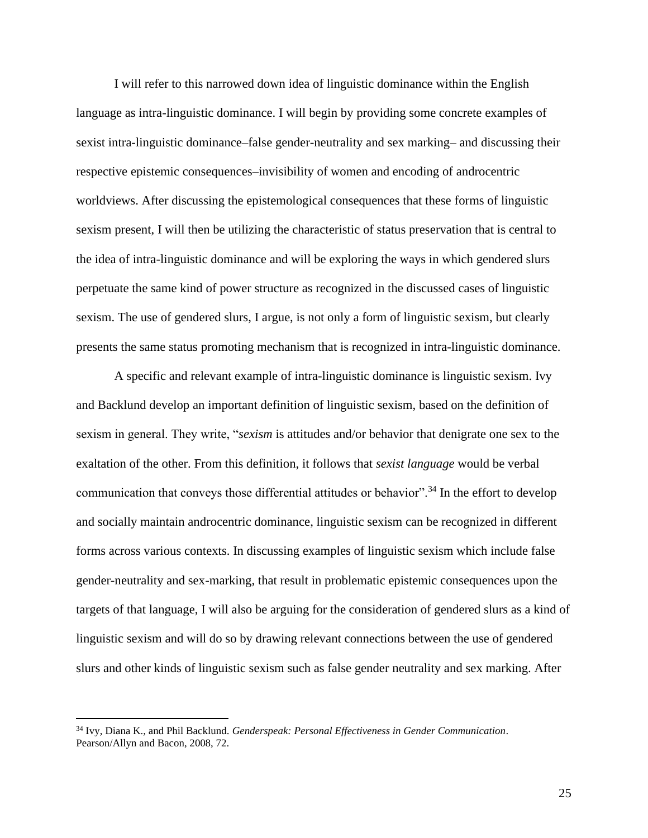I will refer to this narrowed down idea of linguistic dominance within the English language as intra-linguistic dominance. I will begin by providing some concrete examples of sexist intra-linguistic dominance–false gender-neutrality and sex marking– and discussing their respective epistemic consequences–invisibility of women and encoding of androcentric worldviews. After discussing the epistemological consequences that these forms of linguistic sexism present, I will then be utilizing the characteristic of status preservation that is central to the idea of intra-linguistic dominance and will be exploring the ways in which gendered slurs perpetuate the same kind of power structure as recognized in the discussed cases of linguistic sexism. The use of gendered slurs, I argue, is not only a form of linguistic sexism, but clearly presents the same status promoting mechanism that is recognized in intra-linguistic dominance.

A specific and relevant example of intra-linguistic dominance is linguistic sexism. Ivy and Backlund develop an important definition of linguistic sexism, based on the definition of sexism in general. They write, "*sexism* is attitudes and/or behavior that denigrate one sex to the exaltation of the other. From this definition, it follows that *sexist language* would be verbal communication that conveys those differential attitudes or behavior".<sup>34</sup> In the effort to develop and socially maintain androcentric dominance, linguistic sexism can be recognized in different forms across various contexts. In discussing examples of linguistic sexism which include false gender-neutrality and sex-marking, that result in problematic epistemic consequences upon the targets of that language, I will also be arguing for the consideration of gendered slurs as a kind of linguistic sexism and will do so by drawing relevant connections between the use of gendered slurs and other kinds of linguistic sexism such as false gender neutrality and sex marking. After

<sup>34</sup> Ivy, Diana K., and Phil Backlund. *Genderspeak: Personal Effectiveness in Gender Communication*. Pearson/Allyn and Bacon, 2008, 72.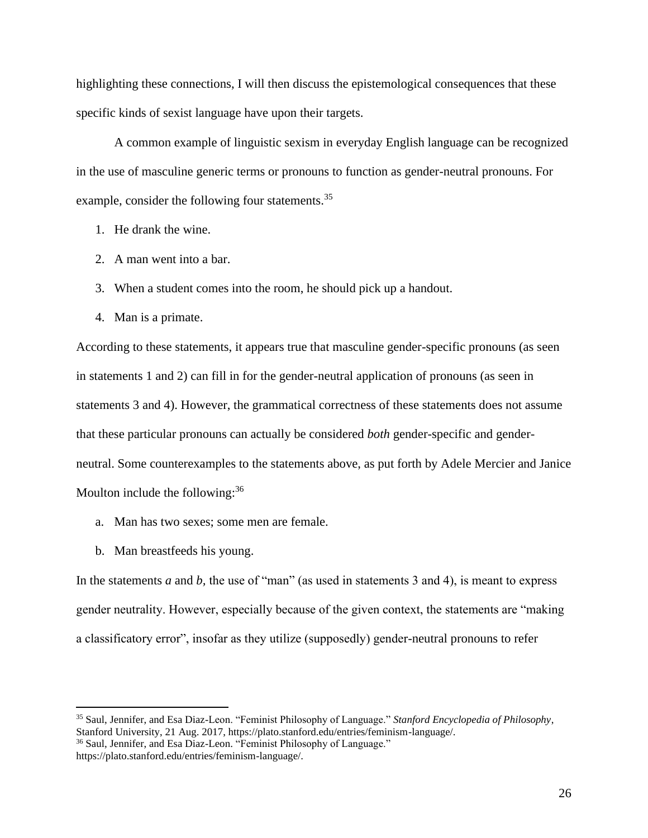highlighting these connections, I will then discuss the epistemological consequences that these specific kinds of sexist language have upon their targets.

A common example of linguistic sexism in everyday English language can be recognized in the use of masculine generic terms or pronouns to function as gender-neutral pronouns. For example, consider the following four statements.<sup>35</sup>

- 1. He drank the wine.
- 2. A man went into a bar.
- 3. When a student comes into the room, he should pick up a handout.
- 4. Man is a primate.

According to these statements, it appears true that masculine gender-specific pronouns (as seen in statements 1 and 2) can fill in for the gender-neutral application of pronouns (as seen in statements 3 and 4). However, the grammatical correctness of these statements does not assume that these particular pronouns can actually be considered *both* gender-specific and genderneutral. Some counterexamples to the statements above, as put forth by Adele Mercier and Janice Moulton include the following:  $36$ 

- a. Man has two sexes; some men are female.
- b. Man breastfeeds his young.

In the statements *a* and *b*, the use of "man" (as used in statements 3 and 4), is meant to express gender neutrality. However, especially because of the given context, the statements are "making a classificatory error", insofar as they utilize (supposedly) gender-neutral pronouns to refer

<sup>35</sup> Saul, Jennifer, and Esa Diaz-Leon. "Feminist Philosophy of Language." *Stanford Encyclopedia of Philosophy*, Stanford University, 21 Aug. 2017, https://plato.stanford.edu/entries/feminism-language/. <sup>36</sup> Saul, Jennifer, and Esa Diaz-Leon. "Feminist Philosophy of Language."

https://plato.stanford.edu/entries/feminism-language/.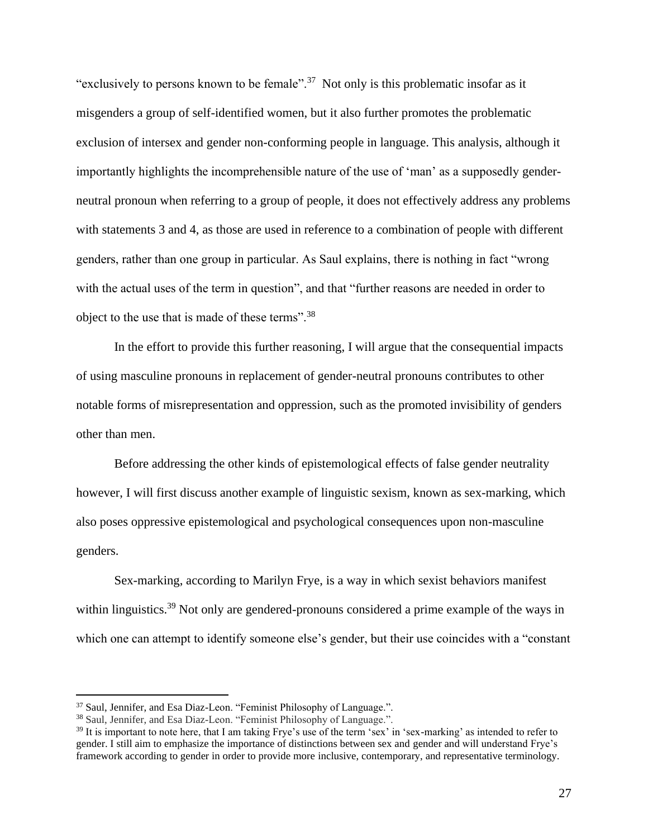"exclusively to persons known to be female".<sup>37</sup> Not only is this problematic insofar as it misgenders a group of self-identified women, but it also further promotes the problematic exclusion of intersex and gender non-conforming people in language. This analysis, although it importantly highlights the incomprehensible nature of the use of 'man' as a supposedly genderneutral pronoun when referring to a group of people, it does not effectively address any problems with statements 3 and 4, as those are used in reference to a combination of people with different genders, rather than one group in particular. As Saul explains, there is nothing in fact "wrong with the actual uses of the term in question", and that "further reasons are needed in order to object to the use that is made of these terms".<sup>38</sup>

In the effort to provide this further reasoning, I will argue that the consequential impacts of using masculine pronouns in replacement of gender-neutral pronouns contributes to other notable forms of misrepresentation and oppression, such as the promoted invisibility of genders other than men.

Before addressing the other kinds of epistemological effects of false gender neutrality however, I will first discuss another example of linguistic sexism, known as sex-marking, which also poses oppressive epistemological and psychological consequences upon non-masculine genders.

Sex-marking, according to Marilyn Frye, is a way in which sexist behaviors manifest within linguistics.<sup>39</sup> Not only are gendered-pronouns considered a prime example of the ways in which one can attempt to identify someone else's gender, but their use coincides with a "constant

<sup>&</sup>lt;sup>37</sup> Saul, Jennifer, and Esa Diaz-Leon. "Feminist Philosophy of Language.".

<sup>&</sup>lt;sup>38</sup> Saul, Jennifer, and Esa Diaz-Leon. "Feminist Philosophy of Language.".

 $39$  It is important to note here, that I am taking Frye's use of the term 'sex' in 'sex-marking' as intended to refer to gender. I still aim to emphasize the importance of distinctions between sex and gender and will understand Frye's framework according to gender in order to provide more inclusive, contemporary, and representative terminology.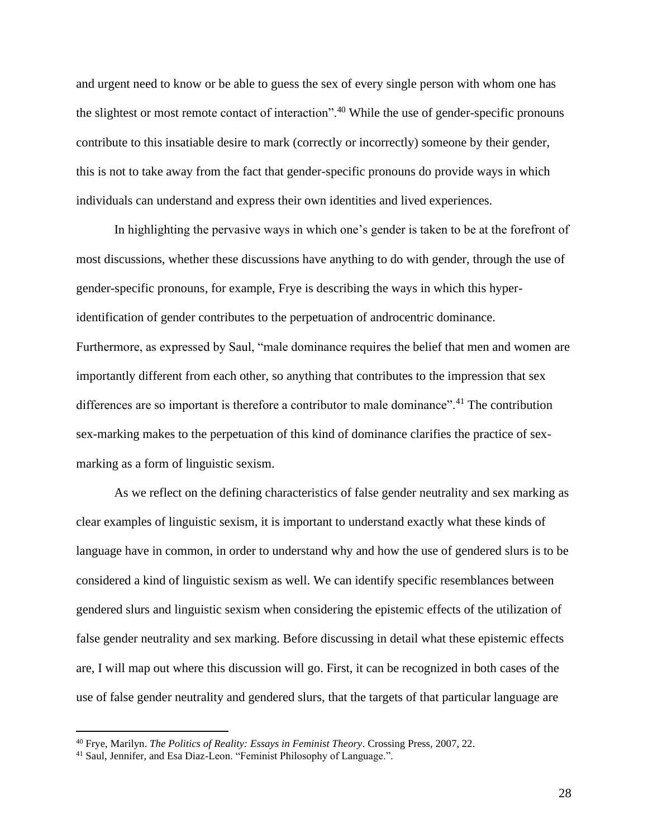and urgent need to know or be able to guess the sex of every single person with whom one has the slightest or most remote contact of interaction".<sup>40</sup> While the use of gender-specific pronouns contribute to this insatiable desire to mark (correctly or incorrectly) someone by their gender, this is not to take away from the fact that gender-specific pronouns do provide ways in which individuals can understand and express their own identities and lived experiences.

In highlighting the pervasive ways in which one's gender is taken to be at the forefront of most discussions, whether these discussions have anything to do with gender, through the use of gender-specific pronouns, for example, Frye is describing the ways in which this hyperidentification of gender contributes to the perpetuation of androcentric dominance. Furthermore, as expressed by Saul, "male dominance requires the belief that men and women are importantly different from each other, so anything that contributes to the impression that sex differences are so important is therefore a contributor to male dominance".<sup>41</sup> The contribution sex-marking makes to the perpetuation of this kind of dominance clarifies the practice of sexmarking as a form of linguistic sexism.

As we reflect on the defining characteristics of false gender neutrality and sex marking as clear examples of linguistic sexism, it is important to understand exactly what these kinds of language have in common, in order to understand why and how the use of gendered slurs is to be considered a kind of linguistic sexism as well. We can identify specific resemblances between gendered slurs and linguistic sexism when considering the epistemic effects of the utilization of false gender neutrality and sex marking. Before discussing in detail what these epistemic effects are, I will map out where this discussion will go. First, it can be recognized in both cases of the use of false gender neutrality and gendered slurs, that the targets of that particular language are

<sup>40</sup> Frye, Marilyn. *The Politics of Reality: Essays in Feminist Theory*. Crossing Press, 2007, 22.

<sup>41</sup> Saul, Jennifer, and Esa Diaz-Leon. "Feminist Philosophy of Language.".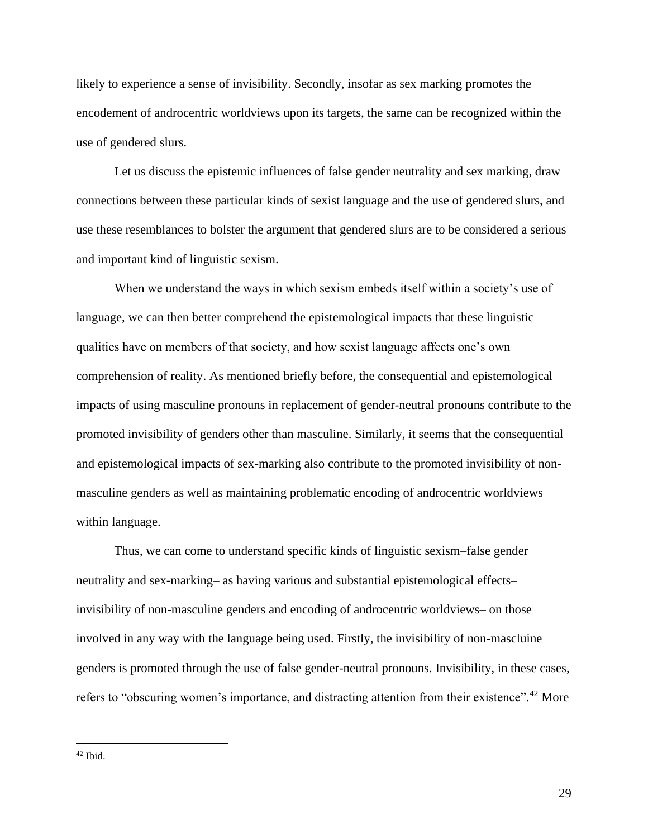likely to experience a sense of invisibility. Secondly, insofar as sex marking promotes the encodement of androcentric worldviews upon its targets, the same can be recognized within the use of gendered slurs.

Let us discuss the epistemic influences of false gender neutrality and sex marking, draw connections between these particular kinds of sexist language and the use of gendered slurs, and use these resemblances to bolster the argument that gendered slurs are to be considered a serious and important kind of linguistic sexism.

When we understand the ways in which sexism embeds itself within a society's use of language, we can then better comprehend the epistemological impacts that these linguistic qualities have on members of that society, and how sexist language affects one's own comprehension of reality. As mentioned briefly before, the consequential and epistemological impacts of using masculine pronouns in replacement of gender-neutral pronouns contribute to the promoted invisibility of genders other than masculine. Similarly, it seems that the consequential and epistemological impacts of sex-marking also contribute to the promoted invisibility of nonmasculine genders as well as maintaining problematic encoding of androcentric worldviews within language.

Thus, we can come to understand specific kinds of linguistic sexism–false gender neutrality and sex-marking– as having various and substantial epistemological effects– invisibility of non-masculine genders and encoding of androcentric worldviews– on those involved in any way with the language being used. Firstly, the invisibility of non-mascluine genders is promoted through the use of false gender-neutral pronouns. Invisibility, in these cases, refers to "obscuring women's importance, and distracting attention from their existence".<sup>42</sup> More

 $42$  Ibid.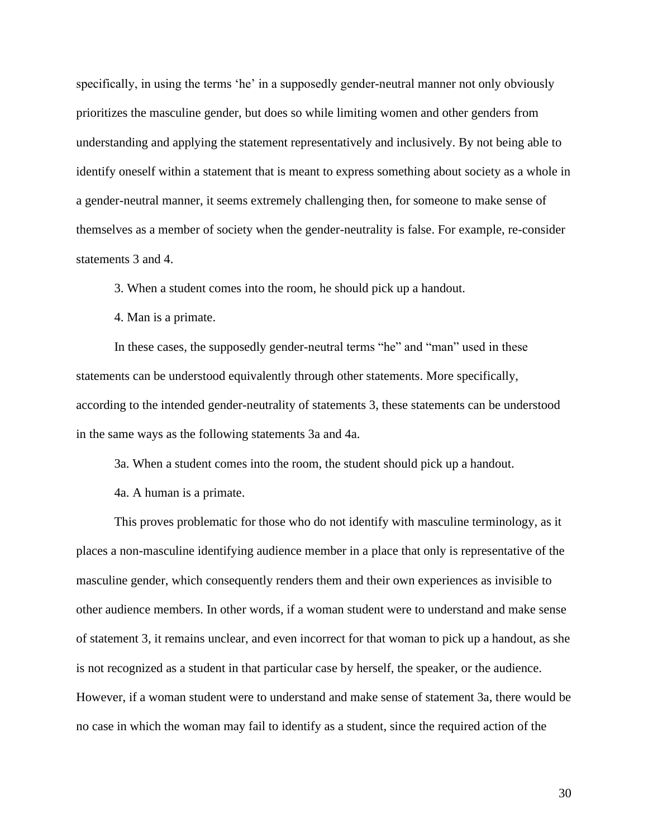specifically, in using the terms 'he' in a supposedly gender-neutral manner not only obviously prioritizes the masculine gender, but does so while limiting women and other genders from understanding and applying the statement representatively and inclusively. By not being able to identify oneself within a statement that is meant to express something about society as a whole in a gender-neutral manner, it seems extremely challenging then, for someone to make sense of themselves as a member of society when the gender-neutrality is false. For example, re-consider statements 3 and 4.

3. When a student comes into the room, he should pick up a handout.

4. Man is a primate.

In these cases, the supposedly gender-neutral terms "he" and "man" used in these statements can be understood equivalently through other statements. More specifically, according to the intended gender-neutrality of statements 3, these statements can be understood in the same ways as the following statements 3a and 4a.

3a. When a student comes into the room, the student should pick up a handout.

4a. A human is a primate.

This proves problematic for those who do not identify with masculine terminology, as it places a non-masculine identifying audience member in a place that only is representative of the masculine gender, which consequently renders them and their own experiences as invisible to other audience members. In other words, if a woman student were to understand and make sense of statement 3, it remains unclear, and even incorrect for that woman to pick up a handout, as she is not recognized as a student in that particular case by herself, the speaker, or the audience. However, if a woman student were to understand and make sense of statement 3a, there would be no case in which the woman may fail to identify as a student, since the required action of the

30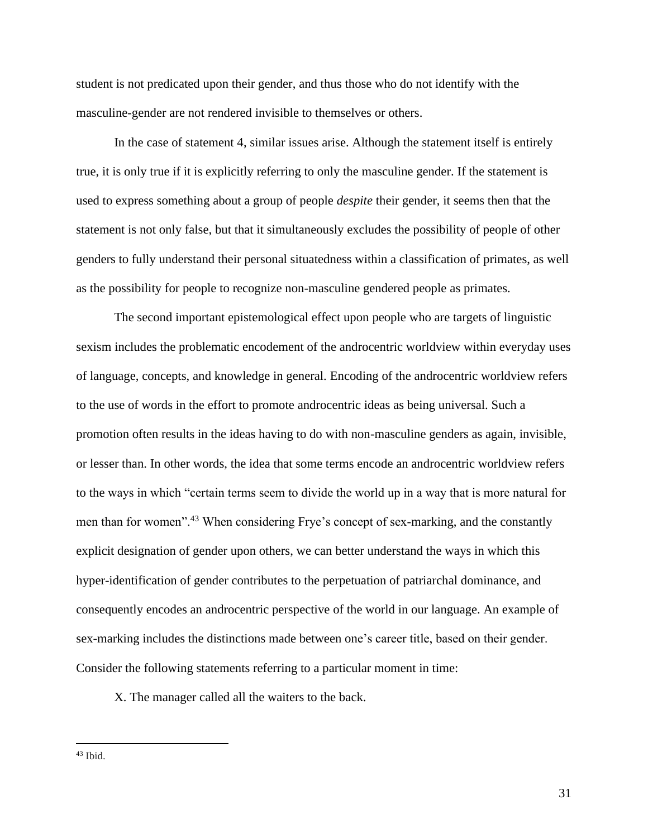student is not predicated upon their gender, and thus those who do not identify with the masculine-gender are not rendered invisible to themselves or others.

In the case of statement 4, similar issues arise. Although the statement itself is entirely true, it is only true if it is explicitly referring to only the masculine gender. If the statement is used to express something about a group of people *despite* their gender, it seems then that the statement is not only false, but that it simultaneously excludes the possibility of people of other genders to fully understand their personal situatedness within a classification of primates, as well as the possibility for people to recognize non-masculine gendered people as primates.

The second important epistemological effect upon people who are targets of linguistic sexism includes the problematic encodement of the androcentric worldview within everyday uses of language, concepts, and knowledge in general. Encoding of the androcentric worldview refers to the use of words in the effort to promote androcentric ideas as being universal. Such a promotion often results in the ideas having to do with non-masculine genders as again, invisible, or lesser than. In other words, the idea that some terms encode an androcentric worldview refers to the ways in which "certain terms seem to divide the world up in a way that is more natural for men than for women".<sup>43</sup> When considering Frye's concept of sex-marking, and the constantly explicit designation of gender upon others, we can better understand the ways in which this hyper-identification of gender contributes to the perpetuation of patriarchal dominance, and consequently encodes an androcentric perspective of the world in our language. An example of sex-marking includes the distinctions made between one's career title, based on their gender. Consider the following statements referring to a particular moment in time:

X. The manager called all the waiters to the back.

 $43$  Ibid.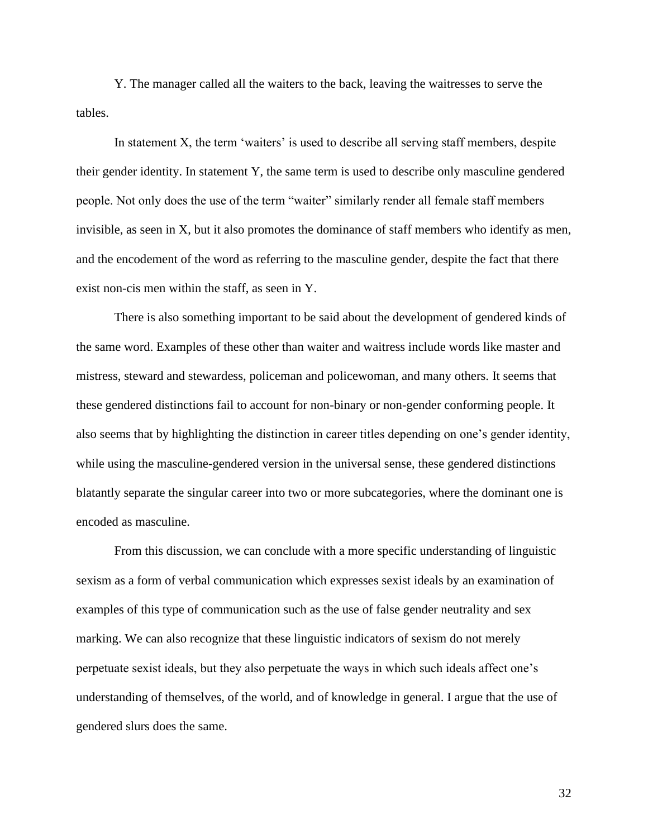Y. The manager called all the waiters to the back, leaving the waitresses to serve the tables.

In statement X, the term 'waiters' is used to describe all serving staff members, despite their gender identity. In statement Y, the same term is used to describe only masculine gendered people. Not only does the use of the term "waiter" similarly render all female staff members invisible, as seen in X, but it also promotes the dominance of staff members who identify as men, and the encodement of the word as referring to the masculine gender, despite the fact that there exist non-cis men within the staff, as seen in Y.

There is also something important to be said about the development of gendered kinds of the same word. Examples of these other than waiter and waitress include words like master and mistress, steward and stewardess, policeman and policewoman, and many others. It seems that these gendered distinctions fail to account for non-binary or non-gender conforming people. It also seems that by highlighting the distinction in career titles depending on one's gender identity, while using the masculine-gendered version in the universal sense, these gendered distinctions blatantly separate the singular career into two or more subcategories, where the dominant one is encoded as masculine.

From this discussion, we can conclude with a more specific understanding of linguistic sexism as a form of verbal communication which expresses sexist ideals by an examination of examples of this type of communication such as the use of false gender neutrality and sex marking. We can also recognize that these linguistic indicators of sexism do not merely perpetuate sexist ideals, but they also perpetuate the ways in which such ideals affect one's understanding of themselves, of the world, and of knowledge in general. I argue that the use of gendered slurs does the same.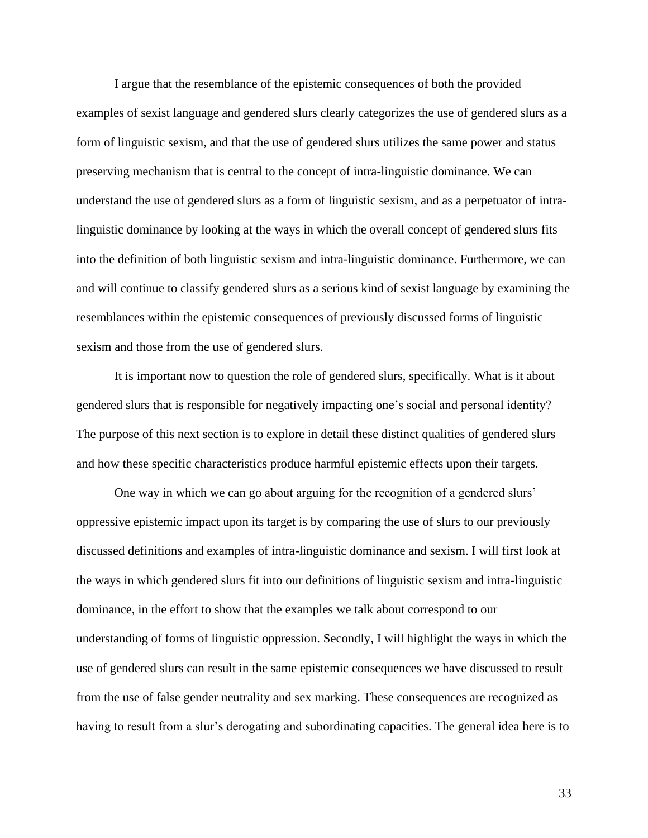I argue that the resemblance of the epistemic consequences of both the provided examples of sexist language and gendered slurs clearly categorizes the use of gendered slurs as a form of linguistic sexism, and that the use of gendered slurs utilizes the same power and status preserving mechanism that is central to the concept of intra-linguistic dominance. We can understand the use of gendered slurs as a form of linguistic sexism, and as a perpetuator of intralinguistic dominance by looking at the ways in which the overall concept of gendered slurs fits into the definition of both linguistic sexism and intra-linguistic dominance. Furthermore, we can and will continue to classify gendered slurs as a serious kind of sexist language by examining the resemblances within the epistemic consequences of previously discussed forms of linguistic sexism and those from the use of gendered slurs.

It is important now to question the role of gendered slurs, specifically. What is it about gendered slurs that is responsible for negatively impacting one's social and personal identity? The purpose of this next section is to explore in detail these distinct qualities of gendered slurs and how these specific characteristics produce harmful epistemic effects upon their targets.

One way in which we can go about arguing for the recognition of a gendered slurs' oppressive epistemic impact upon its target is by comparing the use of slurs to our previously discussed definitions and examples of intra-linguistic dominance and sexism. I will first look at the ways in which gendered slurs fit into our definitions of linguistic sexism and intra-linguistic dominance, in the effort to show that the examples we talk about correspond to our understanding of forms of linguistic oppression. Secondly, I will highlight the ways in which the use of gendered slurs can result in the same epistemic consequences we have discussed to result from the use of false gender neutrality and sex marking. These consequences are recognized as having to result from a slur's derogating and subordinating capacities. The general idea here is to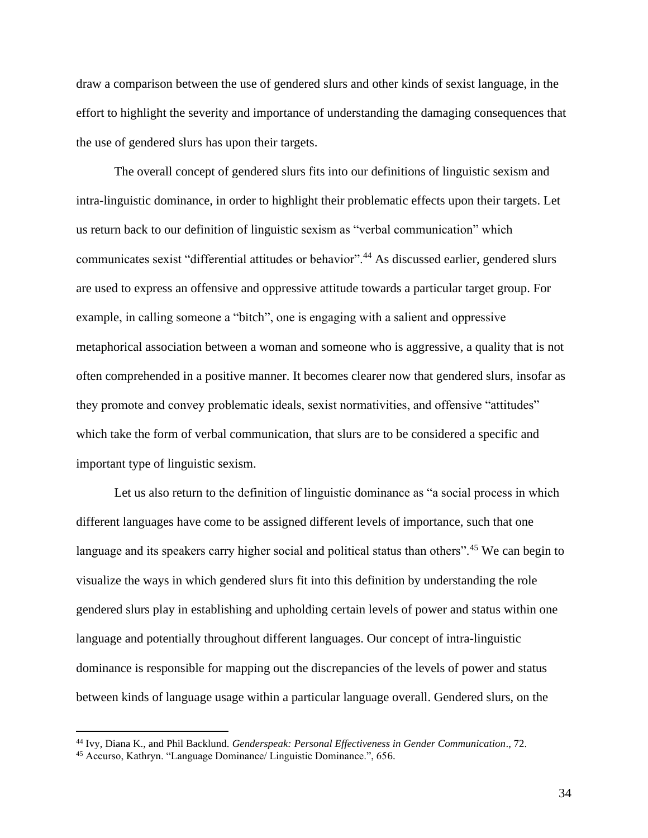draw a comparison between the use of gendered slurs and other kinds of sexist language, in the effort to highlight the severity and importance of understanding the damaging consequences that the use of gendered slurs has upon their targets.

The overall concept of gendered slurs fits into our definitions of linguistic sexism and intra-linguistic dominance, in order to highlight their problematic effects upon their targets. Let us return back to our definition of linguistic sexism as "verbal communication" which communicates sexist "differential attitudes or behavior".<sup>44</sup> As discussed earlier, gendered slurs are used to express an offensive and oppressive attitude towards a particular target group. For example, in calling someone a "bitch", one is engaging with a salient and oppressive metaphorical association between a woman and someone who is aggressive, a quality that is not often comprehended in a positive manner. It becomes clearer now that gendered slurs, insofar as they promote and convey problematic ideals, sexist normativities, and offensive "attitudes" which take the form of verbal communication, that slurs are to be considered a specific and important type of linguistic sexism.

Let us also return to the definition of linguistic dominance as "a social process in which different languages have come to be assigned different levels of importance, such that one language and its speakers carry higher social and political status than others".<sup>45</sup> We can begin to visualize the ways in which gendered slurs fit into this definition by understanding the role gendered slurs play in establishing and upholding certain levels of power and status within one language and potentially throughout different languages. Our concept of intra-linguistic dominance is responsible for mapping out the discrepancies of the levels of power and status between kinds of language usage within a particular language overall. Gendered slurs, on the

<sup>44</sup> Ivy, Diana K., and Phil Backlund. *Genderspeak: Personal Effectiveness in Gender Communication*., 72.

<sup>45</sup> Accurso, Kathryn. "Language Dominance/ Linguistic Dominance.", 656.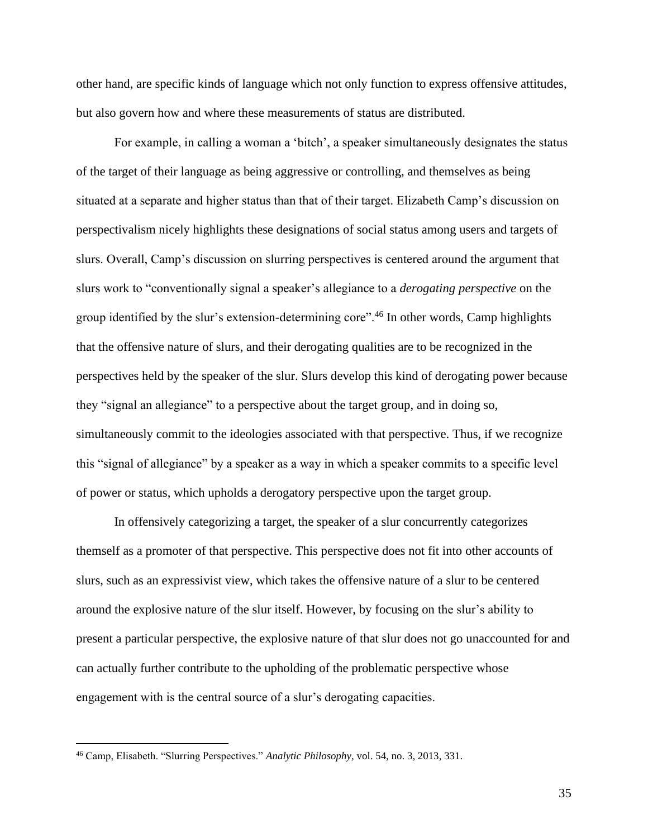other hand, are specific kinds of language which not only function to express offensive attitudes, but also govern how and where these measurements of status are distributed.

For example, in calling a woman a 'bitch', a speaker simultaneously designates the status of the target of their language as being aggressive or controlling, and themselves as being situated at a separate and higher status than that of their target. Elizabeth Camp's discussion on perspectivalism nicely highlights these designations of social status among users and targets of slurs. Overall, Camp's discussion on slurring perspectives is centered around the argument that slurs work to "conventionally signal a speaker's allegiance to a *derogating perspective* on the group identified by the slur's extension-determining core".<sup>46</sup> In other words, Camp highlights that the offensive nature of slurs, and their derogating qualities are to be recognized in the perspectives held by the speaker of the slur. Slurs develop this kind of derogating power because they "signal an allegiance" to a perspective about the target group, and in doing so, simultaneously commit to the ideologies associated with that perspective. Thus, if we recognize this "signal of allegiance" by a speaker as a way in which a speaker commits to a specific level of power or status, which upholds a derogatory perspective upon the target group.

In offensively categorizing a target, the speaker of a slur concurrently categorizes themself as a promoter of that perspective. This perspective does not fit into other accounts of slurs, such as an expressivist view, which takes the offensive nature of a slur to be centered around the explosive nature of the slur itself. However, by focusing on the slur's ability to present a particular perspective, the explosive nature of that slur does not go unaccounted for and can actually further contribute to the upholding of the problematic perspective whose engagement with is the central source of a slur's derogating capacities.

<sup>46</sup> Camp, Elisabeth. "Slurring Perspectives." *Analytic Philosophy*, vol. 54, no. 3, 2013, 331.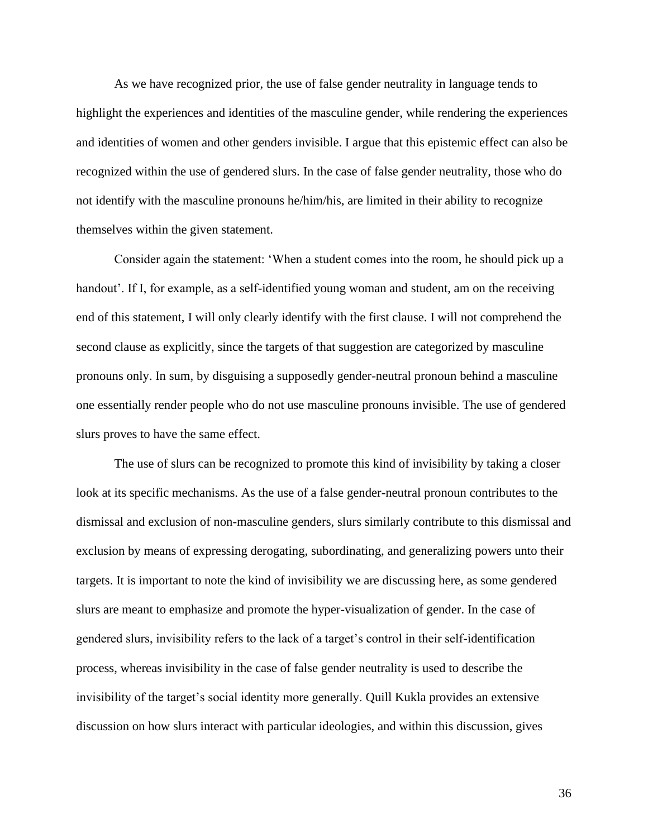As we have recognized prior, the use of false gender neutrality in language tends to highlight the experiences and identities of the masculine gender, while rendering the experiences and identities of women and other genders invisible. I argue that this epistemic effect can also be recognized within the use of gendered slurs. In the case of false gender neutrality, those who do not identify with the masculine pronouns he/him/his, are limited in their ability to recognize themselves within the given statement.

Consider again the statement: 'When a student comes into the room, he should pick up a handout'. If I, for example, as a self-identified young woman and student, am on the receiving end of this statement, I will only clearly identify with the first clause. I will not comprehend the second clause as explicitly, since the targets of that suggestion are categorized by masculine pronouns only. In sum, by disguising a supposedly gender-neutral pronoun behind a masculine one essentially render people who do not use masculine pronouns invisible. The use of gendered slurs proves to have the same effect.

The use of slurs can be recognized to promote this kind of invisibility by taking a closer look at its specific mechanisms. As the use of a false gender-neutral pronoun contributes to the dismissal and exclusion of non-masculine genders, slurs similarly contribute to this dismissal and exclusion by means of expressing derogating, subordinating, and generalizing powers unto their targets. It is important to note the kind of invisibility we are discussing here, as some gendered slurs are meant to emphasize and promote the hyper-visualization of gender. In the case of gendered slurs, invisibility refers to the lack of a target's control in their self-identification process, whereas invisibility in the case of false gender neutrality is used to describe the invisibility of the target's social identity more generally. Quill Kukla provides an extensive discussion on how slurs interact with particular ideologies, and within this discussion, gives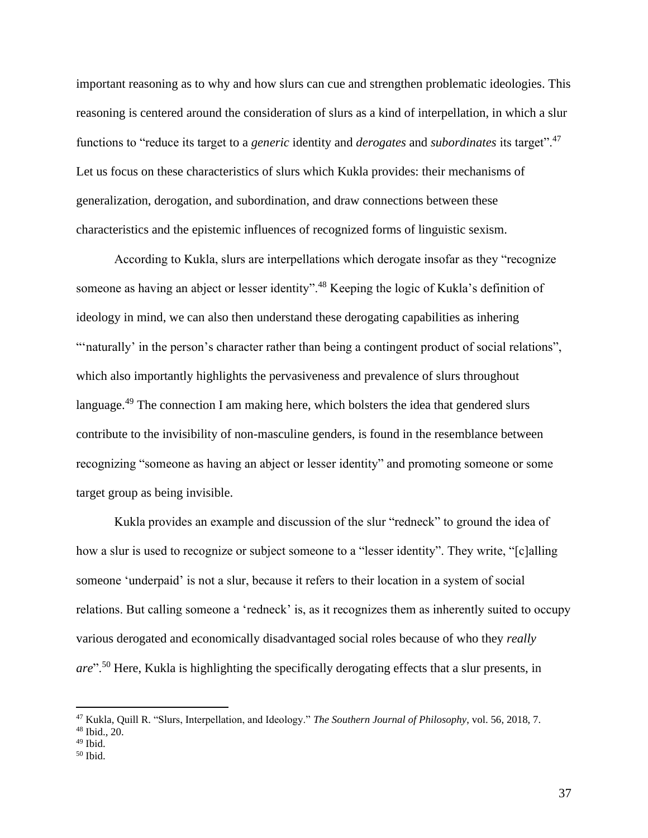important reasoning as to why and how slurs can cue and strengthen problematic ideologies. This reasoning is centered around the consideration of slurs as a kind of interpellation, in which a slur functions to "reduce its target to a *generic* identity and *derogates* and *subordinates* its target".<sup>47</sup> Let us focus on these characteristics of slurs which Kukla provides: their mechanisms of generalization, derogation, and subordination, and draw connections between these characteristics and the epistemic influences of recognized forms of linguistic sexism.

According to Kukla, slurs are interpellations which derogate insofar as they "recognize someone as having an abject or lesser identity".<sup>48</sup> Keeping the logic of Kukla's definition of ideology in mind, we can also then understand these derogating capabilities as inhering "'naturally' in the person's character rather than being a contingent product of social relations", which also importantly highlights the pervasiveness and prevalence of slurs throughout language.<sup>49</sup> The connection I am making here, which bolsters the idea that gendered slurs contribute to the invisibility of non-masculine genders, is found in the resemblance between recognizing "someone as having an abject or lesser identity" and promoting someone or some target group as being invisible.

Kukla provides an example and discussion of the slur "redneck" to ground the idea of how a slur is used to recognize or subject someone to a "lesser identity". They write, "[c]alling someone 'underpaid' is not a slur, because it refers to their location in a system of social relations. But calling someone a 'redneck' is, as it recognizes them as inherently suited to occupy various derogated and economically disadvantaged social roles because of who they *really are*".<sup>50</sup> Here, Kukla is highlighting the specifically derogating effects that a slur presents, in

<sup>47</sup> Kukla, Quill R. "Slurs, Interpellation, and Ideology." *The Southern Journal of Philosophy*, vol. 56, 2018, 7.

<sup>48</sup> Ibid., 20.

<sup>49</sup> Ibid.

<sup>50</sup> Ibid.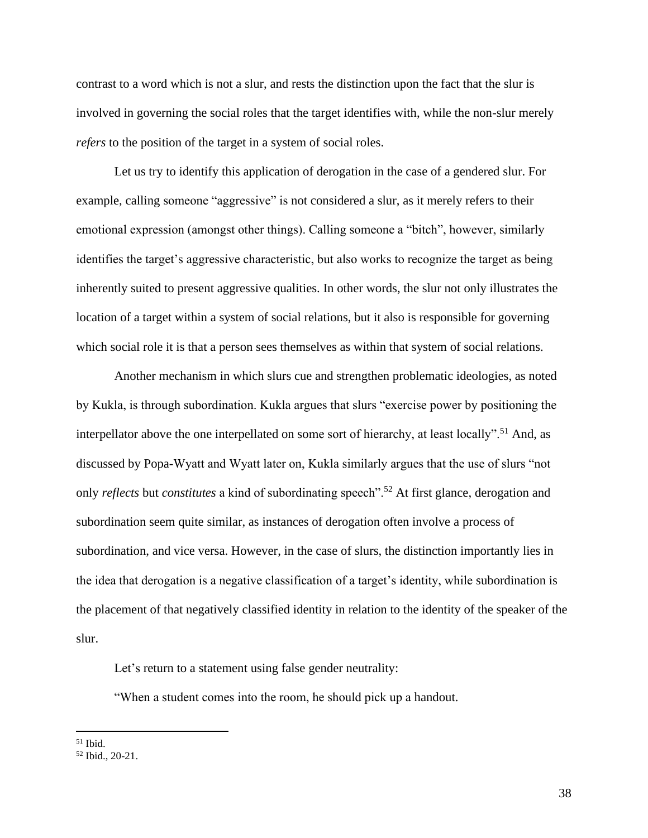contrast to a word which is not a slur, and rests the distinction upon the fact that the slur is involved in governing the social roles that the target identifies with, while the non-slur merely *refers* to the position of the target in a system of social roles.

Let us try to identify this application of derogation in the case of a gendered slur. For example, calling someone "aggressive" is not considered a slur, as it merely refers to their emotional expression (amongst other things). Calling someone a "bitch", however, similarly identifies the target's aggressive characteristic, but also works to recognize the target as being inherently suited to present aggressive qualities. In other words, the slur not only illustrates the location of a target within a system of social relations, but it also is responsible for governing which social role it is that a person sees themselves as within that system of social relations.

Another mechanism in which slurs cue and strengthen problematic ideologies, as noted by Kukla, is through subordination. Kukla argues that slurs "exercise power by positioning the interpellator above the one interpellated on some sort of hierarchy, at least locally".<sup>51</sup> And, as discussed by Popa-Wyatt and Wyatt later on, Kukla similarly argues that the use of slurs "not only *reflects* but *constitutes* a kind of subordinating speech".<sup>52</sup> At first glance, derogation and subordination seem quite similar, as instances of derogation often involve a process of subordination, and vice versa. However, in the case of slurs, the distinction importantly lies in the idea that derogation is a negative classification of a target's identity, while subordination is the placement of that negatively classified identity in relation to the identity of the speaker of the slur.

Let's return to a statement using false gender neutrality:

"When a student comes into the room, he should pick up a handout.

 $51$  Ibid.

<sup>52</sup> Ibid., 20-21.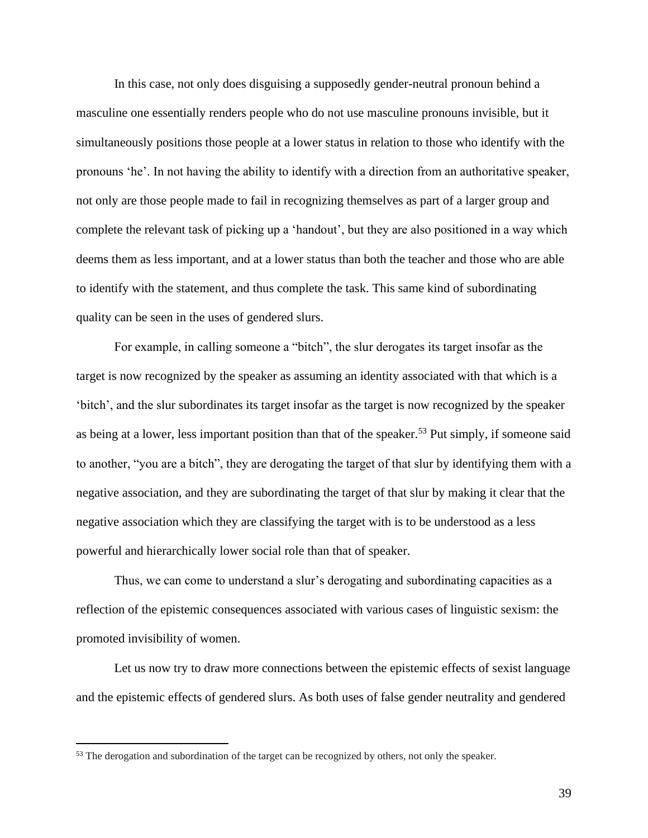In this case, not only does disguising a supposedly gender-neutral pronoun behind a masculine one essentially renders people who do not use masculine pronouns invisible, but it simultaneously positions those people at a lower status in relation to those who identify with the pronouns 'he'. In not having the ability to identify with a direction from an authoritative speaker, not only are those people made to fail in recognizing themselves as part of a larger group and complete the relevant task of picking up a 'handout', but they are also positioned in a way which deems them as less important, and at a lower status than both the teacher and those who are able to identify with the statement, and thus complete the task. This same kind of subordinating quality can be seen in the uses of gendered slurs.

For example, in calling someone a "bitch", the slur derogates its target insofar as the target is now recognized by the speaker as assuming an identity associated with that which is a 'bitch', and the slur subordinates its target insofar as the target is now recognized by the speaker as being at a lower, less important position than that of the speaker.<sup>53</sup> Put simply, if someone said to another, "you are a bitch", they are derogating the target of that slur by identifying them with a negative association, and they are subordinating the target of that slur by making it clear that the negative association which they are classifying the target with is to be understood as a less powerful and hierarchically lower social role than that of speaker.

Thus, we can come to understand a slur's derogating and subordinating capacities as a reflection of the epistemic consequences associated with various cases of linguistic sexism: the promoted invisibility of women.

Let us now try to draw more connections between the epistemic effects of sexist language and the epistemic effects of gendered slurs. As both uses of false gender neutrality and gendered

<sup>&</sup>lt;sup>53</sup> The derogation and subordination of the target can be recognized by others, not only the speaker.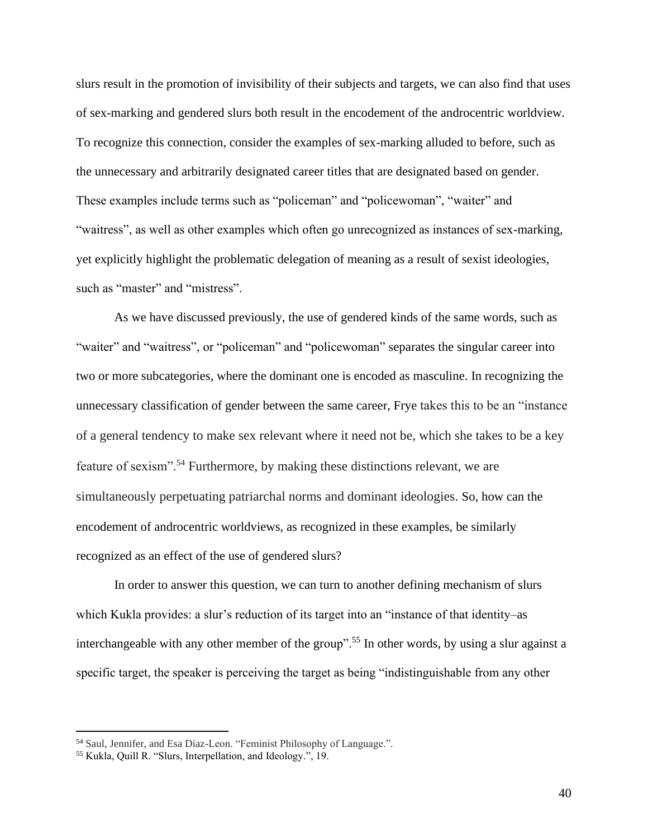slurs result in the promotion of invisibility of their subjects and targets, we can also find that uses of sex-marking and gendered slurs both result in the encodement of the androcentric worldview. To recognize this connection, consider the examples of sex-marking alluded to before, such as the unnecessary and arbitrarily designated career titles that are designated based on gender. These examples include terms such as "policeman" and "policewoman", "waiter" and "waitress", as well as other examples which often go unrecognized as instances of sex-marking, yet explicitly highlight the problematic delegation of meaning as a result of sexist ideologies, such as "master" and "mistress".

As we have discussed previously, the use of gendered kinds of the same words, such as "waiter" and "waitress", or "policeman" and "policewoman" separates the singular career into two or more subcategories, where the dominant one is encoded as masculine. In recognizing the unnecessary classification of gender between the same career, Frye takes this to be an "instance of a general tendency to make sex relevant where it need not be, which she takes to be a key feature of sexism".<sup>54</sup> Furthermore, by making these distinctions relevant, we are simultaneously perpetuating patriarchal norms and dominant ideologies. So, how can the encodement of androcentric worldviews, as recognized in these examples, be similarly recognized as an effect of the use of gendered slurs?

In order to answer this question, we can turn to another defining mechanism of slurs which Kukla provides: a slur's reduction of its target into an "instance of that identity–as interchangeable with any other member of the group".<sup>55</sup> In other words, by using a slur against a specific target, the speaker is perceiving the target as being "indistinguishable from any other

<sup>54</sup> Saul, Jennifer, and Esa Diaz-Leon. "Feminist Philosophy of Language.".

<sup>55</sup> Kukla, Quill R. "Slurs, Interpellation, and Ideology.", 19.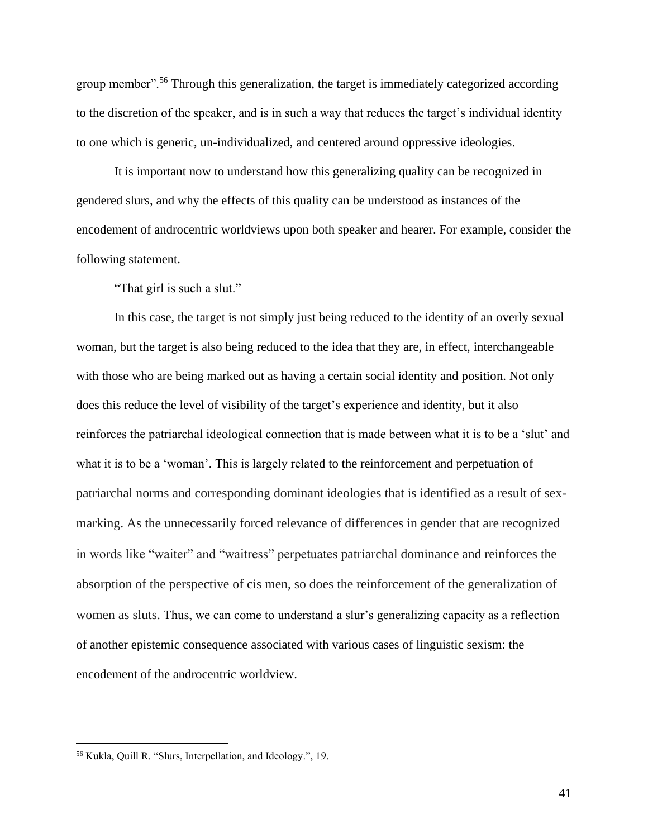group member".<sup>56</sup> Through this generalization, the target is immediately categorized according to the discretion of the speaker, and is in such a way that reduces the target's individual identity to one which is generic, un-individualized, and centered around oppressive ideologies.

It is important now to understand how this generalizing quality can be recognized in gendered slurs, and why the effects of this quality can be understood as instances of the encodement of androcentric worldviews upon both speaker and hearer. For example, consider the following statement.

"That girl is such a slut."

In this case, the target is not simply just being reduced to the identity of an overly sexual woman, but the target is also being reduced to the idea that they are, in effect, interchangeable with those who are being marked out as having a certain social identity and position. Not only does this reduce the level of visibility of the target's experience and identity, but it also reinforces the patriarchal ideological connection that is made between what it is to be a 'slut' and what it is to be a 'woman'. This is largely related to the reinforcement and perpetuation of patriarchal norms and corresponding dominant ideologies that is identified as a result of sexmarking. As the unnecessarily forced relevance of differences in gender that are recognized in words like "waiter" and "waitress" perpetuates patriarchal dominance and reinforces the absorption of the perspective of cis men, so does the reinforcement of the generalization of women as sluts. Thus, we can come to understand a slur's generalizing capacity as a reflection of another epistemic consequence associated with various cases of linguistic sexism: the encodement of the androcentric worldview.

<sup>56</sup> Kukla, Quill R. "Slurs, Interpellation, and Ideology.", 19.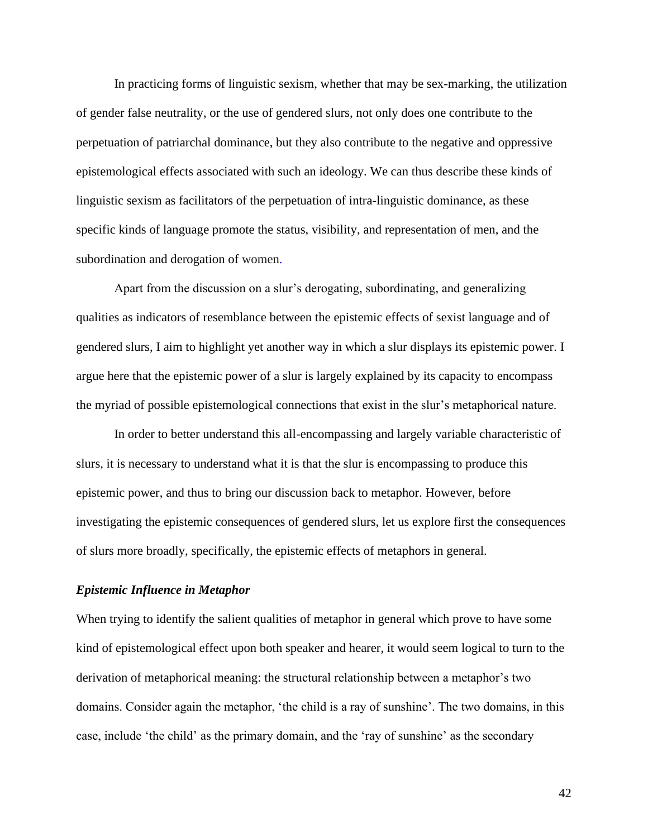In practicing forms of linguistic sexism, whether that may be sex-marking, the utilization of gender false neutrality, or the use of gendered slurs, not only does one contribute to the perpetuation of patriarchal dominance, but they also contribute to the negative and oppressive epistemological effects associated with such an ideology. We can thus describe these kinds of linguistic sexism as facilitators of the perpetuation of intra-linguistic dominance, as these specific kinds of language promote the status, visibility, and representation of men, and the subordination and derogation of women.

Apart from the discussion on a slur's derogating, subordinating, and generalizing qualities as indicators of resemblance between the epistemic effects of sexist language and of gendered slurs, I aim to highlight yet another way in which a slur displays its epistemic power. I argue here that the epistemic power of a slur is largely explained by its capacity to encompass the myriad of possible epistemological connections that exist in the slur's metaphorical nature.

In order to better understand this all-encompassing and largely variable characteristic of slurs, it is necessary to understand what it is that the slur is encompassing to produce this epistemic power, and thus to bring our discussion back to metaphor. However, before investigating the epistemic consequences of gendered slurs, let us explore first the consequences of slurs more broadly, specifically, the epistemic effects of metaphors in general.

## *Epistemic Influence in Metaphor*

When trying to identify the salient qualities of metaphor in general which prove to have some kind of epistemological effect upon both speaker and hearer, it would seem logical to turn to the derivation of metaphorical meaning: the structural relationship between a metaphor's two domains. Consider again the metaphor, 'the child is a ray of sunshine'. The two domains, in this case, include 'the child' as the primary domain, and the 'ray of sunshine' as the secondary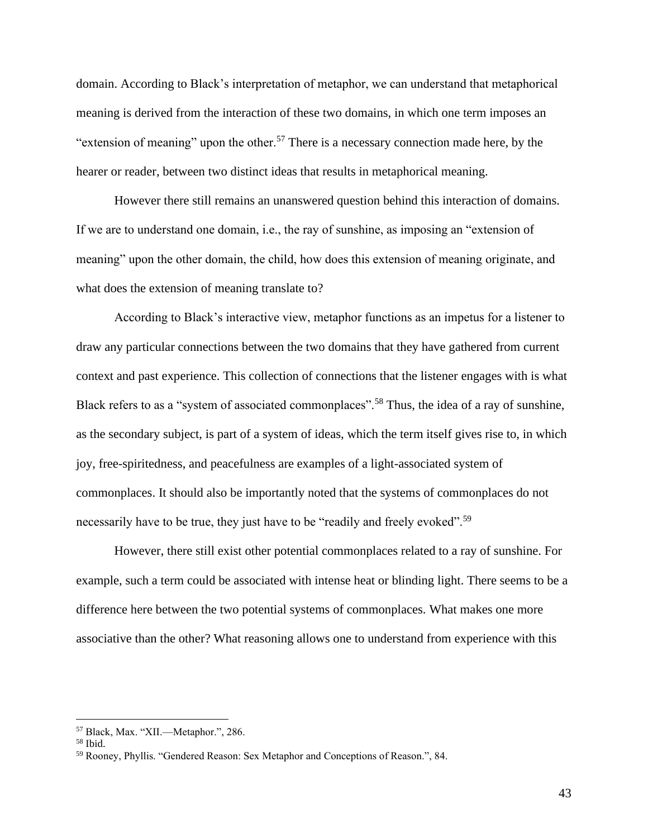domain. According to Black's interpretation of metaphor, we can understand that metaphorical meaning is derived from the interaction of these two domains, in which one term imposes an "extension of meaning" upon the other.<sup>57</sup> There is a necessary connection made here, by the hearer or reader, between two distinct ideas that results in metaphorical meaning.

However there still remains an unanswered question behind this interaction of domains. If we are to understand one domain, i.e., the ray of sunshine, as imposing an "extension of meaning" upon the other domain, the child, how does this extension of meaning originate, and what does the extension of meaning translate to?

According to Black's interactive view, metaphor functions as an impetus for a listener to draw any particular connections between the two domains that they have gathered from current context and past experience. This collection of connections that the listener engages with is what Black refers to as a "system of associated commonplaces".<sup>58</sup> Thus, the idea of a ray of sunshine, as the secondary subject, is part of a system of ideas, which the term itself gives rise to, in which joy, free-spiritedness, and peacefulness are examples of a light-associated system of commonplaces. It should also be importantly noted that the systems of commonplaces do not necessarily have to be true, they just have to be "readily and freely evoked".<sup>59</sup>

However, there still exist other potential commonplaces related to a ray of sunshine. For example, such a term could be associated with intense heat or blinding light. There seems to be a difference here between the two potential systems of commonplaces. What makes one more associative than the other? What reasoning allows one to understand from experience with this

<sup>57</sup> Black, Max. "XII.—Metaphor.", 286.

 $58$  Ibid.

<sup>59</sup> Rooney, Phyllis. "Gendered Reason: Sex Metaphor and Conceptions of Reason.", 84.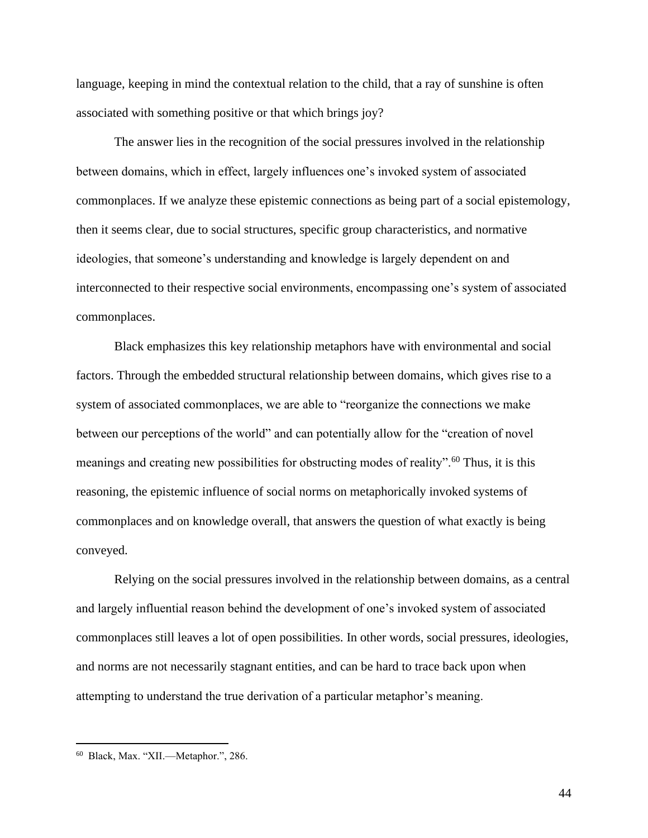language, keeping in mind the contextual relation to the child, that a ray of sunshine is often associated with something positive or that which brings joy?

The answer lies in the recognition of the social pressures involved in the relationship between domains, which in effect, largely influences one's invoked system of associated commonplaces. If we analyze these epistemic connections as being part of a social epistemology, then it seems clear, due to social structures, specific group characteristics, and normative ideologies, that someone's understanding and knowledge is largely dependent on and interconnected to their respective social environments, encompassing one's system of associated commonplaces.

Black emphasizes this key relationship metaphors have with environmental and social factors. Through the embedded structural relationship between domains, which gives rise to a system of associated commonplaces, we are able to "reorganize the connections we make between our perceptions of the world" and can potentially allow for the "creation of novel meanings and creating new possibilities for obstructing modes of reality".<sup>60</sup> Thus, it is this reasoning, the epistemic influence of social norms on metaphorically invoked systems of commonplaces and on knowledge overall, that answers the question of what exactly is being conveyed.

Relying on the social pressures involved in the relationship between domains, as a central and largely influential reason behind the development of one's invoked system of associated commonplaces still leaves a lot of open possibilities. In other words, social pressures, ideologies, and norms are not necessarily stagnant entities, and can be hard to trace back upon when attempting to understand the true derivation of a particular metaphor's meaning.

<sup>60</sup> Black, Max. "XII.—Metaphor.", 286.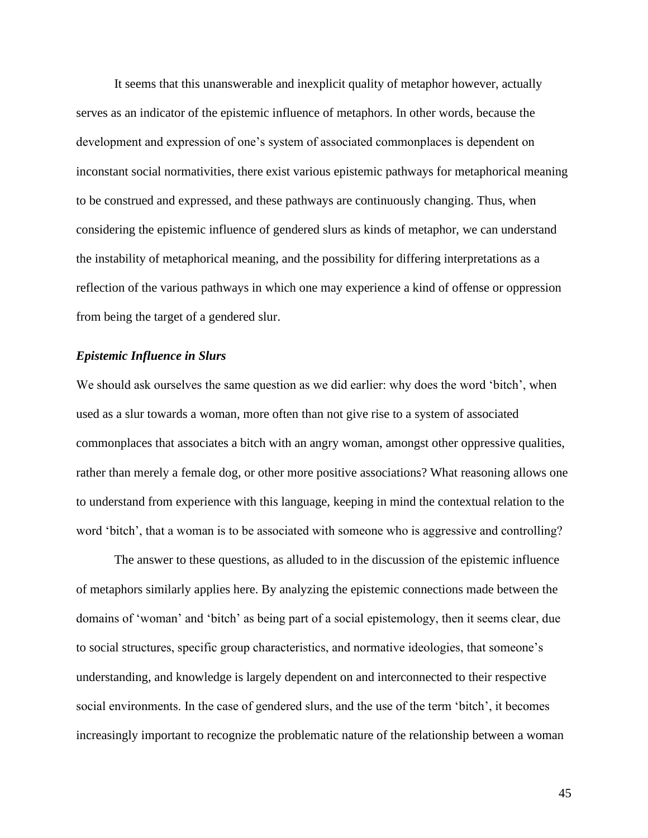It seems that this unanswerable and inexplicit quality of metaphor however, actually serves as an indicator of the epistemic influence of metaphors. In other words, because the development and expression of one's system of associated commonplaces is dependent on inconstant social normativities, there exist various epistemic pathways for metaphorical meaning to be construed and expressed, and these pathways are continuously changing. Thus, when considering the epistemic influence of gendered slurs as kinds of metaphor, we can understand the instability of metaphorical meaning, and the possibility for differing interpretations as a reflection of the various pathways in which one may experience a kind of offense or oppression from being the target of a gendered slur.

### *Epistemic Influence in Slurs*

We should ask ourselves the same question as we did earlier: why does the word 'bitch', when used as a slur towards a woman, more often than not give rise to a system of associated commonplaces that associates a bitch with an angry woman, amongst other oppressive qualities, rather than merely a female dog, or other more positive associations? What reasoning allows one to understand from experience with this language, keeping in mind the contextual relation to the word 'bitch', that a woman is to be associated with someone who is aggressive and controlling?

The answer to these questions, as alluded to in the discussion of the epistemic influence of metaphors similarly applies here. By analyzing the epistemic connections made between the domains of 'woman' and 'bitch' as being part of a social epistemology, then it seems clear, due to social structures, specific group characteristics, and normative ideologies, that someone's understanding, and knowledge is largely dependent on and interconnected to their respective social environments. In the case of gendered slurs, and the use of the term 'bitch', it becomes increasingly important to recognize the problematic nature of the relationship between a woman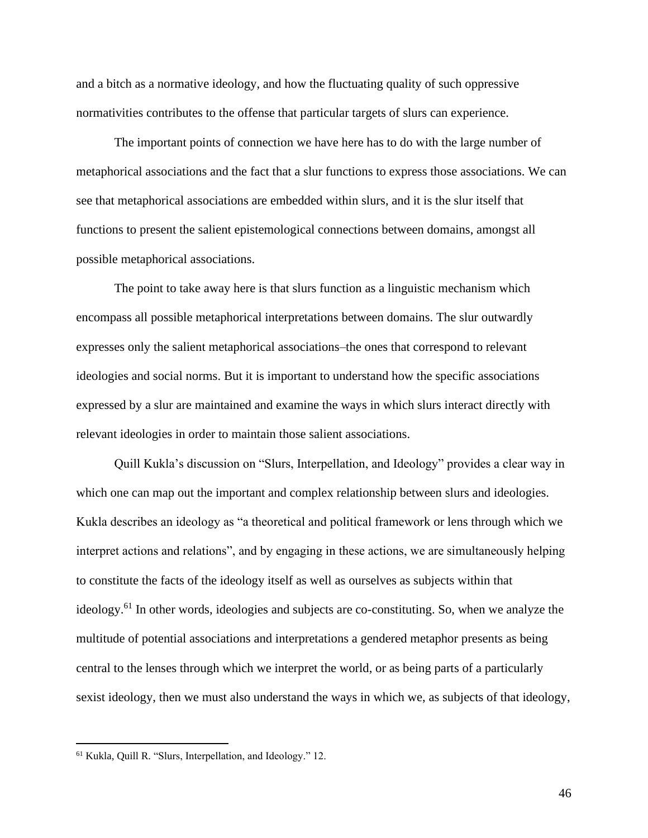and a bitch as a normative ideology, and how the fluctuating quality of such oppressive normativities contributes to the offense that particular targets of slurs can experience.

The important points of connection we have here has to do with the large number of metaphorical associations and the fact that a slur functions to express those associations. We can see that metaphorical associations are embedded within slurs, and it is the slur itself that functions to present the salient epistemological connections between domains, amongst all possible metaphorical associations.

The point to take away here is that slurs function as a linguistic mechanism which encompass all possible metaphorical interpretations between domains. The slur outwardly expresses only the salient metaphorical associations–the ones that correspond to relevant ideologies and social norms. But it is important to understand how the specific associations expressed by a slur are maintained and examine the ways in which slurs interact directly with relevant ideologies in order to maintain those salient associations.

Quill Kukla's discussion on "Slurs, Interpellation, and Ideology" provides a clear way in which one can map out the important and complex relationship between slurs and ideologies. Kukla describes an ideology as "a theoretical and political framework or lens through which we interpret actions and relations", and by engaging in these actions, we are simultaneously helping to constitute the facts of the ideology itself as well as ourselves as subjects within that ideology.<sup>61</sup> In other words, ideologies and subjects are co-constituting. So, when we analyze the multitude of potential associations and interpretations a gendered metaphor presents as being central to the lenses through which we interpret the world, or as being parts of a particularly sexist ideology, then we must also understand the ways in which we, as subjects of that ideology,

<sup>61</sup> Kukla, Quill R. "Slurs, Interpellation, and Ideology." 12.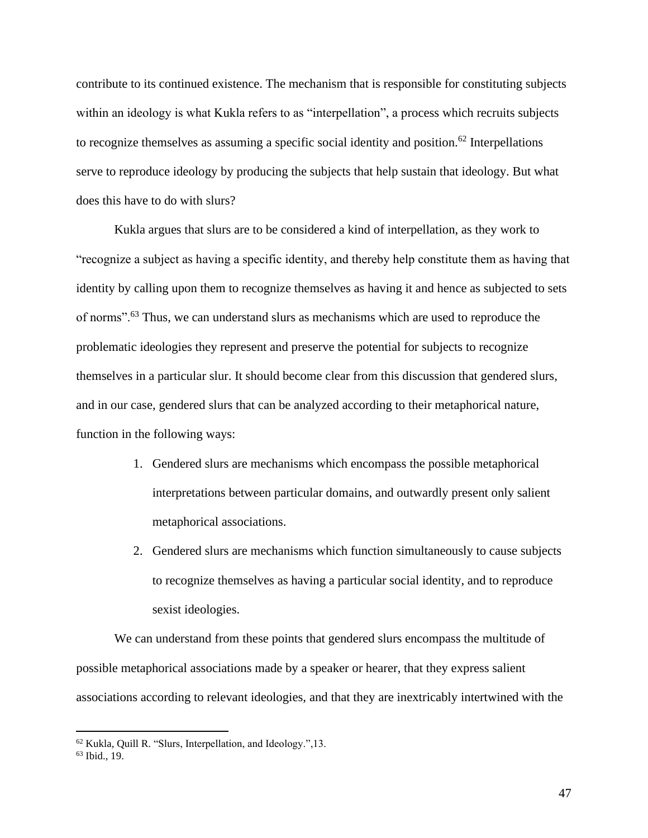contribute to its continued existence. The mechanism that is responsible for constituting subjects within an ideology is what Kukla refers to as "interpellation", a process which recruits subjects to recognize themselves as assuming a specific social identity and position.<sup>62</sup> Interpellations serve to reproduce ideology by producing the subjects that help sustain that ideology. But what does this have to do with slurs?

Kukla argues that slurs are to be considered a kind of interpellation, as they work to "recognize a subject as having a specific identity, and thereby help constitute them as having that identity by calling upon them to recognize themselves as having it and hence as subjected to sets of norms".<sup>63</sup> Thus, we can understand slurs as mechanisms which are used to reproduce the problematic ideologies they represent and preserve the potential for subjects to recognize themselves in a particular slur. It should become clear from this discussion that gendered slurs, and in our case, gendered slurs that can be analyzed according to their metaphorical nature, function in the following ways:

- 1. Gendered slurs are mechanisms which encompass the possible metaphorical interpretations between particular domains, and outwardly present only salient metaphorical associations.
- 2. Gendered slurs are mechanisms which function simultaneously to cause subjects to recognize themselves as having a particular social identity, and to reproduce sexist ideologies.

We can understand from these points that gendered slurs encompass the multitude of possible metaphorical associations made by a speaker or hearer, that they express salient associations according to relevant ideologies, and that they are inextricably intertwined with the

<sup>62</sup> Kukla, Quill R. "Slurs, Interpellation, and Ideology.",13.

<sup>63</sup> Ibid., 19.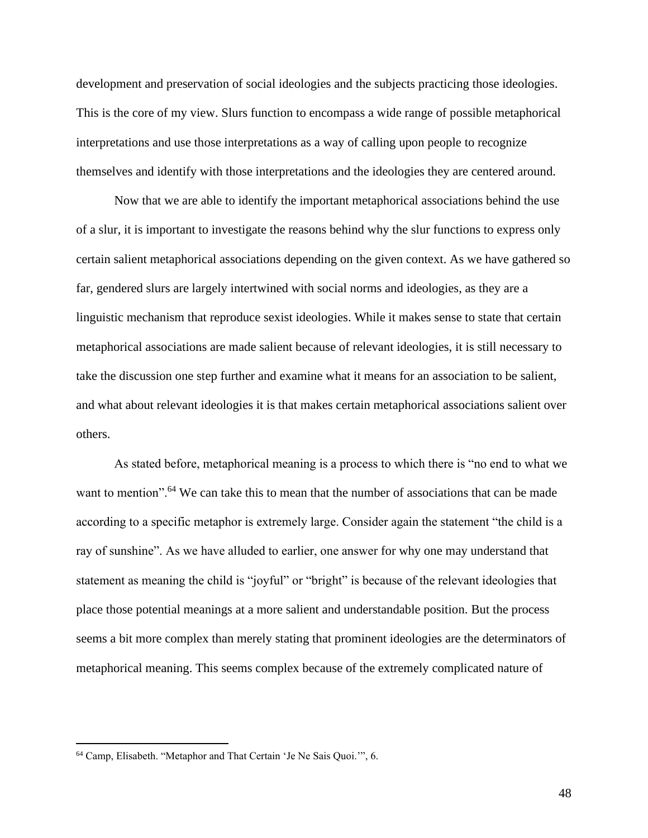development and preservation of social ideologies and the subjects practicing those ideologies. This is the core of my view. Slurs function to encompass a wide range of possible metaphorical interpretations and use those interpretations as a way of calling upon people to recognize themselves and identify with those interpretations and the ideologies they are centered around.

Now that we are able to identify the important metaphorical associations behind the use of a slur, it is important to investigate the reasons behind why the slur functions to express only certain salient metaphorical associations depending on the given context. As we have gathered so far, gendered slurs are largely intertwined with social norms and ideologies, as they are a linguistic mechanism that reproduce sexist ideologies. While it makes sense to state that certain metaphorical associations are made salient because of relevant ideologies, it is still necessary to take the discussion one step further and examine what it means for an association to be salient, and what about relevant ideologies it is that makes certain metaphorical associations salient over others.

As stated before, metaphorical meaning is a process to which there is "no end to what we want to mention".<sup>64</sup> We can take this to mean that the number of associations that can be made according to a specific metaphor is extremely large. Consider again the statement "the child is a ray of sunshine". As we have alluded to earlier, one answer for why one may understand that statement as meaning the child is "joyful" or "bright" is because of the relevant ideologies that place those potential meanings at a more salient and understandable position. But the process seems a bit more complex than merely stating that prominent ideologies are the determinators of metaphorical meaning. This seems complex because of the extremely complicated nature of

<sup>64</sup> Camp, Elisabeth. "Metaphor and That Certain 'Je Ne Sais Quoi.'", 6.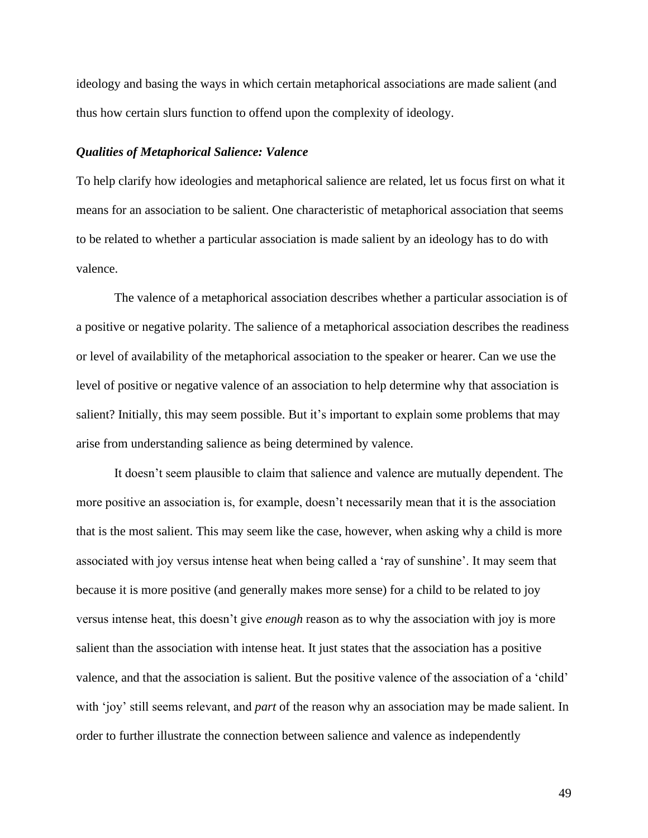ideology and basing the ways in which certain metaphorical associations are made salient (and thus how certain slurs function to offend upon the complexity of ideology.

## *Qualities of Metaphorical Salience: Valence*

To help clarify how ideologies and metaphorical salience are related, let us focus first on what it means for an association to be salient. One characteristic of metaphorical association that seems to be related to whether a particular association is made salient by an ideology has to do with valence.

The valence of a metaphorical association describes whether a particular association is of a positive or negative polarity. The salience of a metaphorical association describes the readiness or level of availability of the metaphorical association to the speaker or hearer. Can we use the level of positive or negative valence of an association to help determine why that association is salient? Initially, this may seem possible. But it's important to explain some problems that may arise from understanding salience as being determined by valence.

It doesn't seem plausible to claim that salience and valence are mutually dependent. The more positive an association is, for example, doesn't necessarily mean that it is the association that is the most salient. This may seem like the case, however, when asking why a child is more associated with joy versus intense heat when being called a 'ray of sunshine'. It may seem that because it is more positive (and generally makes more sense) for a child to be related to joy versus intense heat, this doesn't give *enough* reason as to why the association with joy is more salient than the association with intense heat. It just states that the association has a positive valence, and that the association is salient. But the positive valence of the association of a 'child' with 'joy' still seems relevant, and *part* of the reason why an association may be made salient. In order to further illustrate the connection between salience and valence as independently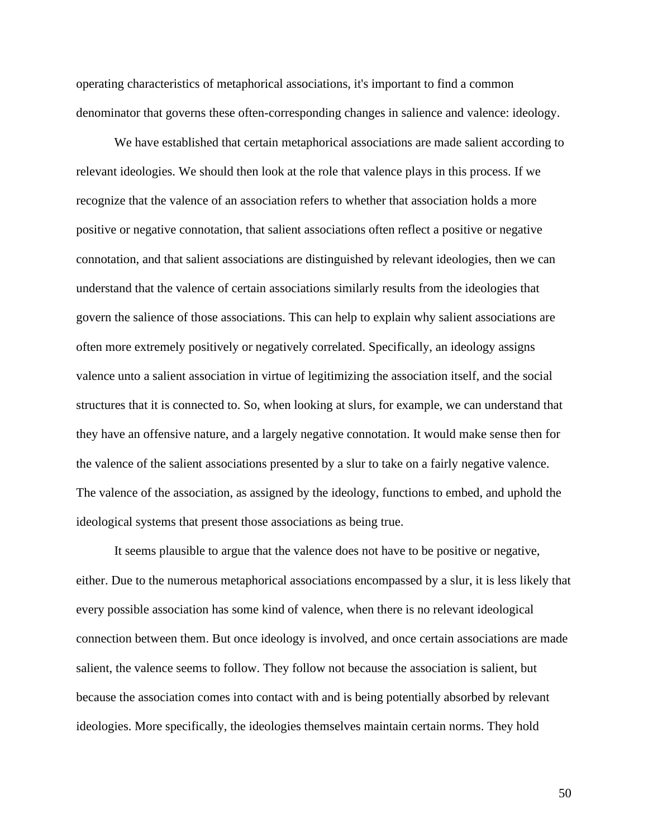operating characteristics of metaphorical associations, it's important to find a common denominator that governs these often-corresponding changes in salience and valence: ideology.

We have established that certain metaphorical associations are made salient according to relevant ideologies. We should then look at the role that valence plays in this process. If we recognize that the valence of an association refers to whether that association holds a more positive or negative connotation, that salient associations often reflect a positive or negative connotation, and that salient associations are distinguished by relevant ideologies, then we can understand that the valence of certain associations similarly results from the ideologies that govern the salience of those associations. This can help to explain why salient associations are often more extremely positively or negatively correlated. Specifically, an ideology assigns valence unto a salient association in virtue of legitimizing the association itself, and the social structures that it is connected to. So, when looking at slurs, for example, we can understand that they have an offensive nature, and a largely negative connotation. It would make sense then for the valence of the salient associations presented by a slur to take on a fairly negative valence. The valence of the association, as assigned by the ideology, functions to embed, and uphold the ideological systems that present those associations as being true.

It seems plausible to argue that the valence does not have to be positive or negative, either. Due to the numerous metaphorical associations encompassed by a slur, it is less likely that every possible association has some kind of valence, when there is no relevant ideological connection between them. But once ideology is involved, and once certain associations are made salient, the valence seems to follow. They follow not because the association is salient, but because the association comes into contact with and is being potentially absorbed by relevant ideologies. More specifically, the ideologies themselves maintain certain norms. They hold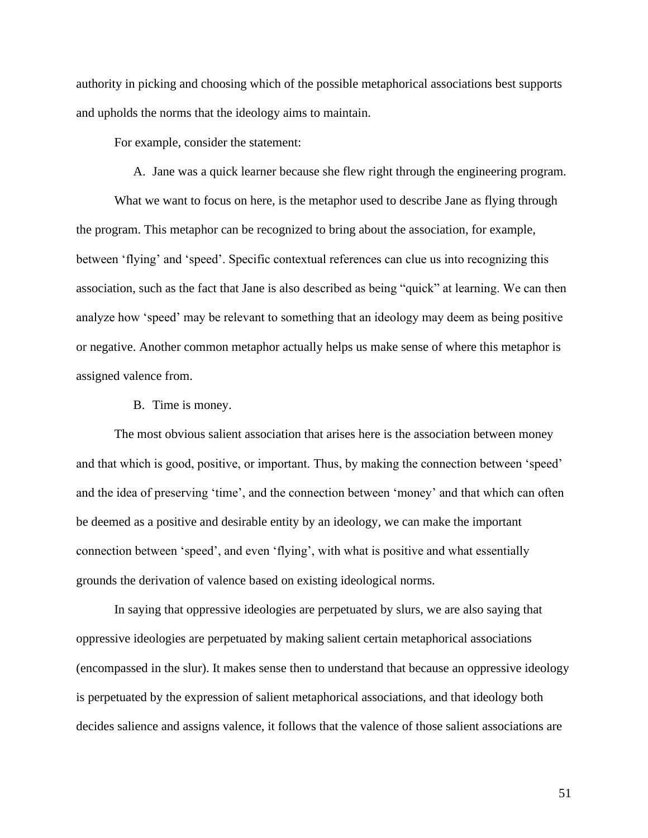authority in picking and choosing which of the possible metaphorical associations best supports and upholds the norms that the ideology aims to maintain.

For example, consider the statement:

A. Jane was a quick learner because she flew right through the engineering program.

What we want to focus on here, is the metaphor used to describe Jane as flying through the program. This metaphor can be recognized to bring about the association, for example, between 'flying' and 'speed'. Specific contextual references can clue us into recognizing this association, such as the fact that Jane is also described as being "quick" at learning. We can then analyze how 'speed' may be relevant to something that an ideology may deem as being positive or negative. Another common metaphor actually helps us make sense of where this metaphor is assigned valence from.

### B. Time is money.

The most obvious salient association that arises here is the association between money and that which is good, positive, or important. Thus, by making the connection between 'speed' and the idea of preserving 'time', and the connection between 'money' and that which can often be deemed as a positive and desirable entity by an ideology, we can make the important connection between 'speed', and even 'flying', with what is positive and what essentially grounds the derivation of valence based on existing ideological norms.

In saying that oppressive ideologies are perpetuated by slurs, we are also saying that oppressive ideologies are perpetuated by making salient certain metaphorical associations (encompassed in the slur). It makes sense then to understand that because an oppressive ideology is perpetuated by the expression of salient metaphorical associations, and that ideology both decides salience and assigns valence, it follows that the valence of those salient associations are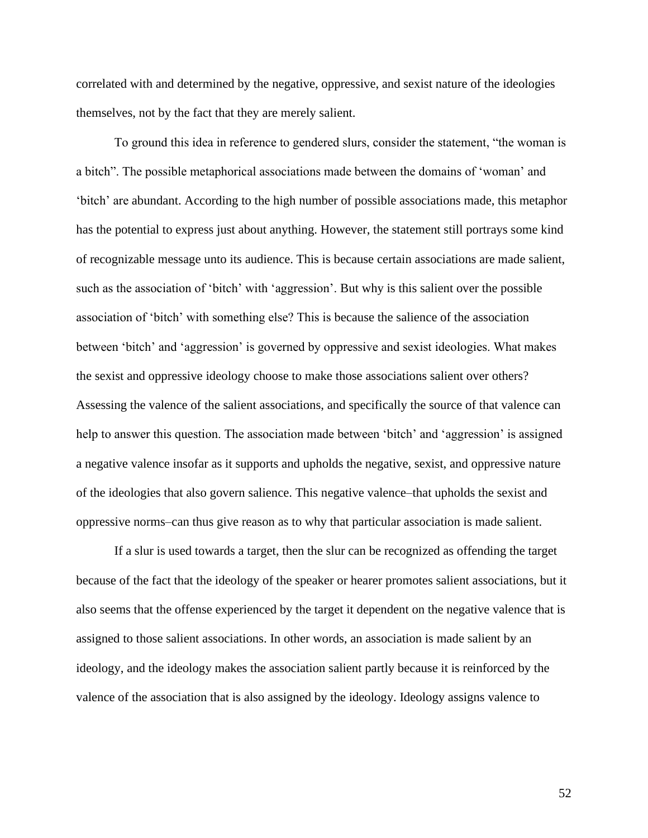correlated with and determined by the negative, oppressive, and sexist nature of the ideologies themselves, not by the fact that they are merely salient.

To ground this idea in reference to gendered slurs, consider the statement, "the woman is a bitch". The possible metaphorical associations made between the domains of 'woman' and 'bitch' are abundant. According to the high number of possible associations made, this metaphor has the potential to express just about anything. However, the statement still portrays some kind of recognizable message unto its audience. This is because certain associations are made salient, such as the association of 'bitch' with 'aggression'. But why is this salient over the possible association of 'bitch' with something else? This is because the salience of the association between 'bitch' and 'aggression' is governed by oppressive and sexist ideologies. What makes the sexist and oppressive ideology choose to make those associations salient over others? Assessing the valence of the salient associations, and specifically the source of that valence can help to answer this question. The association made between 'bitch' and 'aggression' is assigned a negative valence insofar as it supports and upholds the negative, sexist, and oppressive nature of the ideologies that also govern salience. This negative valence–that upholds the sexist and oppressive norms–can thus give reason as to why that particular association is made salient.

If a slur is used towards a target, then the slur can be recognized as offending the target because of the fact that the ideology of the speaker or hearer promotes salient associations, but it also seems that the offense experienced by the target it dependent on the negative valence that is assigned to those salient associations. In other words, an association is made salient by an ideology, and the ideology makes the association salient partly because it is reinforced by the valence of the association that is also assigned by the ideology. Ideology assigns valence to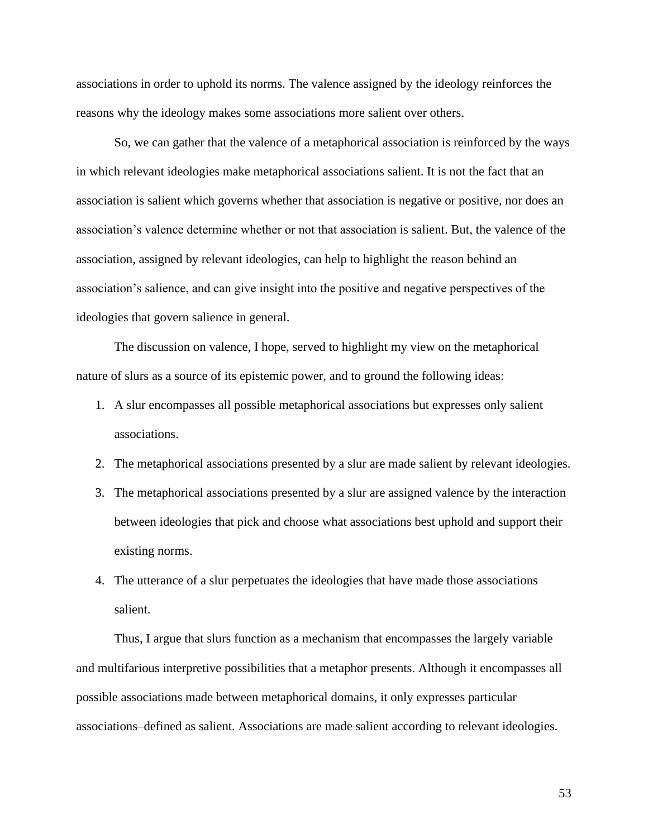associations in order to uphold its norms. The valence assigned by the ideology reinforces the reasons why the ideology makes some associations more salient over others.

So, we can gather that the valence of a metaphorical association is reinforced by the ways in which relevant ideologies make metaphorical associations salient. It is not the fact that an association is salient which governs whether that association is negative or positive, nor does an association's valence determine whether or not that association is salient. But, the valence of the association, assigned by relevant ideologies, can help to highlight the reason behind an association's salience, and can give insight into the positive and negative perspectives of the ideologies that govern salience in general.

The discussion on valence, I hope, served to highlight my view on the metaphorical nature of slurs as a source of its epistemic power, and to ground the following ideas:

- 1. A slur encompasses all possible metaphorical associations but expresses only salient associations.
- 2. The metaphorical associations presented by a slur are made salient by relevant ideologies.
- 3. The metaphorical associations presented by a slur are assigned valence by the interaction between ideologies that pick and choose what associations best uphold and support their existing norms.
- 4. The utterance of a slur perpetuates the ideologies that have made those associations salient.

Thus, I argue that slurs function as a mechanism that encompasses the largely variable and multifarious interpretive possibilities that a metaphor presents. Although it encompasses all possible associations made between metaphorical domains, it only expresses particular associations–defined as salient. Associations are made salient according to relevant ideologies.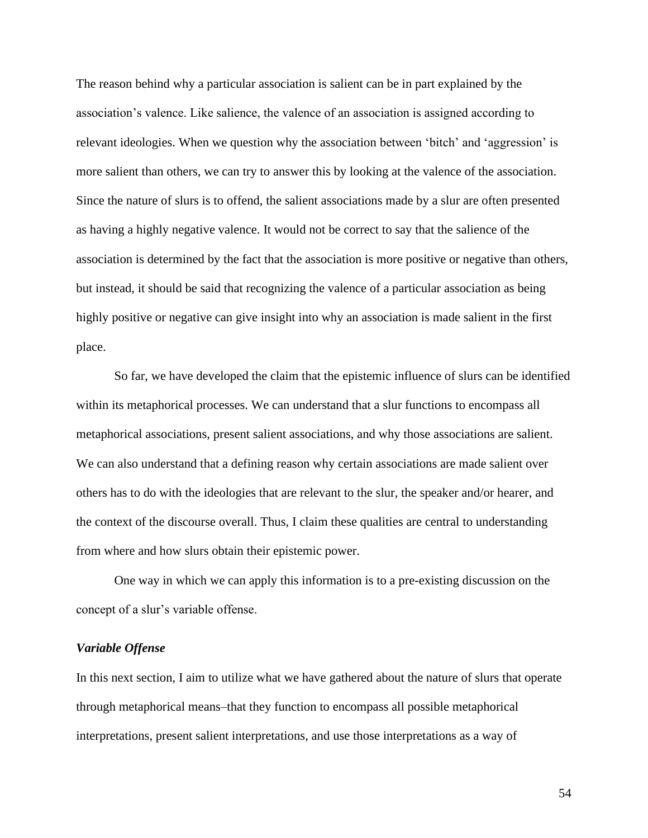The reason behind why a particular association is salient can be in part explained by the association's valence. Like salience, the valence of an association is assigned according to relevant ideologies. When we question why the association between 'bitch' and 'aggression' is more salient than others, we can try to answer this by looking at the valence of the association. Since the nature of slurs is to offend, the salient associations made by a slur are often presented as having a highly negative valence. It would not be correct to say that the salience of the association is determined by the fact that the association is more positive or negative than others, but instead, it should be said that recognizing the valence of a particular association as being highly positive or negative can give insight into why an association is made salient in the first place.

So far, we have developed the claim that the epistemic influence of slurs can be identified within its metaphorical processes. We can understand that a slur functions to encompass all metaphorical associations, present salient associations, and why those associations are salient. We can also understand that a defining reason why certain associations are made salient over others has to do with the ideologies that are relevant to the slur, the speaker and/or hearer, and the context of the discourse overall. Thus, I claim these qualities are central to understanding from where and how slurs obtain their epistemic power.

One way in which we can apply this information is to a pre-existing discussion on the concept of a slur's variable offense.

# *Variable Offense*

In this next section, I aim to utilize what we have gathered about the nature of slurs that operate through metaphorical means–that they function to encompass all possible metaphorical interpretations, present salient interpretations, and use those interpretations as a way of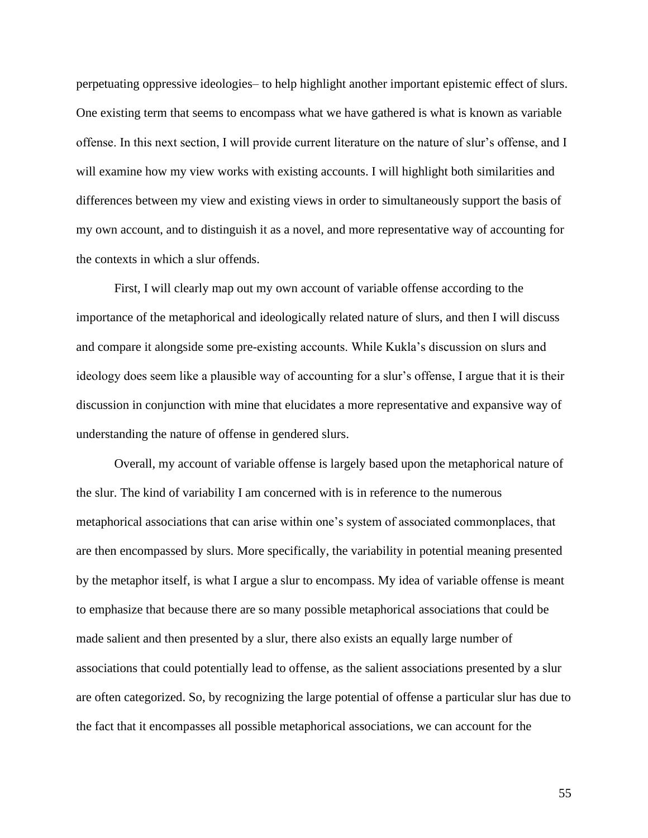perpetuating oppressive ideologies– to help highlight another important epistemic effect of slurs. One existing term that seems to encompass what we have gathered is what is known as variable offense. In this next section, I will provide current literature on the nature of slur's offense, and I will examine how my view works with existing accounts. I will highlight both similarities and differences between my view and existing views in order to simultaneously support the basis of my own account, and to distinguish it as a novel, and more representative way of accounting for the contexts in which a slur offends.

First, I will clearly map out my own account of variable offense according to the importance of the metaphorical and ideologically related nature of slurs, and then I will discuss and compare it alongside some pre-existing accounts. While Kukla's discussion on slurs and ideology does seem like a plausible way of accounting for a slur's offense, I argue that it is their discussion in conjunction with mine that elucidates a more representative and expansive way of understanding the nature of offense in gendered slurs.

Overall, my account of variable offense is largely based upon the metaphorical nature of the slur. The kind of variability I am concerned with is in reference to the numerous metaphorical associations that can arise within one's system of associated commonplaces, that are then encompassed by slurs. More specifically, the variability in potential meaning presented by the metaphor itself, is what I argue a slur to encompass. My idea of variable offense is meant to emphasize that because there are so many possible metaphorical associations that could be made salient and then presented by a slur, there also exists an equally large number of associations that could potentially lead to offense, as the salient associations presented by a slur are often categorized. So, by recognizing the large potential of offense a particular slur has due to the fact that it encompasses all possible metaphorical associations, we can account for the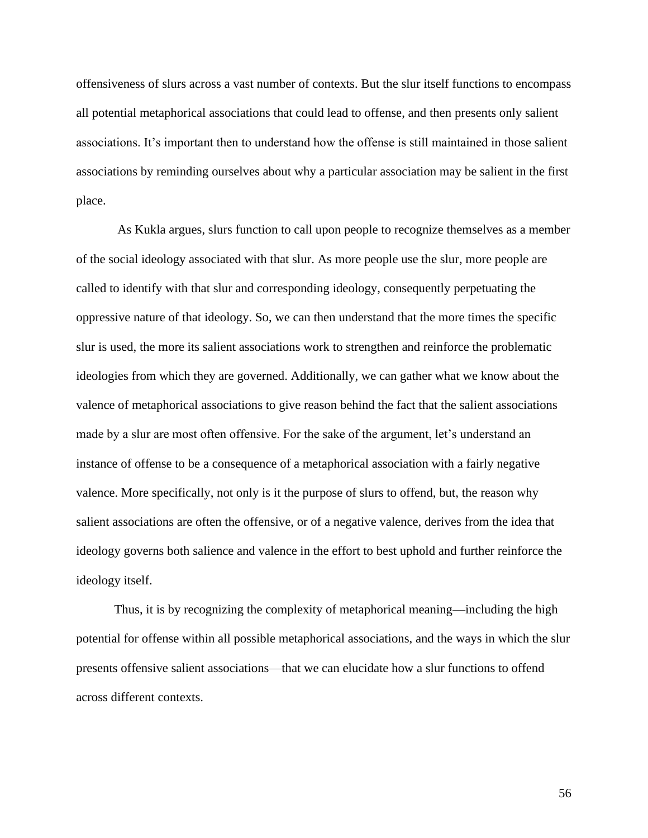offensiveness of slurs across a vast number of contexts. But the slur itself functions to encompass all potential metaphorical associations that could lead to offense, and then presents only salient associations. It's important then to understand how the offense is still maintained in those salient associations by reminding ourselves about why a particular association may be salient in the first place.

As Kukla argues, slurs function to call upon people to recognize themselves as a member of the social ideology associated with that slur. As more people use the slur, more people are called to identify with that slur and corresponding ideology, consequently perpetuating the oppressive nature of that ideology. So, we can then understand that the more times the specific slur is used, the more its salient associations work to strengthen and reinforce the problematic ideologies from which they are governed. Additionally, we can gather what we know about the valence of metaphorical associations to give reason behind the fact that the salient associations made by a slur are most often offensive. For the sake of the argument, let's understand an instance of offense to be a consequence of a metaphorical association with a fairly negative valence. More specifically, not only is it the purpose of slurs to offend, but, the reason why salient associations are often the offensive, or of a negative valence, derives from the idea that ideology governs both salience and valence in the effort to best uphold and further reinforce the ideology itself.

Thus, it is by recognizing the complexity of metaphorical meaning—including the high potential for offense within all possible metaphorical associations, and the ways in which the slur presents offensive salient associations—that we can elucidate how a slur functions to offend across different contexts.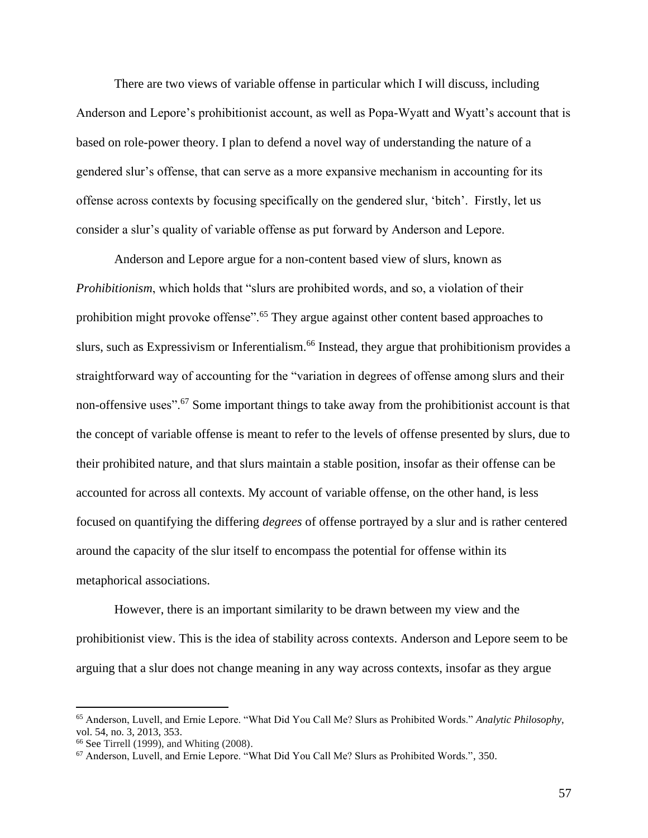There are two views of variable offense in particular which I will discuss, including Anderson and Lepore's prohibitionist account, as well as Popa-Wyatt and Wyatt's account that is based on role-power theory. I plan to defend a novel way of understanding the nature of a gendered slur's offense, that can serve as a more expansive mechanism in accounting for its offense across contexts by focusing specifically on the gendered slur, 'bitch'. Firstly, let us consider a slur's quality of variable offense as put forward by Anderson and Lepore.

Anderson and Lepore argue for a non-content based view of slurs, known as *Prohibitionism*, which holds that "slurs are prohibited words, and so, a violation of their prohibition might provoke offense".<sup>65</sup> They argue against other content based approaches to slurs, such as Expressivism or Inferentialism.<sup>66</sup> Instead, they argue that prohibitionism provides a straightforward way of accounting for the "variation in degrees of offense among slurs and their non-offensive uses".<sup>67</sup> Some important things to take away from the prohibitionist account is that the concept of variable offense is meant to refer to the levels of offense presented by slurs, due to their prohibited nature, and that slurs maintain a stable position, insofar as their offense can be accounted for across all contexts. My account of variable offense, on the other hand, is less focused on quantifying the differing *degrees* of offense portrayed by a slur and is rather centered around the capacity of the slur itself to encompass the potential for offense within its metaphorical associations.

However, there is an important similarity to be drawn between my view and the prohibitionist view. This is the idea of stability across contexts. Anderson and Lepore seem to be arguing that a slur does not change meaning in any way across contexts, insofar as they argue

<sup>65</sup> Anderson, Luvell, and Ernie Lepore. "What Did You Call Me? Slurs as Prohibited Words." *Analytic Philosophy*, vol. 54, no. 3, 2013, 353.

<sup>66</sup> See Tirrell (1999), and Whiting (2008).

<sup>67</sup> Anderson, Luvell, and Ernie Lepore. "What Did You Call Me? Slurs as Prohibited Words.", 350.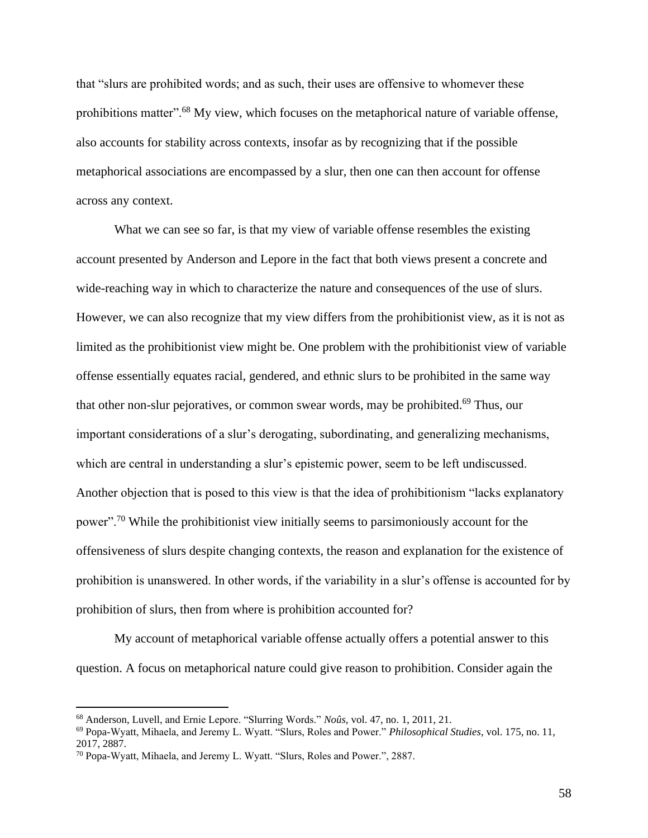that "slurs are prohibited words; and as such, their uses are offensive to whomever these prohibitions matter".<sup>68</sup> My view, which focuses on the metaphorical nature of variable offense, also accounts for stability across contexts, insofar as by recognizing that if the possible metaphorical associations are encompassed by a slur, then one can then account for offense across any context.

What we can see so far, is that my view of variable offense resembles the existing account presented by Anderson and Lepore in the fact that both views present a concrete and wide-reaching way in which to characterize the nature and consequences of the use of slurs. However, we can also recognize that my view differs from the prohibitionist view, as it is not as limited as the prohibitionist view might be. One problem with the prohibitionist view of variable offense essentially equates racial, gendered, and ethnic slurs to be prohibited in the same way that other non-slur pejoratives, or common swear words, may be prohibited.<sup>69</sup> Thus, our important considerations of a slur's derogating, subordinating, and generalizing mechanisms, which are central in understanding a slur's epistemic power, seem to be left undiscussed. Another objection that is posed to this view is that the idea of prohibitionism "lacks explanatory power".<sup>70</sup> While the prohibitionist view initially seems to parsimoniously account for the offensiveness of slurs despite changing contexts, the reason and explanation for the existence of prohibition is unanswered. In other words, if the variability in a slur's offense is accounted for by prohibition of slurs, then from where is prohibition accounted for?

My account of metaphorical variable offense actually offers a potential answer to this question. A focus on metaphorical nature could give reason to prohibition. Consider again the

<sup>68</sup> Anderson, Luvell, and Ernie Lepore. "Slurring Words." *Noûs*, vol. 47, no. 1, 2011, 21.

<sup>69</sup> Popa-Wyatt, Mihaela, and Jeremy L. Wyatt. "Slurs, Roles and Power." *Philosophical Studies*, vol. 175, no. 11, 2017, 2887.

<sup>70</sup> Popa-Wyatt, Mihaela, and Jeremy L. Wyatt. "Slurs, Roles and Power.", 2887.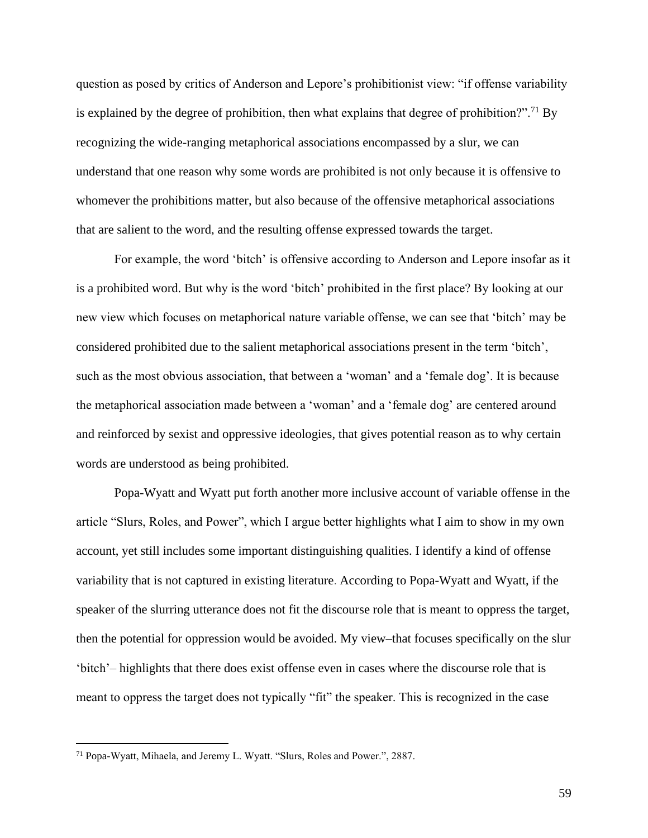question as posed by critics of Anderson and Lepore's prohibitionist view: "if offense variability is explained by the degree of prohibition, then what explains that degree of prohibition?".<sup>71</sup> By recognizing the wide-ranging metaphorical associations encompassed by a slur, we can understand that one reason why some words are prohibited is not only because it is offensive to whomever the prohibitions matter, but also because of the offensive metaphorical associations that are salient to the word, and the resulting offense expressed towards the target.

For example, the word 'bitch' is offensive according to Anderson and Lepore insofar as it is a prohibited word. But why is the word 'bitch' prohibited in the first place? By looking at our new view which focuses on metaphorical nature variable offense, we can see that 'bitch' may be considered prohibited due to the salient metaphorical associations present in the term 'bitch', such as the most obvious association, that between a 'woman' and a 'female dog'. It is because the metaphorical association made between a 'woman' and a 'female dog' are centered around and reinforced by sexist and oppressive ideologies, that gives potential reason as to why certain words are understood as being prohibited.

Popa-Wyatt and Wyatt put forth another more inclusive account of variable offense in the article "Slurs, Roles, and Power", which I argue better highlights what I aim to show in my own account, yet still includes some important distinguishing qualities. I identify a kind of offense variability that is not captured in existing literature. According to Popa-Wyatt and Wyatt, if the speaker of the slurring utterance does not fit the discourse role that is meant to oppress the target, then the potential for oppression would be avoided. My view–that focuses specifically on the slur 'bitch'– highlights that there does exist offense even in cases where the discourse role that is meant to oppress the target does not typically "fit" the speaker. This is recognized in the case

<sup>71</sup> Popa-Wyatt, Mihaela, and Jeremy L. Wyatt. "Slurs, Roles and Power.", 2887.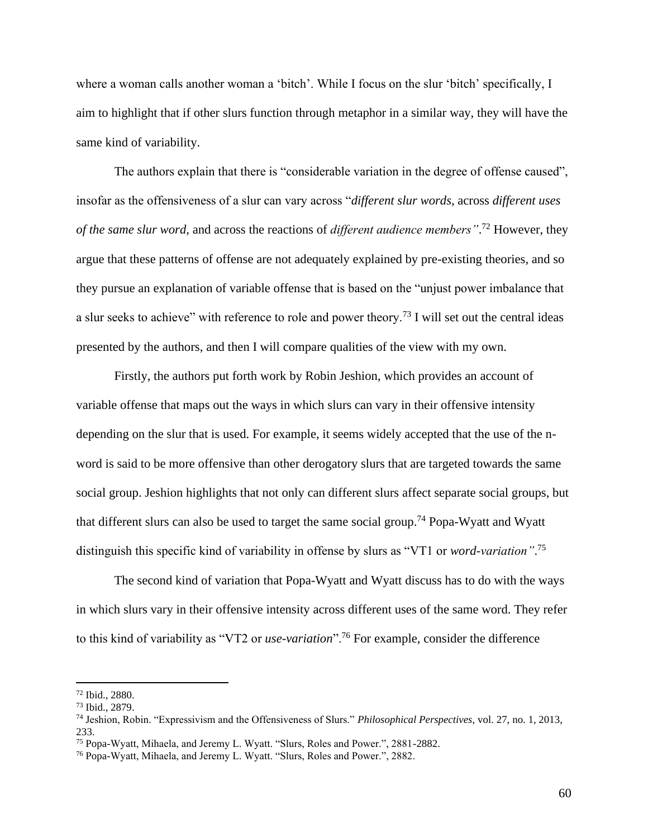where a woman calls another woman a 'bitch'. While I focus on the slur 'bitch' specifically, I aim to highlight that if other slurs function through metaphor in a similar way, they will have the same kind of variability.

The authors explain that there is "considerable variation in the degree of offense caused", insofar as the offensiveness of a slur can vary across "*different slur words,* across *different uses of the same slur word,* and across the reactions of *different audience members"*. <sup>72</sup> However, they argue that these patterns of offense are not adequately explained by pre-existing theories, and so they pursue an explanation of variable offense that is based on the "unjust power imbalance that a slur seeks to achieve" with reference to role and power theory.<sup>73</sup> I will set out the central ideas presented by the authors, and then I will compare qualities of the view with my own.

Firstly, the authors put forth work by Robin Jeshion, which provides an account of variable offense that maps out the ways in which slurs can vary in their offensive intensity depending on the slur that is used. For example, it seems widely accepted that the use of the nword is said to be more offensive than other derogatory slurs that are targeted towards the same social group. Jeshion highlights that not only can different slurs affect separate social groups, but that different slurs can also be used to target the same social group.<sup>74</sup> Popa-Wyatt and Wyatt distinguish this specific kind of variability in offense by slurs as "VT1 or *word-variation"*. 75

The second kind of variation that Popa-Wyatt and Wyatt discuss has to do with the ways in which slurs vary in their offensive intensity across different uses of the same word. They refer to this kind of variability as "VT2 or *use-variation*".<sup>76</sup> For example, consider the difference

<sup>72</sup> Ibid., 2880.

<sup>73</sup> Ibid., 2879.

<sup>74</sup> Jeshion, Robin. "Expressivism and the Offensiveness of Slurs." *Philosophical Perspectives*, vol. 27, no. 1, 2013, 233.

<sup>75</sup> Popa-Wyatt, Mihaela, and Jeremy L. Wyatt. "Slurs, Roles and Power.", 2881-2882.

<sup>76</sup> Popa-Wyatt, Mihaela, and Jeremy L. Wyatt. "Slurs, Roles and Power.", 2882.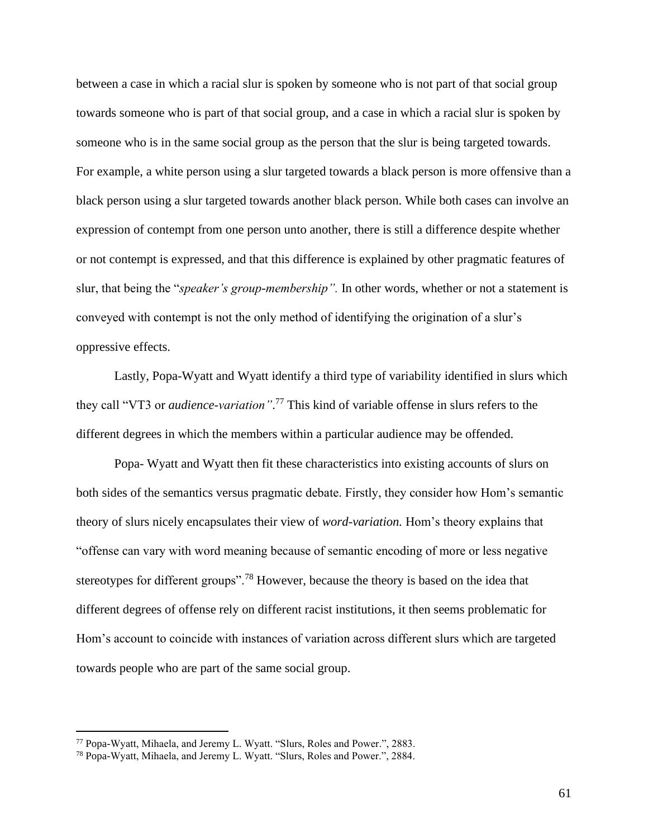between a case in which a racial slur is spoken by someone who is not part of that social group towards someone who is part of that social group, and a case in which a racial slur is spoken by someone who is in the same social group as the person that the slur is being targeted towards. For example, a white person using a slur targeted towards a black person is more offensive than a black person using a slur targeted towards another black person. While both cases can involve an expression of contempt from one person unto another, there is still a difference despite whether or not contempt is expressed, and that this difference is explained by other pragmatic features of slur, that being the "*speaker's group-membership".* In other words, whether or not a statement is conveyed with contempt is not the only method of identifying the origination of a slur's oppressive effects.

Lastly, Popa-Wyatt and Wyatt identify a third type of variability identified in slurs which they call "VT3 or *audience-variation"*. <sup>77</sup> This kind of variable offense in slurs refers to the different degrees in which the members within a particular audience may be offended.

Popa- Wyatt and Wyatt then fit these characteristics into existing accounts of slurs on both sides of the semantics versus pragmatic debate. Firstly, they consider how Hom's semantic theory of slurs nicely encapsulates their view of *word-variation.* Hom's theory explains that "offense can vary with word meaning because of semantic encoding of more or less negative stereotypes for different groups".<sup>78</sup> However, because the theory is based on the idea that different degrees of offense rely on different racist institutions, it then seems problematic for Hom's account to coincide with instances of variation across different slurs which are targeted towards people who are part of the same social group.

<sup>77</sup> Popa-Wyatt, Mihaela, and Jeremy L. Wyatt. "Slurs, Roles and Power.", 2883.

<sup>78</sup> Popa-Wyatt, Mihaela, and Jeremy L. Wyatt. "Slurs, Roles and Power.", 2884.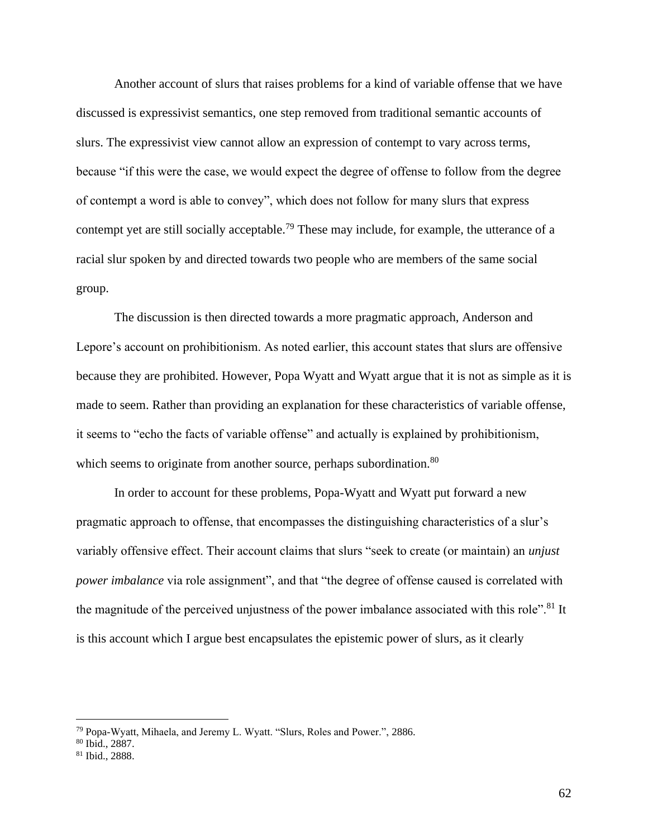Another account of slurs that raises problems for a kind of variable offense that we have discussed is expressivist semantics, one step removed from traditional semantic accounts of slurs. The expressivist view cannot allow an expression of contempt to vary across terms, because "if this were the case, we would expect the degree of offense to follow from the degree of contempt a word is able to convey", which does not follow for many slurs that express contempt yet are still socially acceptable.<sup>79</sup> These may include, for example, the utterance of a racial slur spoken by and directed towards two people who are members of the same social group.

The discussion is then directed towards a more pragmatic approach, Anderson and Lepore's account on prohibitionism. As noted earlier, this account states that slurs are offensive because they are prohibited. However, Popa Wyatt and Wyatt argue that it is not as simple as it is made to seem. Rather than providing an explanation for these characteristics of variable offense, it seems to "echo the facts of variable offense" and actually is explained by prohibitionism, which seems to originate from another source, perhaps subordination.<sup>80</sup>

In order to account for these problems, Popa-Wyatt and Wyatt put forward a new pragmatic approach to offense, that encompasses the distinguishing characteristics of a slur's variably offensive effect. Their account claims that slurs "seek to create (or maintain) an *unjust power imbalance* via role assignment", and that "the degree of offense caused is correlated with the magnitude of the perceived unjustness of the power imbalance associated with this role".<sup>81</sup> It is this account which I argue best encapsulates the epistemic power of slurs, as it clearly

<sup>79</sup> Popa-Wyatt, Mihaela, and Jeremy L. Wyatt. "Slurs, Roles and Power.", 2886.

<sup>80</sup> Ibid., 2887.

<sup>81</sup> Ibid., 2888.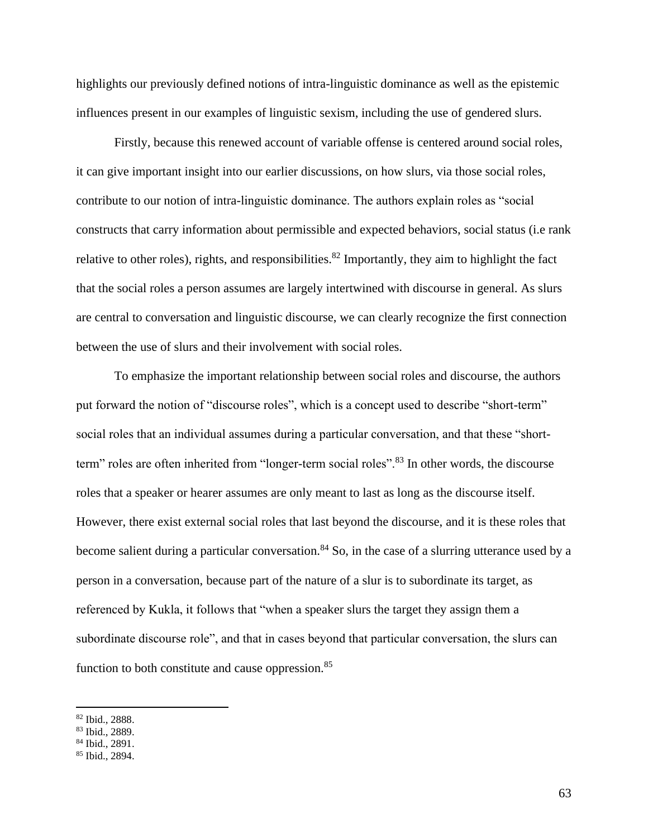highlights our previously defined notions of intra-linguistic dominance as well as the epistemic influences present in our examples of linguistic sexism, including the use of gendered slurs.

Firstly, because this renewed account of variable offense is centered around social roles, it can give important insight into our earlier discussions, on how slurs, via those social roles, contribute to our notion of intra-linguistic dominance. The authors explain roles as "social constructs that carry information about permissible and expected behaviors, social status (i.e rank relative to other roles), rights, and responsibilities.<sup>82</sup> Importantly, they aim to highlight the fact that the social roles a person assumes are largely intertwined with discourse in general. As slurs are central to conversation and linguistic discourse, we can clearly recognize the first connection between the use of slurs and their involvement with social roles.

To emphasize the important relationship between social roles and discourse, the authors put forward the notion of "discourse roles", which is a concept used to describe "short-term" social roles that an individual assumes during a particular conversation, and that these "shortterm" roles are often inherited from "longer-term social roles".<sup>83</sup> In other words, the discourse roles that a speaker or hearer assumes are only meant to last as long as the discourse itself. However, there exist external social roles that last beyond the discourse, and it is these roles that become salient during a particular conversation.<sup>84</sup> So, in the case of a slurring utterance used by a person in a conversation, because part of the nature of a slur is to subordinate its target, as referenced by Kukla, it follows that "when a speaker slurs the target they assign them a subordinate discourse role", and that in cases beyond that particular conversation, the slurs can function to both constitute and cause oppression.<sup>85</sup>

<sup>82</sup> Ibid., 2888.

<sup>83</sup> Ibid., 2889.

<sup>84</sup> Ibid., 2891.

<sup>85</sup> Ibid., 2894.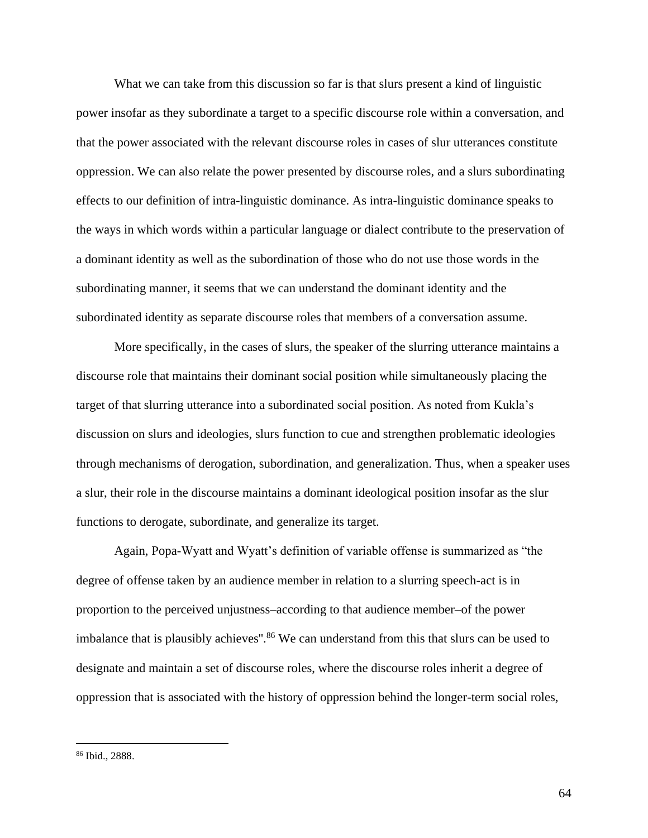What we can take from this discussion so far is that slurs present a kind of linguistic power insofar as they subordinate a target to a specific discourse role within a conversation, and that the power associated with the relevant discourse roles in cases of slur utterances constitute oppression. We can also relate the power presented by discourse roles, and a slurs subordinating effects to our definition of intra-linguistic dominance. As intra-linguistic dominance speaks to the ways in which words within a particular language or dialect contribute to the preservation of a dominant identity as well as the subordination of those who do not use those words in the subordinating manner, it seems that we can understand the dominant identity and the subordinated identity as separate discourse roles that members of a conversation assume.

More specifically, in the cases of slurs, the speaker of the slurring utterance maintains a discourse role that maintains their dominant social position while simultaneously placing the target of that slurring utterance into a subordinated social position. As noted from Kukla's discussion on slurs and ideologies, slurs function to cue and strengthen problematic ideologies through mechanisms of derogation, subordination, and generalization. Thus, when a speaker uses a slur, their role in the discourse maintains a dominant ideological position insofar as the slur functions to derogate, subordinate, and generalize its target.

Again, Popa-Wyatt and Wyatt's definition of variable offense is summarized as "the degree of offense taken by an audience member in relation to a slurring speech-act is in proportion to the perceived unjustness–according to that audience member–of the power imbalance that is plausibly achieves".<sup>86</sup> We can understand from this that slurs can be used to designate and maintain a set of discourse roles, where the discourse roles inherit a degree of oppression that is associated with the history of oppression behind the longer-term social roles,

<sup>86</sup> Ibid., 2888.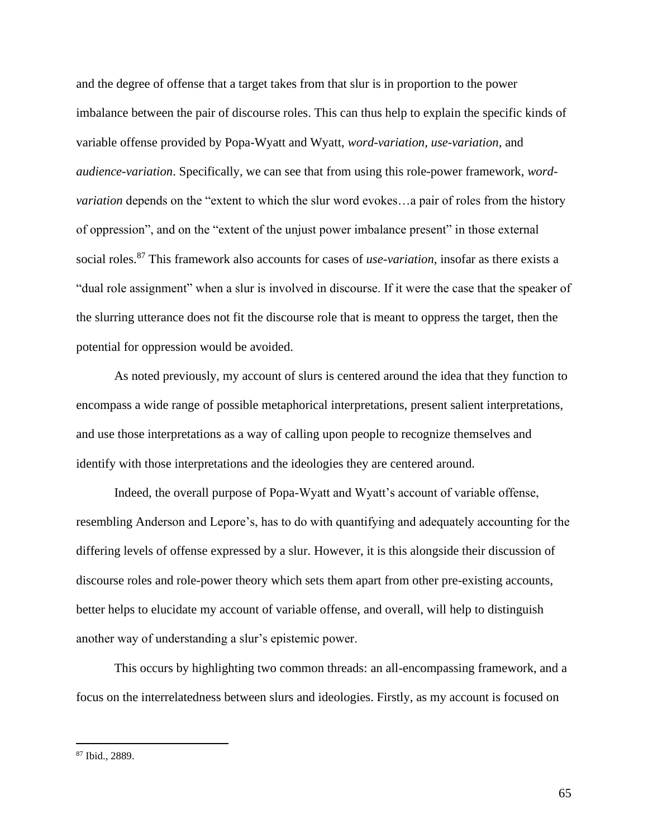and the degree of offense that a target takes from that slur is in proportion to the power imbalance between the pair of discourse roles. This can thus help to explain the specific kinds of variable offense provided by Popa-Wyatt and Wyatt, *word-variation, use-variation,* and *audience-variation*. Specifically, we can see that from using this role-power framework, *wordvariation* depends on the "extent to which the slur word evokes…a pair of roles from the history of oppression", and on the "extent of the unjust power imbalance present" in those external social roles.<sup>87</sup> This framework also accounts for cases of *use-variation*, insofar as there exists a "dual role assignment" when a slur is involved in discourse. If it were the case that the speaker of the slurring utterance does not fit the discourse role that is meant to oppress the target, then the potential for oppression would be avoided.

As noted previously, my account of slurs is centered around the idea that they function to encompass a wide range of possible metaphorical interpretations, present salient interpretations, and use those interpretations as a way of calling upon people to recognize themselves and identify with those interpretations and the ideologies they are centered around.

Indeed, the overall purpose of Popa-Wyatt and Wyatt's account of variable offense, resembling Anderson and Lepore's, has to do with quantifying and adequately accounting for the differing levels of offense expressed by a slur. However, it is this alongside their discussion of discourse roles and role-power theory which sets them apart from other pre-existing accounts, better helps to elucidate my account of variable offense, and overall, will help to distinguish another way of understanding a slur's epistemic power.

This occurs by highlighting two common threads: an all-encompassing framework, and a focus on the interrelatedness between slurs and ideologies. Firstly, as my account is focused on

<sup>87</sup> Ibid., 2889.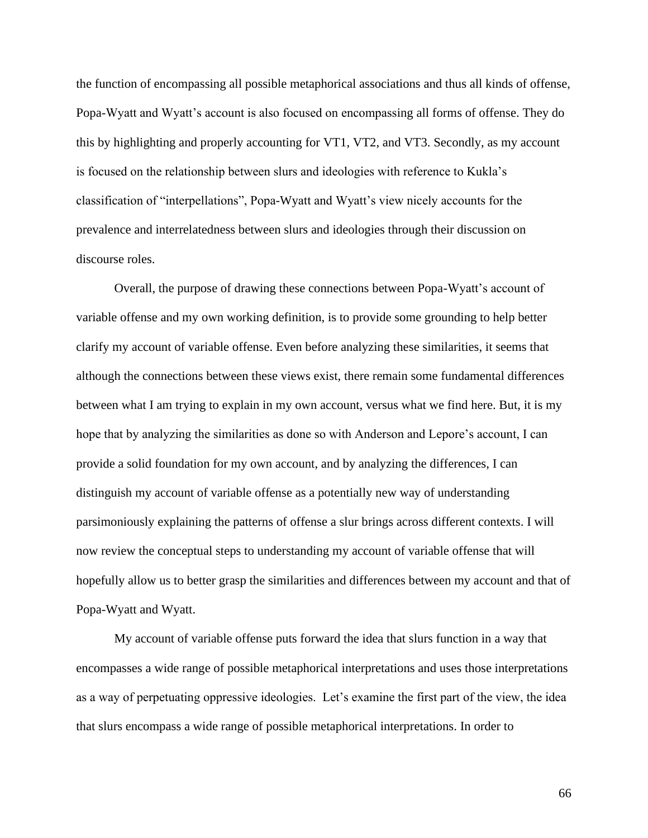the function of encompassing all possible metaphorical associations and thus all kinds of offense, Popa-Wyatt and Wyatt's account is also focused on encompassing all forms of offense. They do this by highlighting and properly accounting for VT1, VT2, and VT3. Secondly, as my account is focused on the relationship between slurs and ideologies with reference to Kukla's classification of "interpellations", Popa-Wyatt and Wyatt's view nicely accounts for the prevalence and interrelatedness between slurs and ideologies through their discussion on discourse roles.

Overall, the purpose of drawing these connections between Popa-Wyatt's account of variable offense and my own working definition, is to provide some grounding to help better clarify my account of variable offense. Even before analyzing these similarities, it seems that although the connections between these views exist, there remain some fundamental differences between what I am trying to explain in my own account, versus what we find here. But, it is my hope that by analyzing the similarities as done so with Anderson and Lepore's account, I can provide a solid foundation for my own account, and by analyzing the differences, I can distinguish my account of variable offense as a potentially new way of understanding parsimoniously explaining the patterns of offense a slur brings across different contexts. I will now review the conceptual steps to understanding my account of variable offense that will hopefully allow us to better grasp the similarities and differences between my account and that of Popa-Wyatt and Wyatt.

My account of variable offense puts forward the idea that slurs function in a way that encompasses a wide range of possible metaphorical interpretations and uses those interpretations as a way of perpetuating oppressive ideologies. Let's examine the first part of the view, the idea that slurs encompass a wide range of possible metaphorical interpretations. In order to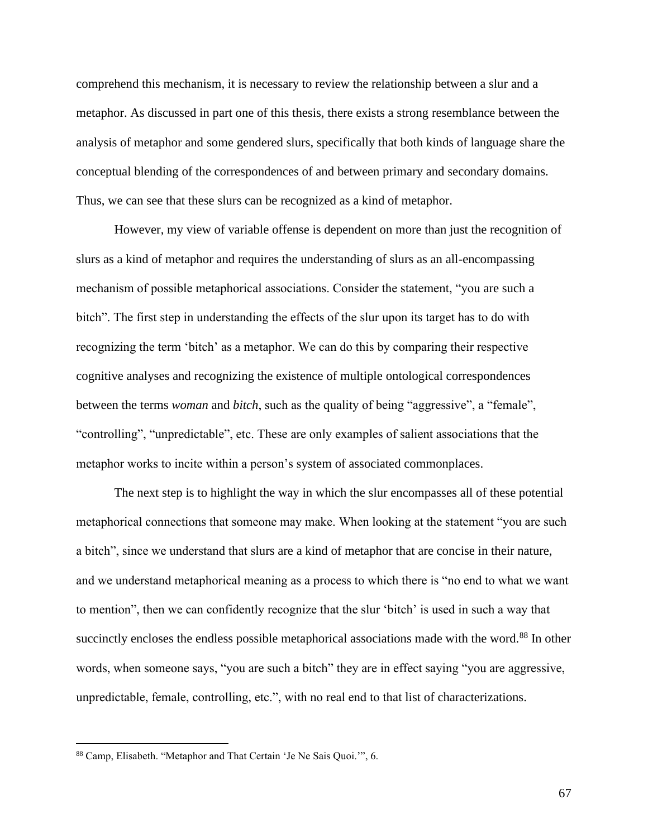comprehend this mechanism, it is necessary to review the relationship between a slur and a metaphor. As discussed in part one of this thesis, there exists a strong resemblance between the analysis of metaphor and some gendered slurs, specifically that both kinds of language share the conceptual blending of the correspondences of and between primary and secondary domains. Thus, we can see that these slurs can be recognized as a kind of metaphor.

However, my view of variable offense is dependent on more than just the recognition of slurs as a kind of metaphor and requires the understanding of slurs as an all-encompassing mechanism of possible metaphorical associations. Consider the statement, "you are such a bitch". The first step in understanding the effects of the slur upon its target has to do with recognizing the term 'bitch' as a metaphor. We can do this by comparing their respective cognitive analyses and recognizing the existence of multiple ontological correspondences between the terms *woman* and *bitch*, such as the quality of being "aggressive", a "female", "controlling", "unpredictable", etc. These are only examples of salient associations that the metaphor works to incite within a person's system of associated commonplaces.

The next step is to highlight the way in which the slur encompasses all of these potential metaphorical connections that someone may make. When looking at the statement "you are such a bitch", since we understand that slurs are a kind of metaphor that are concise in their nature, and we understand metaphorical meaning as a process to which there is "no end to what we want to mention", then we can confidently recognize that the slur 'bitch' is used in such a way that succinctly encloses the endless possible metaphorical associations made with the word.<sup>88</sup> In other words, when someone says, "you are such a bitch" they are in effect saying "you are aggressive, unpredictable, female, controlling, etc.", with no real end to that list of characterizations.

<sup>88</sup> Camp, Elisabeth. "Metaphor and That Certain 'Je Ne Sais Quoi.'", 6.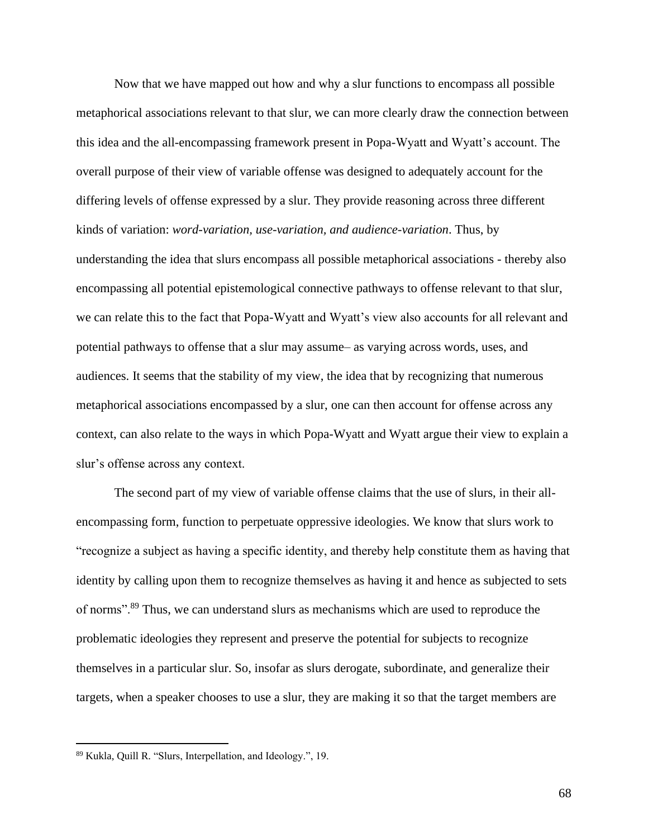Now that we have mapped out how and why a slur functions to encompass all possible metaphorical associations relevant to that slur, we can more clearly draw the connection between this idea and the all-encompassing framework present in Popa-Wyatt and Wyatt's account. The overall purpose of their view of variable offense was designed to adequately account for the differing levels of offense expressed by a slur. They provide reasoning across three different kinds of variation: *word-variation, use-variation, and audience-variation*. Thus, by understanding the idea that slurs encompass all possible metaphorical associations - thereby also encompassing all potential epistemological connective pathways to offense relevant to that slur, we can relate this to the fact that Popa-Wyatt and Wyatt's view also accounts for all relevant and potential pathways to offense that a slur may assume– as varying across words, uses, and audiences. It seems that the stability of my view, the idea that by recognizing that numerous metaphorical associations encompassed by a slur, one can then account for offense across any context, can also relate to the ways in which Popa-Wyatt and Wyatt argue their view to explain a slur's offense across any context.

The second part of my view of variable offense claims that the use of slurs, in their allencompassing form, function to perpetuate oppressive ideologies. We know that slurs work to "recognize a subject as having a specific identity, and thereby help constitute them as having that identity by calling upon them to recognize themselves as having it and hence as subjected to sets of norms".<sup>89</sup> Thus, we can understand slurs as mechanisms which are used to reproduce the problematic ideologies they represent and preserve the potential for subjects to recognize themselves in a particular slur. So, insofar as slurs derogate, subordinate, and generalize their targets, when a speaker chooses to use a slur, they are making it so that the target members are

<sup>89</sup> Kukla, Quill R. "Slurs, Interpellation, and Ideology.", 19.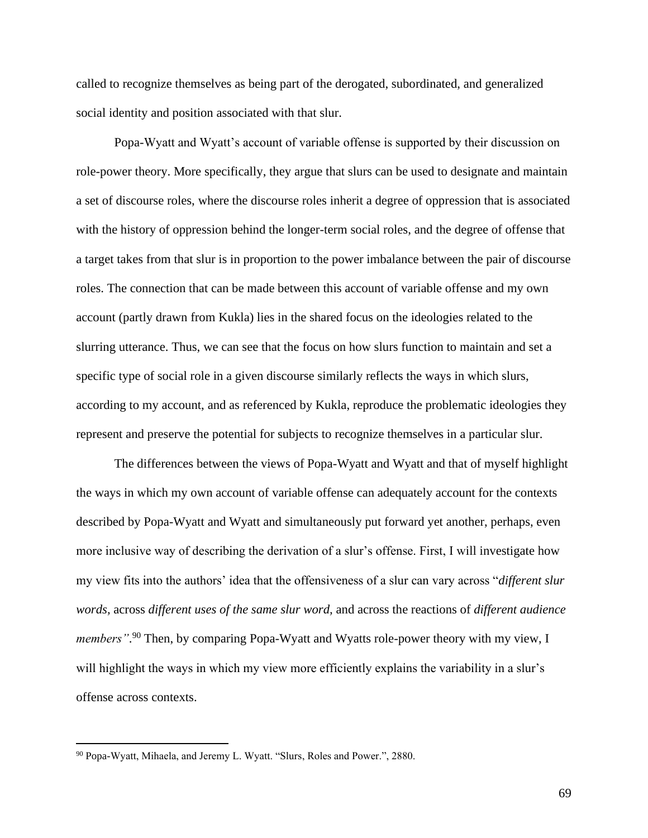called to recognize themselves as being part of the derogated, subordinated, and generalized social identity and position associated with that slur.

Popa-Wyatt and Wyatt's account of variable offense is supported by their discussion on role-power theory. More specifically, they argue that slurs can be used to designate and maintain a set of discourse roles, where the discourse roles inherit a degree of oppression that is associated with the history of oppression behind the longer-term social roles, and the degree of offense that a target takes from that slur is in proportion to the power imbalance between the pair of discourse roles. The connection that can be made between this account of variable offense and my own account (partly drawn from Kukla) lies in the shared focus on the ideologies related to the slurring utterance. Thus, we can see that the focus on how slurs function to maintain and set a specific type of social role in a given discourse similarly reflects the ways in which slurs, according to my account, and as referenced by Kukla, reproduce the problematic ideologies they represent and preserve the potential for subjects to recognize themselves in a particular slur.

The differences between the views of Popa-Wyatt and Wyatt and that of myself highlight the ways in which my own account of variable offense can adequately account for the contexts described by Popa-Wyatt and Wyatt and simultaneously put forward yet another, perhaps, even more inclusive way of describing the derivation of a slur's offense. First, I will investigate how my view fits into the authors' idea that the offensiveness of a slur can vary across "*different slur words,* across *different uses of the same slur word,* and across the reactions of *different audience*  members".<sup>90</sup> Then, by comparing Popa-Wyatt and Wyatts role-power theory with my view, I will highlight the ways in which my view more efficiently explains the variability in a slur's offense across contexts.

<sup>90</sup> Popa-Wyatt, Mihaela, and Jeremy L. Wyatt. "Slurs, Roles and Power.", 2880.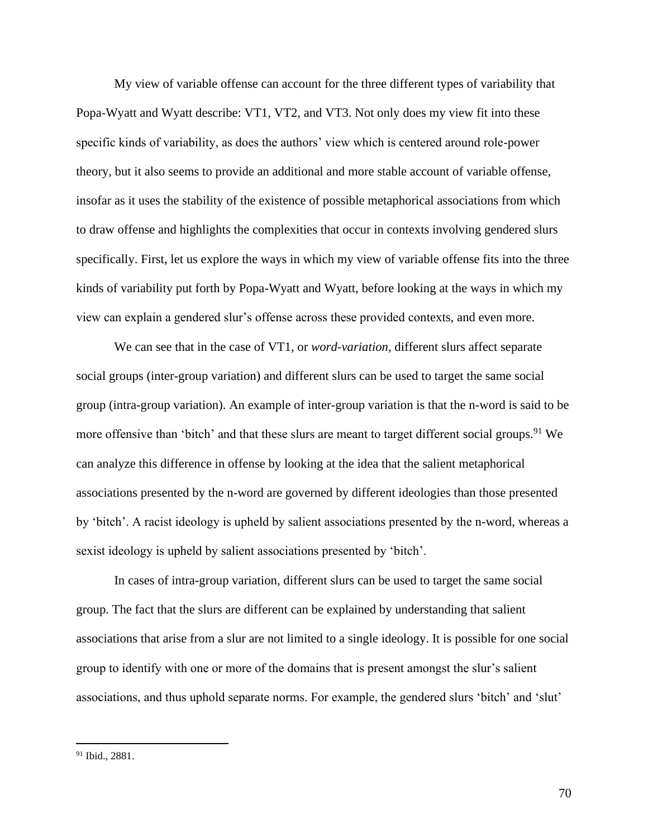My view of variable offense can account for the three different types of variability that Popa-Wyatt and Wyatt describe: VT1, VT2, and VT3. Not only does my view fit into these specific kinds of variability, as does the authors' view which is centered around role-power theory, but it also seems to provide an additional and more stable account of variable offense, insofar as it uses the stability of the existence of possible metaphorical associations from which to draw offense and highlights the complexities that occur in contexts involving gendered slurs specifically. First, let us explore the ways in which my view of variable offense fits into the three kinds of variability put forth by Popa-Wyatt and Wyatt, before looking at the ways in which my view can explain a gendered slur's offense across these provided contexts, and even more.

We can see that in the case of VT1, or *word-variation,* different slurs affect separate social groups (inter-group variation) and different slurs can be used to target the same social group (intra-group variation). An example of inter-group variation is that the n-word is said to be more offensive than 'bitch' and that these slurs are meant to target different social groups.<sup>91</sup> We can analyze this difference in offense by looking at the idea that the salient metaphorical associations presented by the n-word are governed by different ideologies than those presented by 'bitch'. A racist ideology is upheld by salient associations presented by the n-word, whereas a sexist ideology is upheld by salient associations presented by 'bitch'.

In cases of intra-group variation, different slurs can be used to target the same social group. The fact that the slurs are different can be explained by understanding that salient associations that arise from a slur are not limited to a single ideology. It is possible for one social group to identify with one or more of the domains that is present amongst the slur's salient associations, and thus uphold separate norms. For example, the gendered slurs 'bitch' and 'slut'

<sup>91</sup> Ibid., 2881.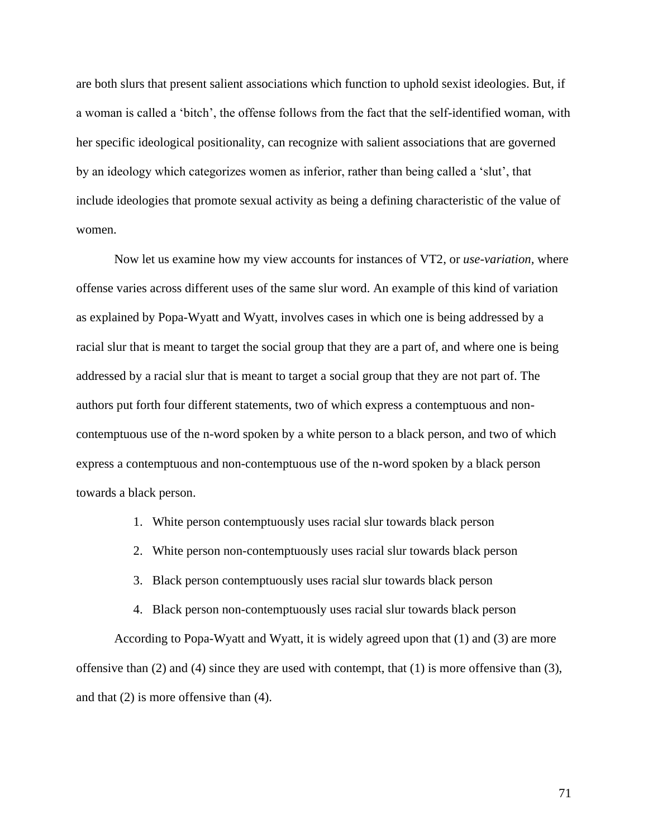are both slurs that present salient associations which function to uphold sexist ideologies. But, if a woman is called a 'bitch', the offense follows from the fact that the self-identified woman, with her specific ideological positionality, can recognize with salient associations that are governed by an ideology which categorizes women as inferior, rather than being called a 'slut', that include ideologies that promote sexual activity as being a defining characteristic of the value of women.

Now let us examine how my view accounts for instances of VT2, or *use-variation,* where offense varies across different uses of the same slur word. An example of this kind of variation as explained by Popa-Wyatt and Wyatt, involves cases in which one is being addressed by a racial slur that is meant to target the social group that they are a part of, and where one is being addressed by a racial slur that is meant to target a social group that they are not part of. The authors put forth four different statements, two of which express a contemptuous and noncontemptuous use of the n-word spoken by a white person to a black person, and two of which express a contemptuous and non-contemptuous use of the n-word spoken by a black person towards a black person.

- 1. White person contemptuously uses racial slur towards black person
- 2. White person non-contemptuously uses racial slur towards black person
- 3. Black person contemptuously uses racial slur towards black person
- 4. Black person non-contemptuously uses racial slur towards black person

According to Popa-Wyatt and Wyatt, it is widely agreed upon that (1) and (3) are more offensive than  $(2)$  and  $(4)$  since they are used with contempt, that  $(1)$  is more offensive than  $(3)$ , and that (2) is more offensive than (4).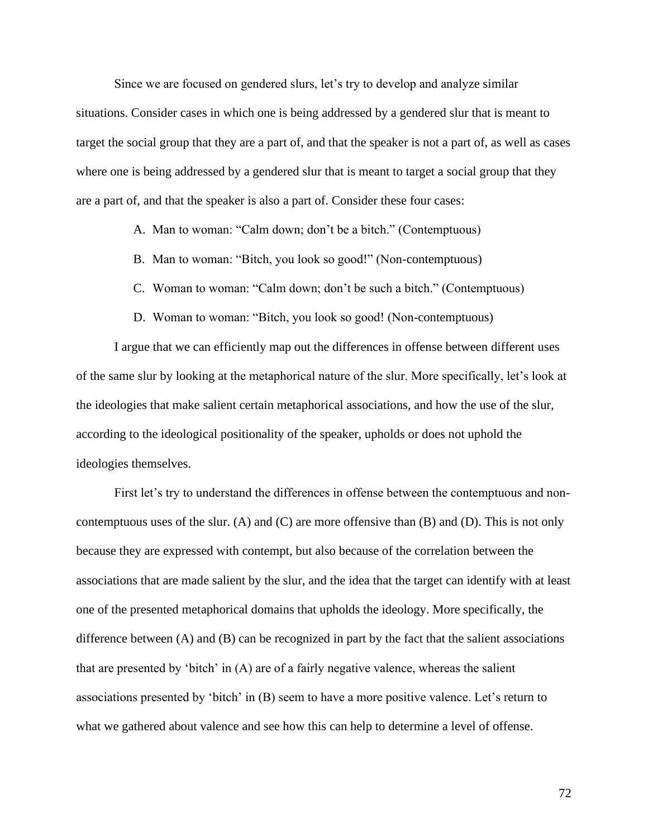Since we are focused on gendered slurs, let's try to develop and analyze similar situations. Consider cases in which one is being addressed by a gendered slur that is meant to target the social group that they are a part of, and that the speaker is not a part of, as well as cases where one is being addressed by a gendered slur that is meant to target a social group that they are a part of, and that the speaker is also a part of. Consider these four cases:

A. Man to woman: "Calm down; don't be a bitch." (Contemptuous)

- B. Man to woman: "Bitch, you look so good!" (Non-contemptuous)
- C. Woman to woman: "Calm down; don't be such a bitch." (Contemptuous)
- D. Woman to woman: "Bitch, you look so good! (Non-contemptuous)

I argue that we can efficiently map out the differences in offense between different uses of the same slur by looking at the metaphorical nature of the slur. More specifically, let's look at the ideologies that make salient certain metaphorical associations, and how the use of the slur, according to the ideological positionality of the speaker, upholds or does not uphold the ideologies themselves.

First let's try to understand the differences in offense between the contemptuous and noncontemptuous uses of the slur. (A) and (C) are more offensive than  $(B)$  and  $(D)$ . This is not only because they are expressed with contempt, but also because of the correlation between the associations that are made salient by the slur, and the idea that the target can identify with at least one of the presented metaphorical domains that upholds the ideology. More specifically, the difference between  $(A)$  and  $(B)$  can be recognized in part by the fact that the salient associations that are presented by 'bitch' in (A) are of a fairly negative valence, whereas the salient associations presented by 'bitch' in (B) seem to have a more positive valence. Let's return to what we gathered about valence and see how this can help to determine a level of offense.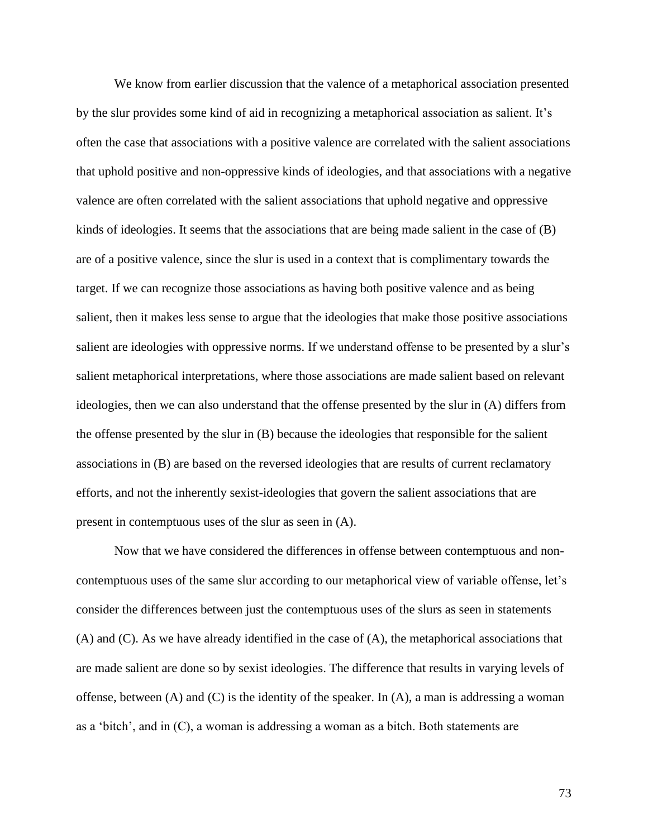We know from earlier discussion that the valence of a metaphorical association presented by the slur provides some kind of aid in recognizing a metaphorical association as salient. It's often the case that associations with a positive valence are correlated with the salient associations that uphold positive and non-oppressive kinds of ideologies, and that associations with a negative valence are often correlated with the salient associations that uphold negative and oppressive kinds of ideologies. It seems that the associations that are being made salient in the case of (B) are of a positive valence, since the slur is used in a context that is complimentary towards the target. If we can recognize those associations as having both positive valence and as being salient, then it makes less sense to argue that the ideologies that make those positive associations salient are ideologies with oppressive norms. If we understand offense to be presented by a slur's salient metaphorical interpretations, where those associations are made salient based on relevant ideologies, then we can also understand that the offense presented by the slur in (A) differs from the offense presented by the slur in (B) because the ideologies that responsible for the salient associations in (B) are based on the reversed ideologies that are results of current reclamatory efforts, and not the inherently sexist-ideologies that govern the salient associations that are present in contemptuous uses of the slur as seen in (A).

Now that we have considered the differences in offense between contemptuous and noncontemptuous uses of the same slur according to our metaphorical view of variable offense, let's consider the differences between just the contemptuous uses of the slurs as seen in statements (A) and (C). As we have already identified in the case of (A), the metaphorical associations that are made salient are done so by sexist ideologies. The difference that results in varying levels of offense, between (A) and (C) is the identity of the speaker. In (A), a man is addressing a woman as a 'bitch', and in (C), a woman is addressing a woman as a bitch. Both statements are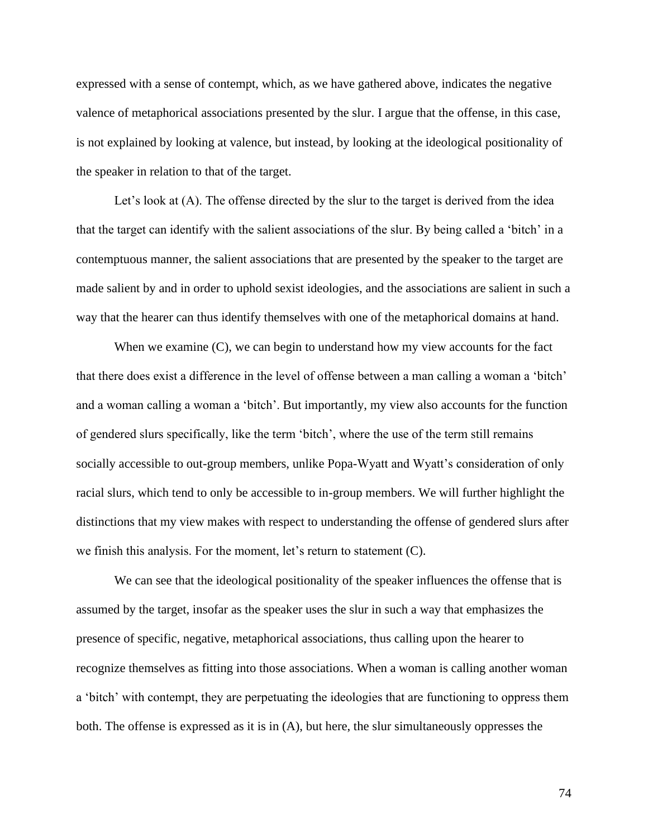expressed with a sense of contempt, which, as we have gathered above, indicates the negative valence of metaphorical associations presented by the slur. I argue that the offense, in this case, is not explained by looking at valence, but instead, by looking at the ideological positionality of the speaker in relation to that of the target.

Let's look at (A). The offense directed by the slur to the target is derived from the idea that the target can identify with the salient associations of the slur. By being called a 'bitch' in a contemptuous manner, the salient associations that are presented by the speaker to the target are made salient by and in order to uphold sexist ideologies, and the associations are salient in such a way that the hearer can thus identify themselves with one of the metaphorical domains at hand.

When we examine (C), we can begin to understand how my view accounts for the fact that there does exist a difference in the level of offense between a man calling a woman a 'bitch' and a woman calling a woman a 'bitch'. But importantly, my view also accounts for the function of gendered slurs specifically, like the term 'bitch', where the use of the term still remains socially accessible to out-group members, unlike Popa-Wyatt and Wyatt's consideration of only racial slurs, which tend to only be accessible to in-group members. We will further highlight the distinctions that my view makes with respect to understanding the offense of gendered slurs after we finish this analysis. For the moment, let's return to statement (C).

We can see that the ideological positionality of the speaker influences the offense that is assumed by the target, insofar as the speaker uses the slur in such a way that emphasizes the presence of specific, negative, metaphorical associations, thus calling upon the hearer to recognize themselves as fitting into those associations. When a woman is calling another woman a 'bitch' with contempt, they are perpetuating the ideologies that are functioning to oppress them both. The offense is expressed as it is in (A), but here, the slur simultaneously oppresses the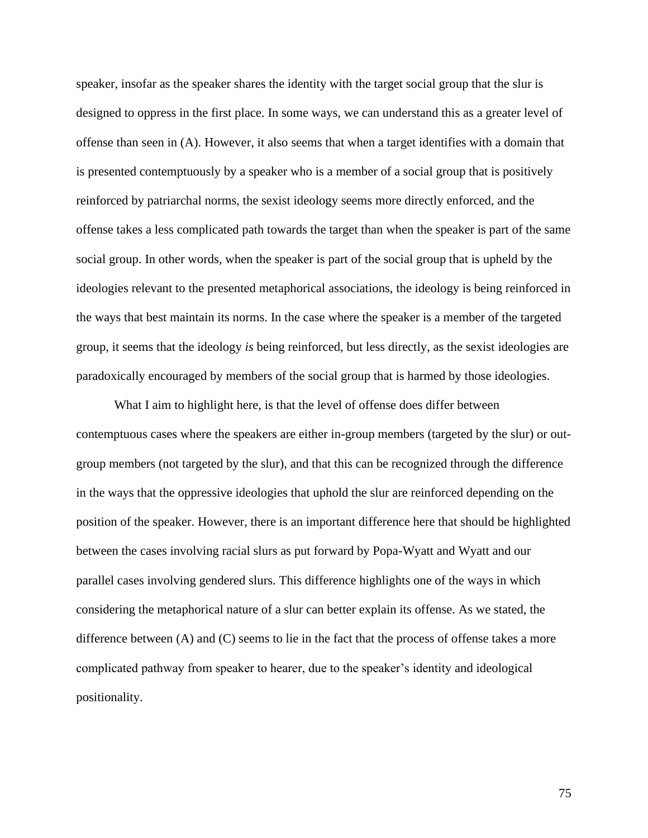speaker, insofar as the speaker shares the identity with the target social group that the slur is designed to oppress in the first place. In some ways, we can understand this as a greater level of offense than seen in (A). However, it also seems that when a target identifies with a domain that is presented contemptuously by a speaker who is a member of a social group that is positively reinforced by patriarchal norms, the sexist ideology seems more directly enforced, and the offense takes a less complicated path towards the target than when the speaker is part of the same social group. In other words, when the speaker is part of the social group that is upheld by the ideologies relevant to the presented metaphorical associations, the ideology is being reinforced in the ways that best maintain its norms. In the case where the speaker is a member of the targeted group, it seems that the ideology *is* being reinforced, but less directly, as the sexist ideologies are paradoxically encouraged by members of the social group that is harmed by those ideologies.

What I aim to highlight here, is that the level of offense does differ between contemptuous cases where the speakers are either in-group members (targeted by the slur) or outgroup members (not targeted by the slur), and that this can be recognized through the difference in the ways that the oppressive ideologies that uphold the slur are reinforced depending on the position of the speaker. However, there is an important difference here that should be highlighted between the cases involving racial slurs as put forward by Popa-Wyatt and Wyatt and our parallel cases involving gendered slurs. This difference highlights one of the ways in which considering the metaphorical nature of a slur can better explain its offense. As we stated, the difference between (A) and (C) seems to lie in the fact that the process of offense takes a more complicated pathway from speaker to hearer, due to the speaker's identity and ideological positionality.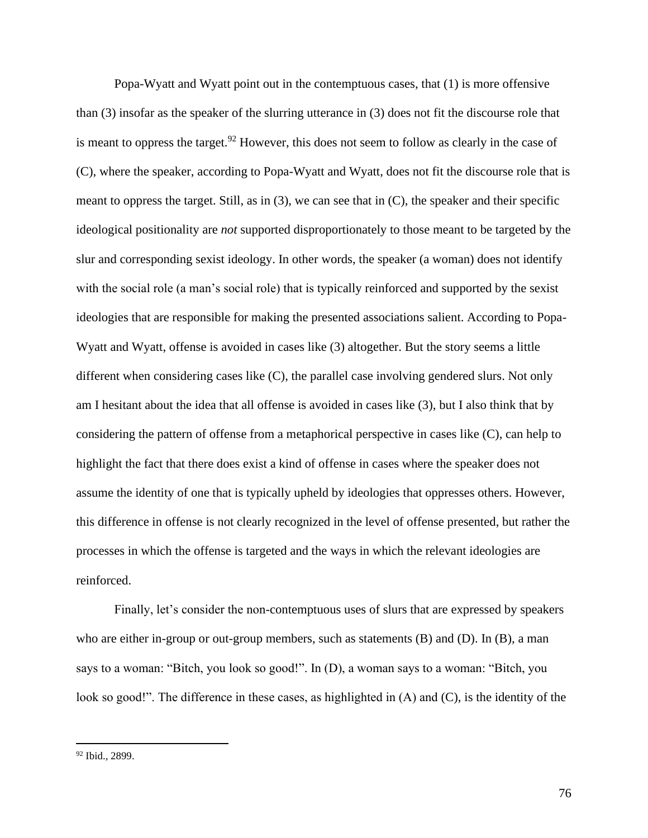Popa-Wyatt and Wyatt point out in the contemptuous cases, that (1) is more offensive than (3) insofar as the speaker of the slurring utterance in (3) does not fit the discourse role that is meant to oppress the target.<sup>92</sup> However, this does not seem to follow as clearly in the case of (C), where the speaker, according to Popa-Wyatt and Wyatt, does not fit the discourse role that is meant to oppress the target. Still, as in (3), we can see that in (C), the speaker and their specific ideological positionality are *not* supported disproportionately to those meant to be targeted by the slur and corresponding sexist ideology. In other words, the speaker (a woman) does not identify with the social role (a man's social role) that is typically reinforced and supported by the sexist ideologies that are responsible for making the presented associations salient. According to Popa-Wyatt and Wyatt, offense is avoided in cases like (3) altogether. But the story seems a little different when considering cases like (C), the parallel case involving gendered slurs. Not only am I hesitant about the idea that all offense is avoided in cases like (3), but I also think that by considering the pattern of offense from a metaphorical perspective in cases like (C), can help to highlight the fact that there does exist a kind of offense in cases where the speaker does not assume the identity of one that is typically upheld by ideologies that oppresses others. However, this difference in offense is not clearly recognized in the level of offense presented, but rather the processes in which the offense is targeted and the ways in which the relevant ideologies are reinforced.

Finally, let's consider the non-contemptuous uses of slurs that are expressed by speakers who are either in-group or out-group members, such as statements  $(B)$  and  $(D)$ . In  $(B)$ , a man says to a woman: "Bitch, you look so good!". In (D), a woman says to a woman: "Bitch, you look so good!". The difference in these cases, as highlighted in (A) and (C), is the identity of the

<sup>92</sup> Ibid., 2899.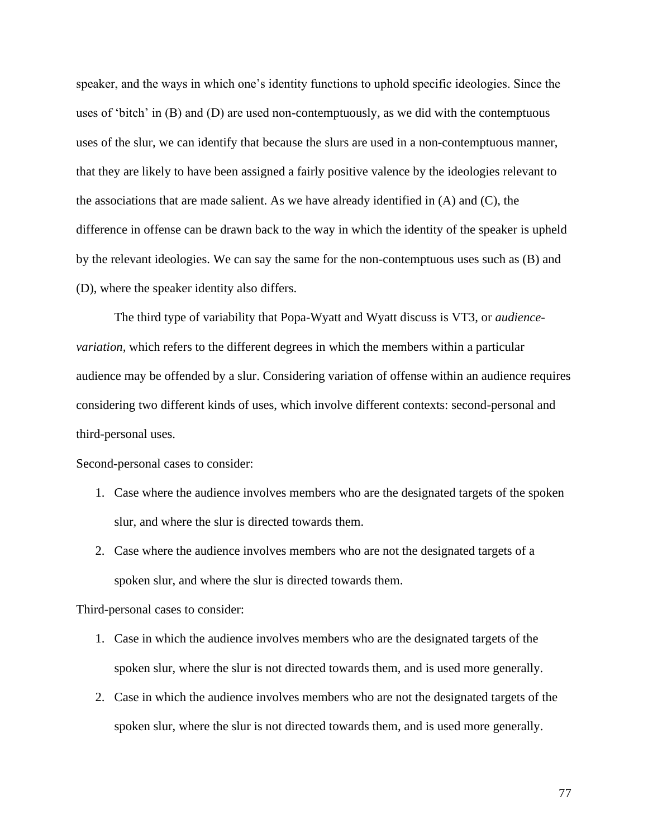speaker, and the ways in which one's identity functions to uphold specific ideologies. Since the uses of 'bitch' in (B) and (D) are used non-contemptuously, as we did with the contemptuous uses of the slur, we can identify that because the slurs are used in a non-contemptuous manner, that they are likely to have been assigned a fairly positive valence by the ideologies relevant to the associations that are made salient. As we have already identified in (A) and (C), the difference in offense can be drawn back to the way in which the identity of the speaker is upheld by the relevant ideologies. We can say the same for the non-contemptuous uses such as (B) and (D), where the speaker identity also differs.

The third type of variability that Popa-Wyatt and Wyatt discuss is VT3, or *audiencevariation,* which refers to the different degrees in which the members within a particular audience may be offended by a slur. Considering variation of offense within an audience requires considering two different kinds of uses, which involve different contexts: second-personal and third-personal uses.

Second-personal cases to consider:

- 1. Case where the audience involves members who are the designated targets of the spoken slur, and where the slur is directed towards them.
- 2. Case where the audience involves members who are not the designated targets of a spoken slur, and where the slur is directed towards them.

Third-personal cases to consider:

- 1. Case in which the audience involves members who are the designated targets of the spoken slur, where the slur is not directed towards them, and is used more generally.
- 2. Case in which the audience involves members who are not the designated targets of the spoken slur, where the slur is not directed towards them, and is used more generally.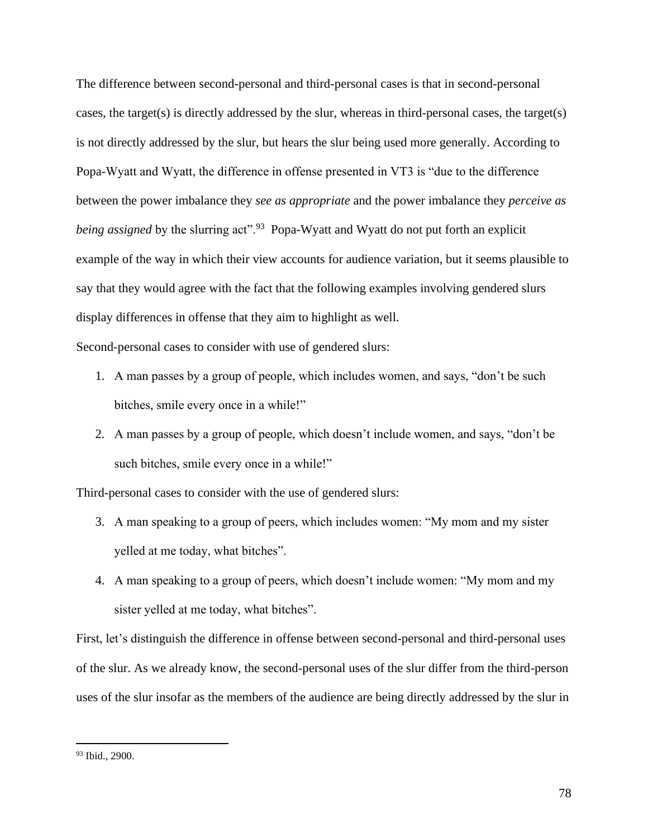The difference between second-personal and third-personal cases is that in second-personal cases, the target(s) is directly addressed by the slur, whereas in third-personal cases, the target(s) is not directly addressed by the slur, but hears the slur being used more generally. According to Popa-Wyatt and Wyatt, the difference in offense presented in VT3 is "due to the difference between the power imbalance they *see as appropriate* and the power imbalance they *perceive as*  being assigned by the slurring act".<sup>93</sup> Popa-Wyatt and Wyatt do not put forth an explicit example of the way in which their view accounts for audience variation, but it seems plausible to say that they would agree with the fact that the following examples involving gendered slurs display differences in offense that they aim to highlight as well.

Second-personal cases to consider with use of gendered slurs:

- 1. A man passes by a group of people, which includes women, and says, "don't be such bitches, smile every once in a while!"
- 2. A man passes by a group of people, which doesn't include women, and says, "don't be such bitches, smile every once in a while!"

Third-personal cases to consider with the use of gendered slurs:

- 3. A man speaking to a group of peers, which includes women: "My mom and my sister yelled at me today, what bitches".
- 4. A man speaking to a group of peers, which doesn't include women: "My mom and my sister yelled at me today, what bitches".

First, let's distinguish the difference in offense between second-personal and third-personal uses of the slur. As we already know, the second-personal uses of the slur differ from the third-person uses of the slur insofar as the members of the audience are being directly addressed by the slur in

<sup>93</sup> Ibid., 2900.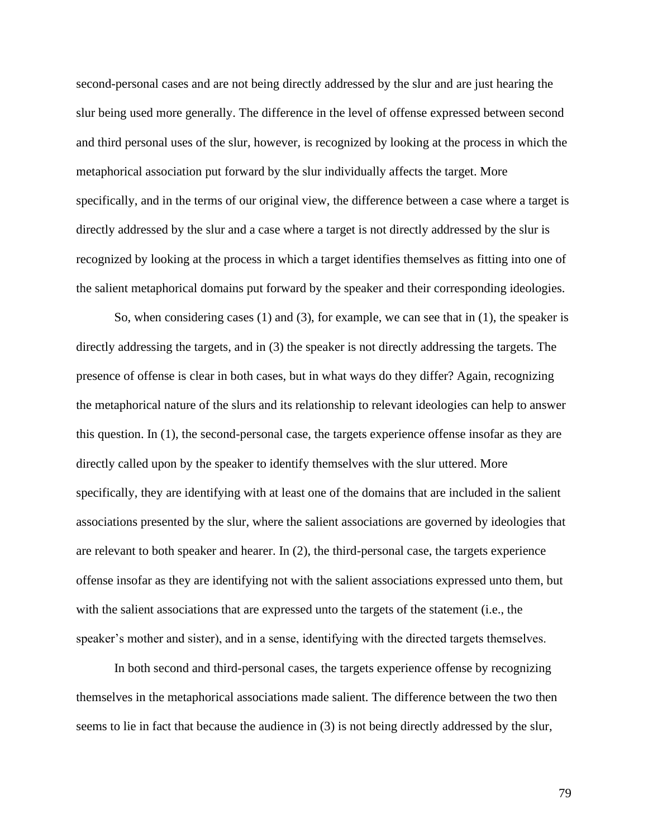second-personal cases and are not being directly addressed by the slur and are just hearing the slur being used more generally. The difference in the level of offense expressed between second and third personal uses of the slur, however, is recognized by looking at the process in which the metaphorical association put forward by the slur individually affects the target. More specifically, and in the terms of our original view, the difference between a case where a target is directly addressed by the slur and a case where a target is not directly addressed by the slur is recognized by looking at the process in which a target identifies themselves as fitting into one of the salient metaphorical domains put forward by the speaker and their corresponding ideologies.

So, when considering cases (1) and (3), for example, we can see that in (1), the speaker is directly addressing the targets, and in (3) the speaker is not directly addressing the targets. The presence of offense is clear in both cases, but in what ways do they differ? Again, recognizing the metaphorical nature of the slurs and its relationship to relevant ideologies can help to answer this question. In (1), the second-personal case, the targets experience offense insofar as they are directly called upon by the speaker to identify themselves with the slur uttered. More specifically, they are identifying with at least one of the domains that are included in the salient associations presented by the slur, where the salient associations are governed by ideologies that are relevant to both speaker and hearer. In (2), the third-personal case, the targets experience offense insofar as they are identifying not with the salient associations expressed unto them, but with the salient associations that are expressed unto the targets of the statement (i.e., the speaker's mother and sister), and in a sense, identifying with the directed targets themselves.

In both second and third-personal cases, the targets experience offense by recognizing themselves in the metaphorical associations made salient. The difference between the two then seems to lie in fact that because the audience in (3) is not being directly addressed by the slur,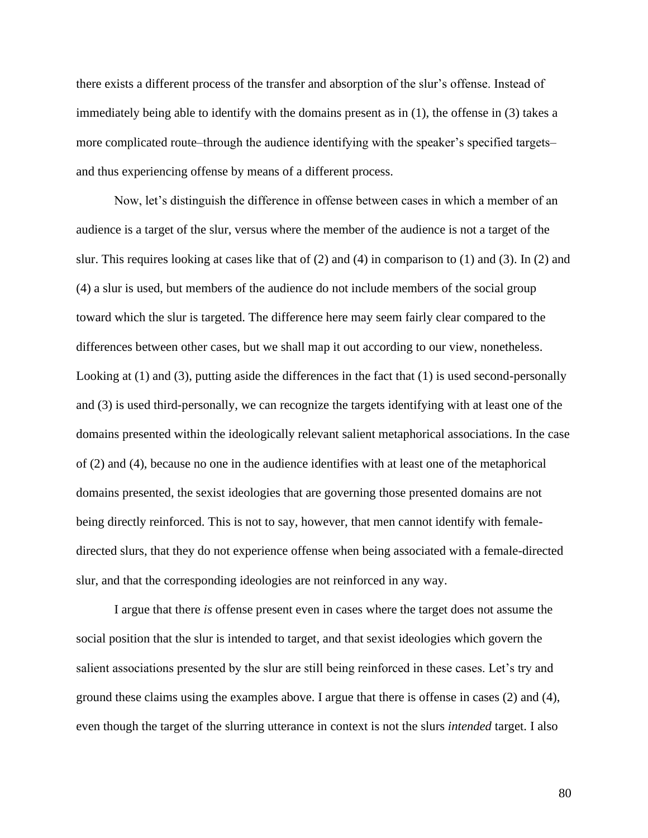there exists a different process of the transfer and absorption of the slur's offense. Instead of immediately being able to identify with the domains present as in (1), the offense in (3) takes a more complicated route–through the audience identifying with the speaker's specified targets– and thus experiencing offense by means of a different process.

Now, let's distinguish the difference in offense between cases in which a member of an audience is a target of the slur, versus where the member of the audience is not a target of the slur. This requires looking at cases like that of (2) and (4) in comparison to (1) and (3). In (2) and (4) a slur is used, but members of the audience do not include members of the social group toward which the slur is targeted. The difference here may seem fairly clear compared to the differences between other cases, but we shall map it out according to our view, nonetheless. Looking at (1) and (3), putting aside the differences in the fact that (1) is used second-personally and (3) is used third-personally, we can recognize the targets identifying with at least one of the domains presented within the ideologically relevant salient metaphorical associations. In the case of (2) and (4), because no one in the audience identifies with at least one of the metaphorical domains presented, the sexist ideologies that are governing those presented domains are not being directly reinforced. This is not to say, however, that men cannot identify with femaledirected slurs, that they do not experience offense when being associated with a female-directed slur, and that the corresponding ideologies are not reinforced in any way.

I argue that there *is* offense present even in cases where the target does not assume the social position that the slur is intended to target, and that sexist ideologies which govern the salient associations presented by the slur are still being reinforced in these cases. Let's try and ground these claims using the examples above. I argue that there is offense in cases (2) and (4), even though the target of the slurring utterance in context is not the slurs *intended* target. I also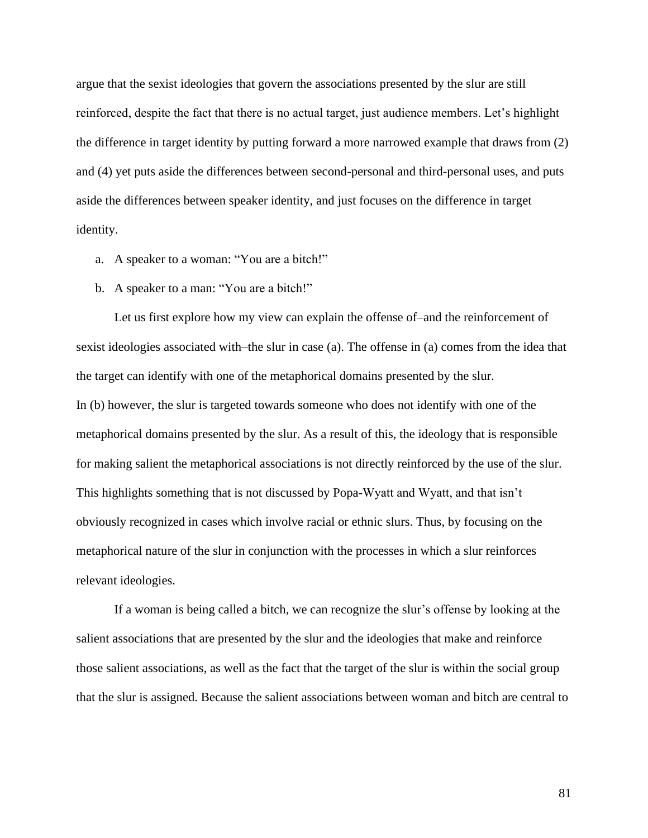argue that the sexist ideologies that govern the associations presented by the slur are still reinforced, despite the fact that there is no actual target, just audience members. Let's highlight the difference in target identity by putting forward a more narrowed example that draws from (2) and (4) yet puts aside the differences between second-personal and third-personal uses, and puts aside the differences between speaker identity, and just focuses on the difference in target identity.

- a. A speaker to a woman: "You are a bitch!"
- b. A speaker to a man: "You are a bitch!"

Let us first explore how my view can explain the offense of–and the reinforcement of sexist ideologies associated with–the slur in case (a). The offense in (a) comes from the idea that the target can identify with one of the metaphorical domains presented by the slur. In (b) however, the slur is targeted towards someone who does not identify with one of the metaphorical domains presented by the slur. As a result of this, the ideology that is responsible for making salient the metaphorical associations is not directly reinforced by the use of the slur. This highlights something that is not discussed by Popa-Wyatt and Wyatt, and that isn't obviously recognized in cases which involve racial or ethnic slurs. Thus, by focusing on the metaphorical nature of the slur in conjunction with the processes in which a slur reinforces relevant ideologies.

If a woman is being called a bitch, we can recognize the slur's offense by looking at the salient associations that are presented by the slur and the ideologies that make and reinforce those salient associations, as well as the fact that the target of the slur is within the social group that the slur is assigned. Because the salient associations between woman and bitch are central to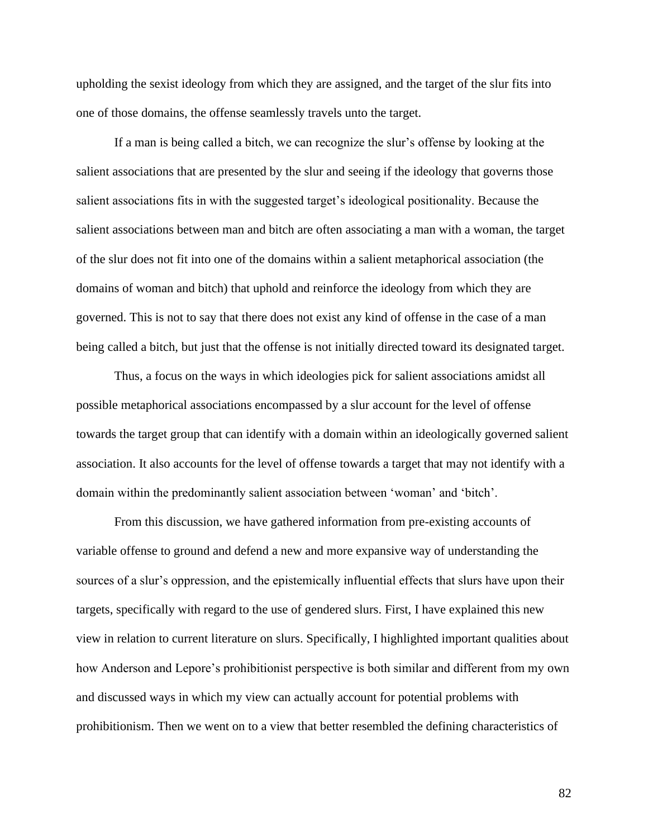upholding the sexist ideology from which they are assigned, and the target of the slur fits into one of those domains, the offense seamlessly travels unto the target.

If a man is being called a bitch, we can recognize the slur's offense by looking at the salient associations that are presented by the slur and seeing if the ideology that governs those salient associations fits in with the suggested target's ideological positionality. Because the salient associations between man and bitch are often associating a man with a woman, the target of the slur does not fit into one of the domains within a salient metaphorical association (the domains of woman and bitch) that uphold and reinforce the ideology from which they are governed. This is not to say that there does not exist any kind of offense in the case of a man being called a bitch, but just that the offense is not initially directed toward its designated target.

Thus, a focus on the ways in which ideologies pick for salient associations amidst all possible metaphorical associations encompassed by a slur account for the level of offense towards the target group that can identify with a domain within an ideologically governed salient association. It also accounts for the level of offense towards a target that may not identify with a domain within the predominantly salient association between 'woman' and 'bitch'.

From this discussion, we have gathered information from pre-existing accounts of variable offense to ground and defend a new and more expansive way of understanding the sources of a slur's oppression, and the epistemically influential effects that slurs have upon their targets, specifically with regard to the use of gendered slurs. First, I have explained this new view in relation to current literature on slurs. Specifically, I highlighted important qualities about how Anderson and Lepore's prohibitionist perspective is both similar and different from my own and discussed ways in which my view can actually account for potential problems with prohibitionism. Then we went on to a view that better resembled the defining characteristics of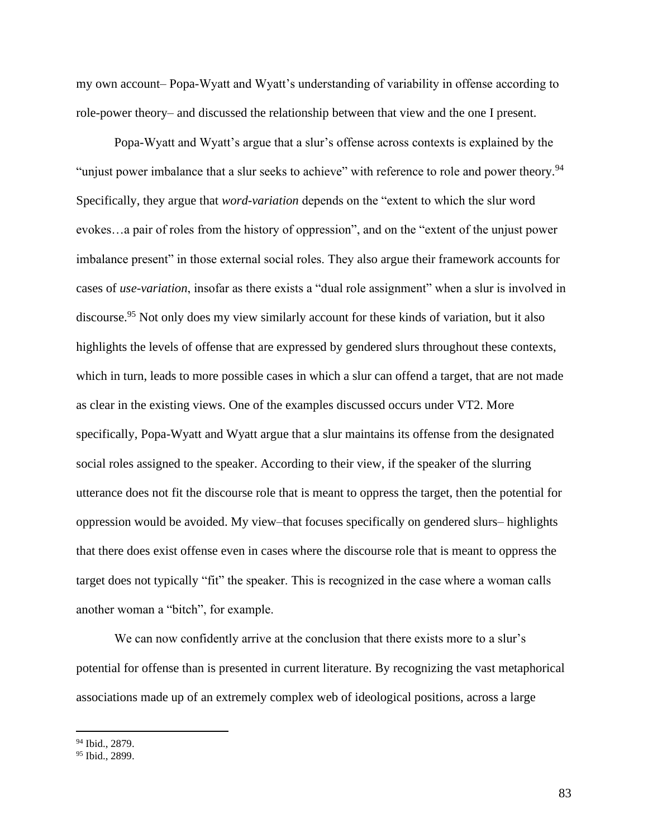my own account– Popa-Wyatt and Wyatt's understanding of variability in offense according to role-power theory– and discussed the relationship between that view and the one I present.

Popa-Wyatt and Wyatt's argue that a slur's offense across contexts is explained by the "unjust power imbalance that a slur seeks to achieve" with reference to role and power theory.<sup>94</sup> Specifically, they argue that *word-variation* depends on the "extent to which the slur word evokes…a pair of roles from the history of oppression", and on the "extent of the unjust power imbalance present" in those external social roles. They also argue their framework accounts for cases of *use-variation*, insofar as there exists a "dual role assignment" when a slur is involved in discourse.<sup>95</sup> Not only does my view similarly account for these kinds of variation, but it also highlights the levels of offense that are expressed by gendered slurs throughout these contexts, which in turn, leads to more possible cases in which a slur can offend a target, that are not made as clear in the existing views. One of the examples discussed occurs under VT2. More specifically, Popa-Wyatt and Wyatt argue that a slur maintains its offense from the designated social roles assigned to the speaker. According to their view, if the speaker of the slurring utterance does not fit the discourse role that is meant to oppress the target, then the potential for oppression would be avoided. My view–that focuses specifically on gendered slurs– highlights that there does exist offense even in cases where the discourse role that is meant to oppress the target does not typically "fit" the speaker. This is recognized in the case where a woman calls another woman a "bitch", for example.

We can now confidently arrive at the conclusion that there exists more to a slur's potential for offense than is presented in current literature. By recognizing the vast metaphorical associations made up of an extremely complex web of ideological positions, across a large

<sup>94</sup> Ibid., 2879.

<sup>95</sup> Ibid., 2899.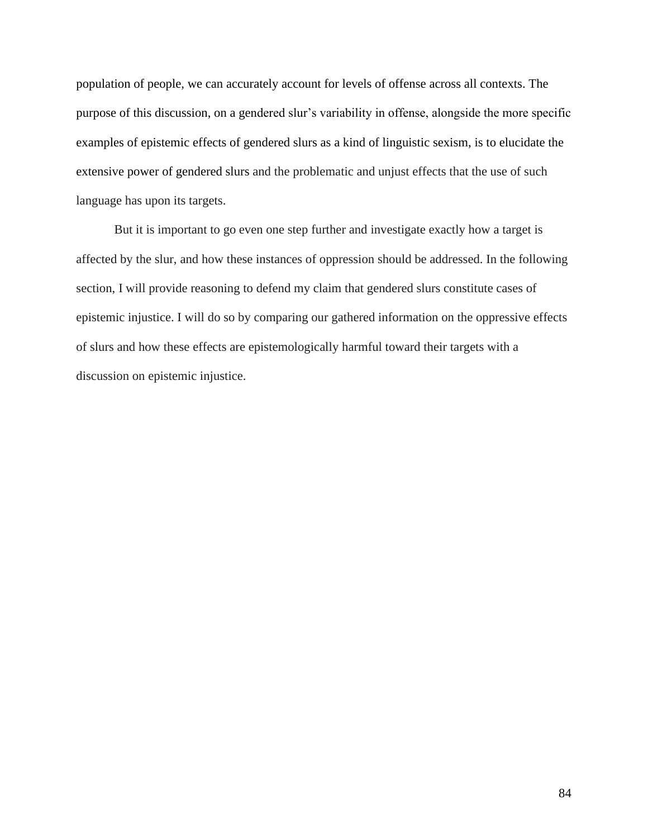population of people, we can accurately account for levels of offense across all contexts. The purpose of this discussion, on a gendered slur's variability in offense, alongside the more specific examples of epistemic effects of gendered slurs as a kind of linguistic sexism, is to elucidate the extensive power of gendered slurs and the problematic and unjust effects that the use of such language has upon its targets.

But it is important to go even one step further and investigate exactly how a target is affected by the slur, and how these instances of oppression should be addressed. In the following section, I will provide reasoning to defend my claim that gendered slurs constitute cases of epistemic injustice. I will do so by comparing our gathered information on the oppressive effects of slurs and how these effects are epistemologically harmful toward their targets with a discussion on epistemic injustice.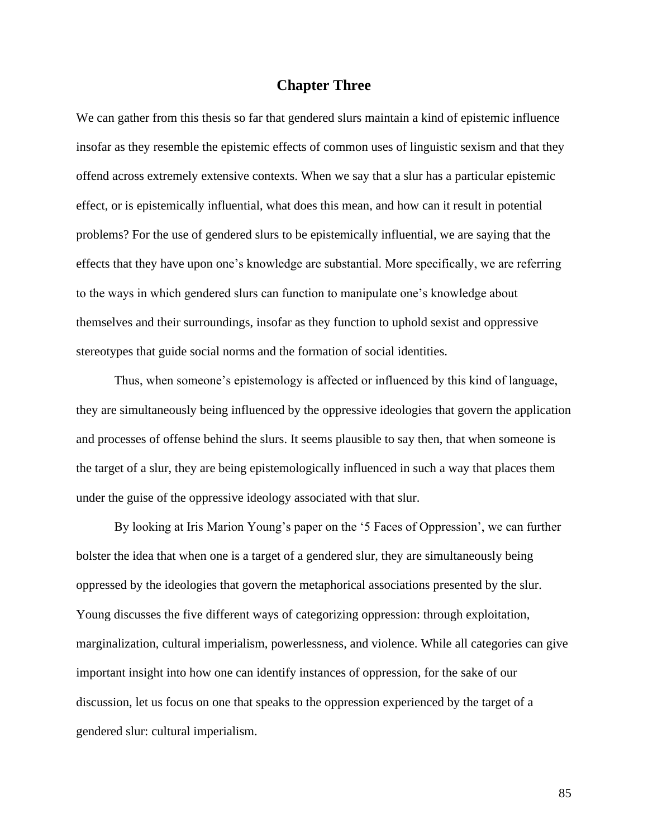# **Chapter Three**

We can gather from this thesis so far that gendered slurs maintain a kind of epistemic influence insofar as they resemble the epistemic effects of common uses of linguistic sexism and that they offend across extremely extensive contexts. When we say that a slur has a particular epistemic effect, or is epistemically influential, what does this mean, and how can it result in potential problems? For the use of gendered slurs to be epistemically influential, we are saying that the effects that they have upon one's knowledge are substantial. More specifically, we are referring to the ways in which gendered slurs can function to manipulate one's knowledge about themselves and their surroundings, insofar as they function to uphold sexist and oppressive stereotypes that guide social norms and the formation of social identities.

Thus, when someone's epistemology is affected or influenced by this kind of language, they are simultaneously being influenced by the oppressive ideologies that govern the application and processes of offense behind the slurs. It seems plausible to say then, that when someone is the target of a slur, they are being epistemologically influenced in such a way that places them under the guise of the oppressive ideology associated with that slur.

By looking at Iris Marion Young's paper on the '5 Faces of Oppression', we can further bolster the idea that when one is a target of a gendered slur, they are simultaneously being oppressed by the ideologies that govern the metaphorical associations presented by the slur. Young discusses the five different ways of categorizing oppression: through exploitation, marginalization, cultural imperialism, powerlessness, and violence. While all categories can give important insight into how one can identify instances of oppression, for the sake of our discussion, let us focus on one that speaks to the oppression experienced by the target of a gendered slur: cultural imperialism.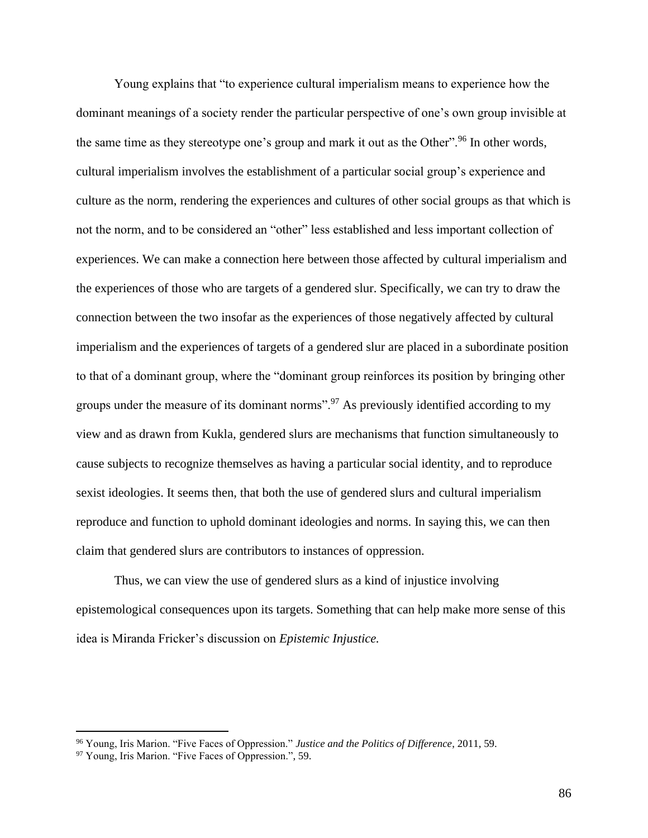Young explains that "to experience cultural imperialism means to experience how the dominant meanings of a society render the particular perspective of one's own group invisible at the same time as they stereotype one's group and mark it out as the Other".<sup>96</sup> In other words, cultural imperialism involves the establishment of a particular social group's experience and culture as the norm, rendering the experiences and cultures of other social groups as that which is not the norm, and to be considered an "other" less established and less important collection of experiences. We can make a connection here between those affected by cultural imperialism and the experiences of those who are targets of a gendered slur. Specifically, we can try to draw the connection between the two insofar as the experiences of those negatively affected by cultural imperialism and the experiences of targets of a gendered slur are placed in a subordinate position to that of a dominant group, where the "dominant group reinforces its position by bringing other groups under the measure of its dominant norms".<sup>97</sup> As previously identified according to my view and as drawn from Kukla, gendered slurs are mechanisms that function simultaneously to cause subjects to recognize themselves as having a particular social identity, and to reproduce sexist ideologies. It seems then, that both the use of gendered slurs and cultural imperialism reproduce and function to uphold dominant ideologies and norms. In saying this, we can then claim that gendered slurs are contributors to instances of oppression.

Thus, we can view the use of gendered slurs as a kind of injustice involving epistemological consequences upon its targets. Something that can help make more sense of this idea is Miranda Fricker's discussion on *Epistemic Injustice.* 

<sup>96</sup> Young, Iris Marion. "Five Faces of Oppression." *Justice and the Politics of Difference*, 2011, 59.

<sup>&</sup>lt;sup>97</sup> Young, Iris Marion. "Five Faces of Oppression.", 59.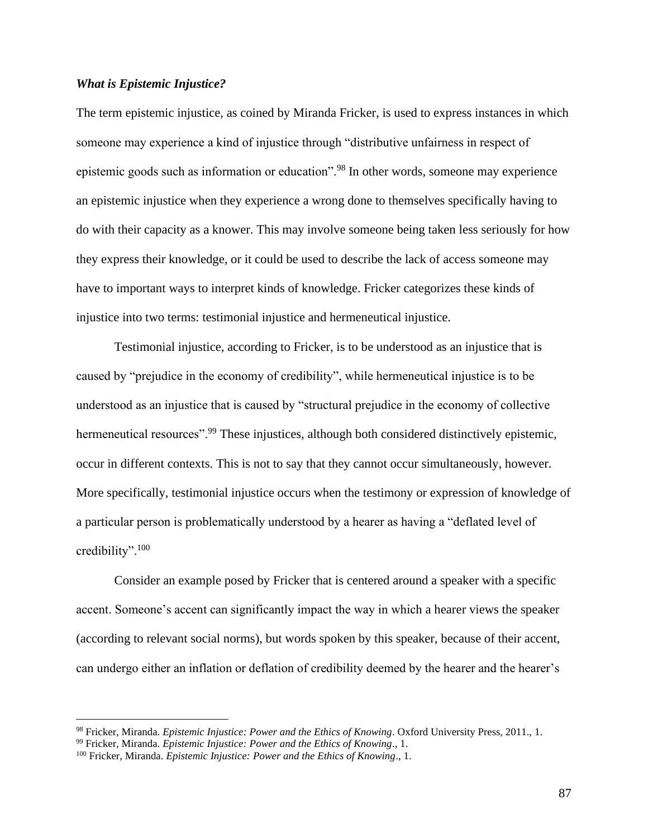### *What is Epistemic Injustice?*

The term epistemic injustice, as coined by Miranda Fricker, is used to express instances in which someone may experience a kind of injustice through "distributive unfairness in respect of epistemic goods such as information or education".<sup>98</sup> In other words, someone may experience an epistemic injustice when they experience a wrong done to themselves specifically having to do with their capacity as a knower. This may involve someone being taken less seriously for how they express their knowledge, or it could be used to describe the lack of access someone may have to important ways to interpret kinds of knowledge. Fricker categorizes these kinds of injustice into two terms: testimonial injustice and hermeneutical injustice.

Testimonial injustice, according to Fricker, is to be understood as an injustice that is caused by "prejudice in the economy of credibility", while hermeneutical injustice is to be understood as an injustice that is caused by "structural prejudice in the economy of collective hermeneutical resources".<sup>99</sup> These injustices, although both considered distinctively epistemic, occur in different contexts. This is not to say that they cannot occur simultaneously, however. More specifically, testimonial injustice occurs when the testimony or expression of knowledge of a particular person is problematically understood by a hearer as having a "deflated level of credibility".<sup>100</sup>

Consider an example posed by Fricker that is centered around a speaker with a specific accent. Someone's accent can significantly impact the way in which a hearer views the speaker (according to relevant social norms), but words spoken by this speaker, because of their accent, can undergo either an inflation or deflation of credibility deemed by the hearer and the hearer's

<sup>98</sup> Fricker, Miranda. *Epistemic Injustice: Power and the Ethics of Knowing*. Oxford University Press, 2011., 1.

<sup>99</sup> Fricker, Miranda. *Epistemic Injustice: Power and the Ethics of Knowing*., 1.

<sup>100</sup> Fricker, Miranda. *Epistemic Injustice: Power and the Ethics of Knowing*., 1.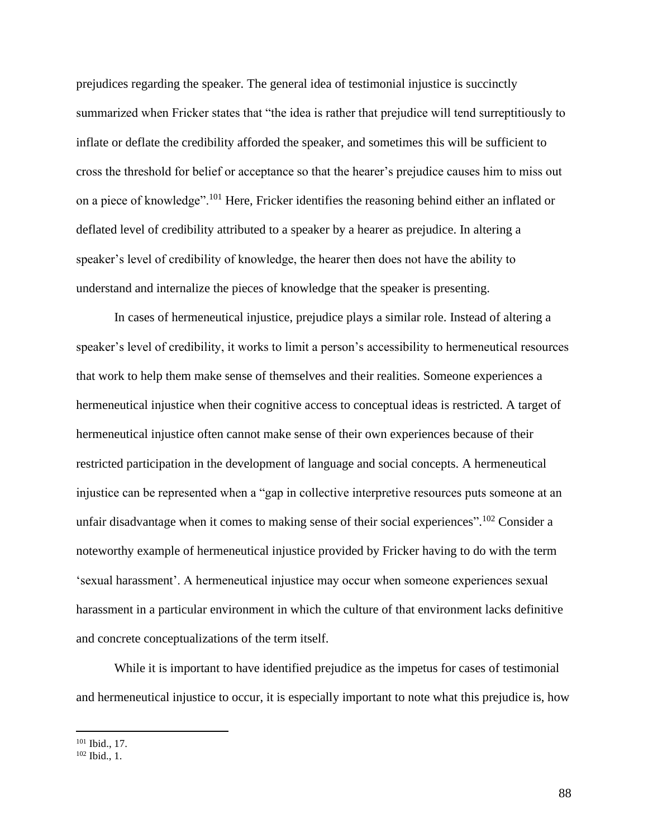prejudices regarding the speaker. The general idea of testimonial injustice is succinctly summarized when Fricker states that "the idea is rather that prejudice will tend surreptitiously to inflate or deflate the credibility afforded the speaker, and sometimes this will be sufficient to cross the threshold for belief or acceptance so that the hearer's prejudice causes him to miss out on a piece of knowledge".<sup>101</sup> Here, Fricker identifies the reasoning behind either an inflated or deflated level of credibility attributed to a speaker by a hearer as prejudice. In altering a speaker's level of credibility of knowledge, the hearer then does not have the ability to understand and internalize the pieces of knowledge that the speaker is presenting.

In cases of hermeneutical injustice, prejudice plays a similar role. Instead of altering a speaker's level of credibility, it works to limit a person's accessibility to hermeneutical resources that work to help them make sense of themselves and their realities. Someone experiences a hermeneutical injustice when their cognitive access to conceptual ideas is restricted. A target of hermeneutical injustice often cannot make sense of their own experiences because of their restricted participation in the development of language and social concepts. A hermeneutical injustice can be represented when a "gap in collective interpretive resources puts someone at an unfair disadvantage when it comes to making sense of their social experiences".<sup>102</sup> Consider a noteworthy example of hermeneutical injustice provided by Fricker having to do with the term 'sexual harassment'. A hermeneutical injustice may occur when someone experiences sexual harassment in a particular environment in which the culture of that environment lacks definitive and concrete conceptualizations of the term itself.

While it is important to have identified prejudice as the impetus for cases of testimonial and hermeneutical injustice to occur, it is especially important to note what this prejudice is, how

<sup>101</sup> Ibid., 17.

<sup>102</sup> Ibid., 1.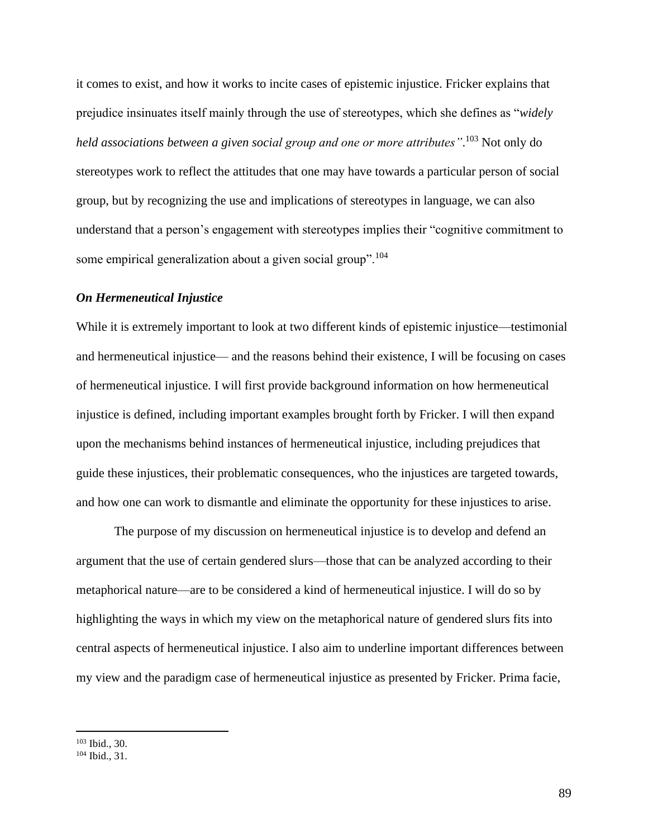it comes to exist, and how it works to incite cases of epistemic injustice. Fricker explains that prejudice insinuates itself mainly through the use of stereotypes, which she defines as "*widely held associations between a given social group and one or more attributes"*. <sup>103</sup> Not only do stereotypes work to reflect the attitudes that one may have towards a particular person of social group, but by recognizing the use and implications of stereotypes in language, we can also understand that a person's engagement with stereotypes implies their "cognitive commitment to some empirical generalization about a given social group".<sup>104</sup>

# *On Hermeneutical Injustice*

While it is extremely important to look at two different kinds of epistemic injustice—testimonial and hermeneutical injustice— and the reasons behind their existence, I will be focusing on cases of hermeneutical injustice. I will first provide background information on how hermeneutical injustice is defined, including important examples brought forth by Fricker. I will then expand upon the mechanisms behind instances of hermeneutical injustice, including prejudices that guide these injustices, their problematic consequences, who the injustices are targeted towards, and how one can work to dismantle and eliminate the opportunity for these injustices to arise.

The purpose of my discussion on hermeneutical injustice is to develop and defend an argument that the use of certain gendered slurs—those that can be analyzed according to their metaphorical nature—are to be considered a kind of hermeneutical injustice. I will do so by highlighting the ways in which my view on the metaphorical nature of gendered slurs fits into central aspects of hermeneutical injustice. I also aim to underline important differences between my view and the paradigm case of hermeneutical injustice as presented by Fricker. Prima facie,

<sup>103</sup> Ibid., 30.

<sup>104</sup> Ibid., 31.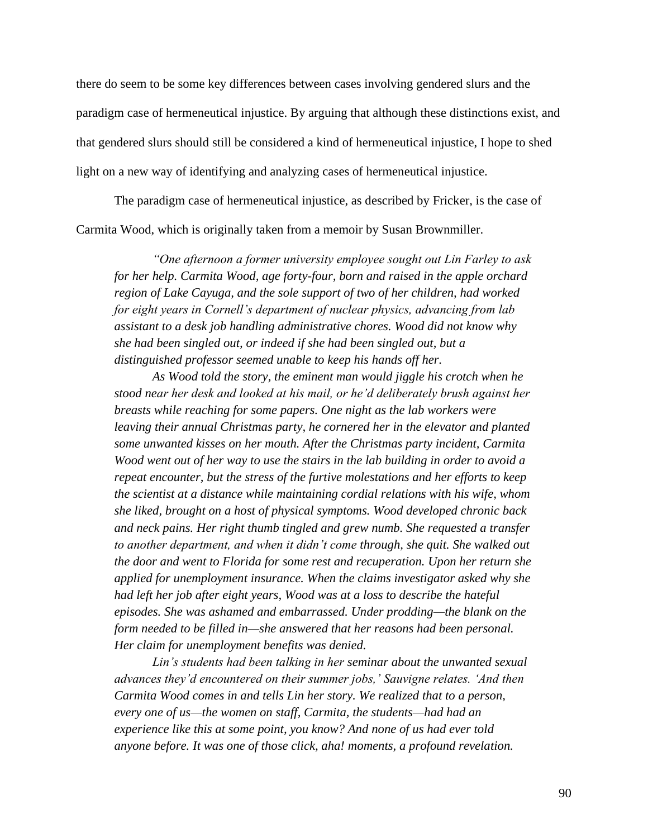there do seem to be some key differences between cases involving gendered slurs and the paradigm case of hermeneutical injustice. By arguing that although these distinctions exist, and that gendered slurs should still be considered a kind of hermeneutical injustice, I hope to shed light on a new way of identifying and analyzing cases of hermeneutical injustice.

The paradigm case of hermeneutical injustice, as described by Fricker, is the case of Carmita Wood, which is originally taken from a memoir by Susan Brownmiller.

*"One afternoon a former university employee sought out Lin Farley to ask for her help. Carmita Wood, age forty-four, born and raised in the apple orchard region of Lake Cayuga, and the sole support of two of her children, had worked for eight years in Cornell's department of nuclear physics, advancing from lab assistant to a desk job handling administrative chores. Wood did not know why she had been singled out, or indeed if she had been singled out, but a distinguished professor seemed unable to keep his hands off her.*

*As Wood told the story, the eminent man would jiggle his crotch when he stood near her desk and looked at his mail, or he'd deliberately brush against her breasts while reaching for some papers. One night as the lab workers were*  leaving their annual Christmas party, he cornered her in the elevator and planted *some unwanted kisses on her mouth. After the Christmas party incident, Carmita Wood went out of her way to use the stairs in the lab building in order to avoid a repeat encounter, but the stress of the furtive molestations and her efforts to keep the scientist at a distance while maintaining cordial relations with his wife, whom she liked, brought on a host of physical symptoms. Wood developed chronic back and neck pains. Her right thumb tingled and grew numb. She requested a transfer to another department, and when it didn't come through, she quit. She walked out the door and went to Florida for some rest and recuperation. Upon her return she applied for unemployment insurance. When the claims investigator asked why she had left her job after eight years, Wood was at a loss to describe the hateful episodes. She was ashamed and embarrassed. Under prodding—the blank on the form needed to be filled in—she answered that her reasons had been personal. Her claim for unemployment benefits was denied.*

*Lin's students had been talking in her seminar about the unwanted sexual advances they'd encountered on their summer jobs,' Sauvigne relates. 'And then Carmita Wood comes in and tells Lin her story. We realized that to a person, every one of us—the women on staff, Carmita, the students—had had an experience like this at some point, you know? And none of us had ever told anyone before. It was one of those click, aha! moments, a profound revelation.*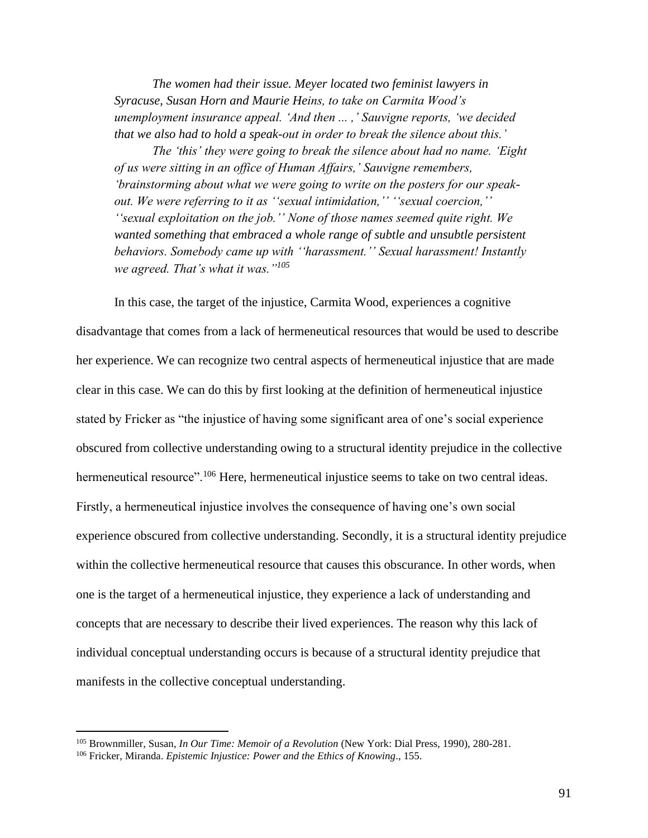*The women had their issue. Meyer located two feminist lawyers in Syracuse, Susan Horn and Maurie Heins, to take on Carmita Wood's unemployment insurance appeal. 'And then ... ,' Sauvigne reports, 'we decided that we also had to hold a speak-out in order to break the silence about this.'*

*The 'this' they were going to break the silence about had no name. 'Eight of us were sitting in an office of Human Affairs,' Sauvigne remembers, 'brainstorming about what we were going to write on the posters for our speakout. We were referring to it as ''sexual intimidation,'' ''sexual coercion,'' ''sexual exploitation on the job.'' None of those names seemed quite right. We wanted something that embraced a whole range of subtle and unsubtle persistent behaviors. Somebody came up with ''harassment.'' Sexual harassment! Instantly we agreed. That's what it was."<sup>105</sup>*

In this case, the target of the injustice, Carmita Wood, experiences a cognitive disadvantage that comes from a lack of hermeneutical resources that would be used to describe her experience. We can recognize two central aspects of hermeneutical injustice that are made clear in this case. We can do this by first looking at the definition of hermeneutical injustice stated by Fricker as "the injustice of having some significant area of one's social experience obscured from collective understanding owing to a structural identity prejudice in the collective hermeneutical resource".<sup>106</sup> Here, hermeneutical injustice seems to take on two central ideas. Firstly, a hermeneutical injustice involves the consequence of having one's own social experience obscured from collective understanding. Secondly, it is a structural identity prejudice within the collective hermeneutical resource that causes this obscurance. In other words, when one is the target of a hermeneutical injustice, they experience a lack of understanding and concepts that are necessary to describe their lived experiences. The reason why this lack of individual conceptual understanding occurs is because of a structural identity prejudice that manifests in the collective conceptual understanding.

<sup>105</sup> Brownmiller, Susan, *In Our Time: Memoir of a Revolution* (New York: Dial Press, 1990), 280-281.

<sup>106</sup> Fricker, Miranda. *Epistemic Injustice: Power and the Ethics of Knowing*., 155.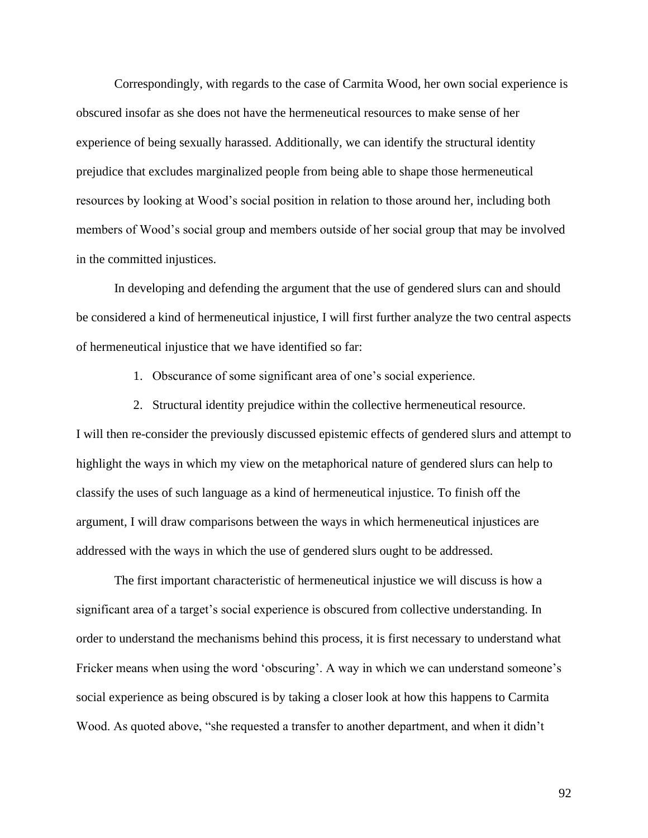Correspondingly, with regards to the case of Carmita Wood, her own social experience is obscured insofar as she does not have the hermeneutical resources to make sense of her experience of being sexually harassed. Additionally, we can identify the structural identity prejudice that excludes marginalized people from being able to shape those hermeneutical resources by looking at Wood's social position in relation to those around her, including both members of Wood's social group and members outside of her social group that may be involved in the committed injustices.

In developing and defending the argument that the use of gendered slurs can and should be considered a kind of hermeneutical injustice, I will first further analyze the two central aspects of hermeneutical injustice that we have identified so far:

- 1. Obscurance of some significant area of one's social experience.
- 2. Structural identity prejudice within the collective hermeneutical resource.

I will then re-consider the previously discussed epistemic effects of gendered slurs and attempt to highlight the ways in which my view on the metaphorical nature of gendered slurs can help to classify the uses of such language as a kind of hermeneutical injustice. To finish off the argument, I will draw comparisons between the ways in which hermeneutical injustices are addressed with the ways in which the use of gendered slurs ought to be addressed.

The first important characteristic of hermeneutical injustice we will discuss is how a significant area of a target's social experience is obscured from collective understanding. In order to understand the mechanisms behind this process, it is first necessary to understand what Fricker means when using the word 'obscuring'. A way in which we can understand someone's social experience as being obscured is by taking a closer look at how this happens to Carmita Wood. As quoted above, "she requested a transfer to another department, and when it didn't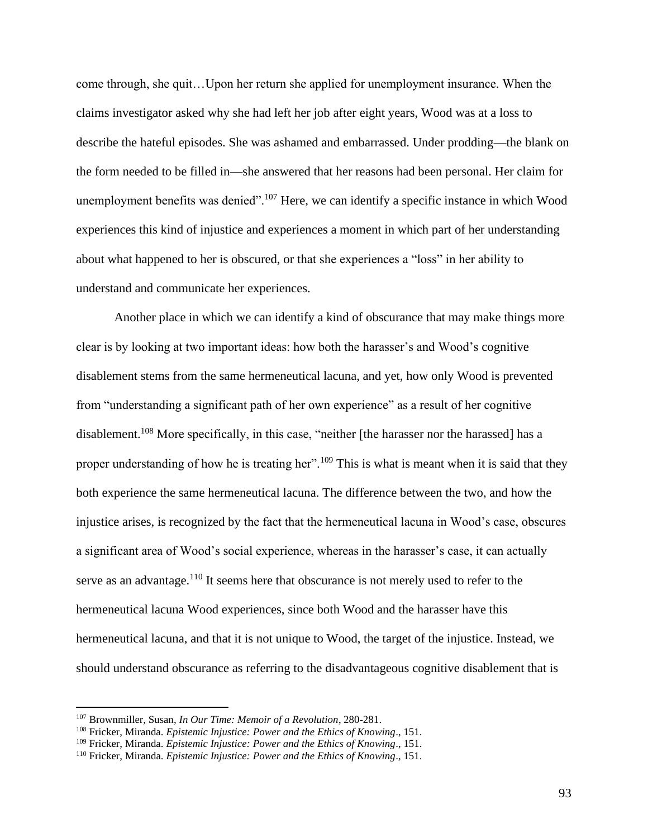come through, she quit…Upon her return she applied for unemployment insurance. When the claims investigator asked why she had left her job after eight years, Wood was at a loss to describe the hateful episodes. She was ashamed and embarrassed. Under prodding—the blank on the form needed to be filled in—she answered that her reasons had been personal. Her claim for unemployment benefits was denied".<sup>107</sup> Here, we can identify a specific instance in which Wood experiences this kind of injustice and experiences a moment in which part of her understanding about what happened to her is obscured, or that she experiences a "loss" in her ability to understand and communicate her experiences.

Another place in which we can identify a kind of obscurance that may make things more clear is by looking at two important ideas: how both the harasser's and Wood's cognitive disablement stems from the same hermeneutical lacuna, and yet, how only Wood is prevented from "understanding a significant path of her own experience" as a result of her cognitive disablement.<sup>108</sup> More specifically, in this case, "neither [the harasser nor the harassed] has a proper understanding of how he is treating her".<sup>109</sup> This is what is meant when it is said that they both experience the same hermeneutical lacuna. The difference between the two, and how the injustice arises, is recognized by the fact that the hermeneutical lacuna in Wood's case, obscures a significant area of Wood's social experience, whereas in the harasser's case, it can actually serve as an advantage.<sup>110</sup> It seems here that obscurance is not merely used to refer to the hermeneutical lacuna Wood experiences, since both Wood and the harasser have this hermeneutical lacuna, and that it is not unique to Wood, the target of the injustice. Instead, we should understand obscurance as referring to the disadvantageous cognitive disablement that is

<sup>107</sup> Brownmiller, Susan, *In Our Time: Memoir of a Revolution*, 280-281.

<sup>108</sup> Fricker, Miranda. *Epistemic Injustice: Power and the Ethics of Knowing*., 151.

<sup>109</sup> Fricker, Miranda. *Epistemic Injustice: Power and the Ethics of Knowing*., 151.

<sup>110</sup> Fricker, Miranda. *Epistemic Injustice: Power and the Ethics of Knowing*., 151.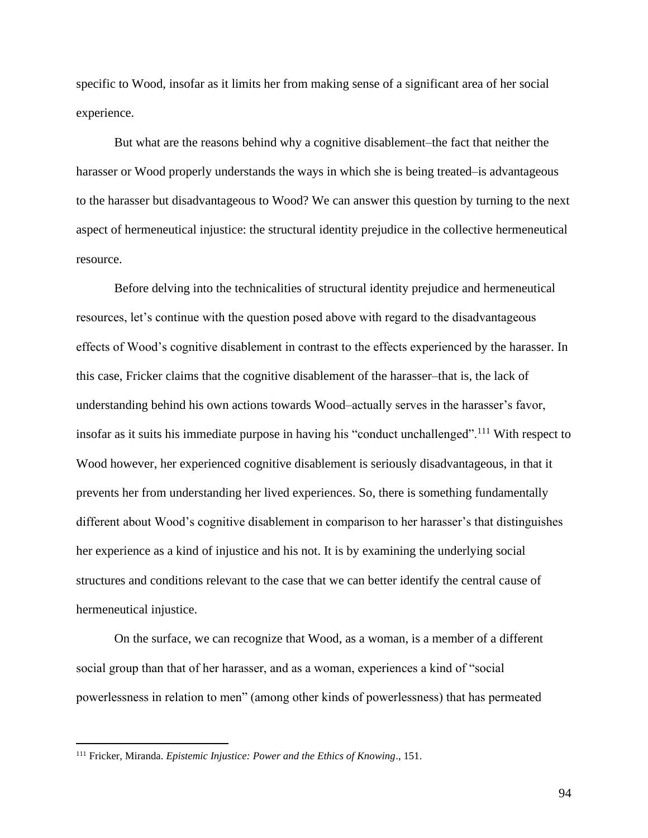specific to Wood, insofar as it limits her from making sense of a significant area of her social experience.

But what are the reasons behind why a cognitive disablement–the fact that neither the harasser or Wood properly understands the ways in which she is being treated–is advantageous to the harasser but disadvantageous to Wood? We can answer this question by turning to the next aspect of hermeneutical injustice: the structural identity prejudice in the collective hermeneutical resource.

Before delving into the technicalities of structural identity prejudice and hermeneutical resources, let's continue with the question posed above with regard to the disadvantageous effects of Wood's cognitive disablement in contrast to the effects experienced by the harasser. In this case, Fricker claims that the cognitive disablement of the harasser–that is, the lack of understanding behind his own actions towards Wood–actually serves in the harasser's favor, insofar as it suits his immediate purpose in having his "conduct unchallenged".<sup>111</sup> With respect to Wood however, her experienced cognitive disablement is seriously disadvantageous, in that it prevents her from understanding her lived experiences. So, there is something fundamentally different about Wood's cognitive disablement in comparison to her harasser's that distinguishes her experience as a kind of injustice and his not. It is by examining the underlying social structures and conditions relevant to the case that we can better identify the central cause of hermeneutical injustice.

On the surface, we can recognize that Wood, as a woman, is a member of a different social group than that of her harasser, and as a woman, experiences a kind of "social powerlessness in relation to men" (among other kinds of powerlessness) that has permeated

<sup>111</sup> Fricker, Miranda. *Epistemic Injustice: Power and the Ethics of Knowing*., 151.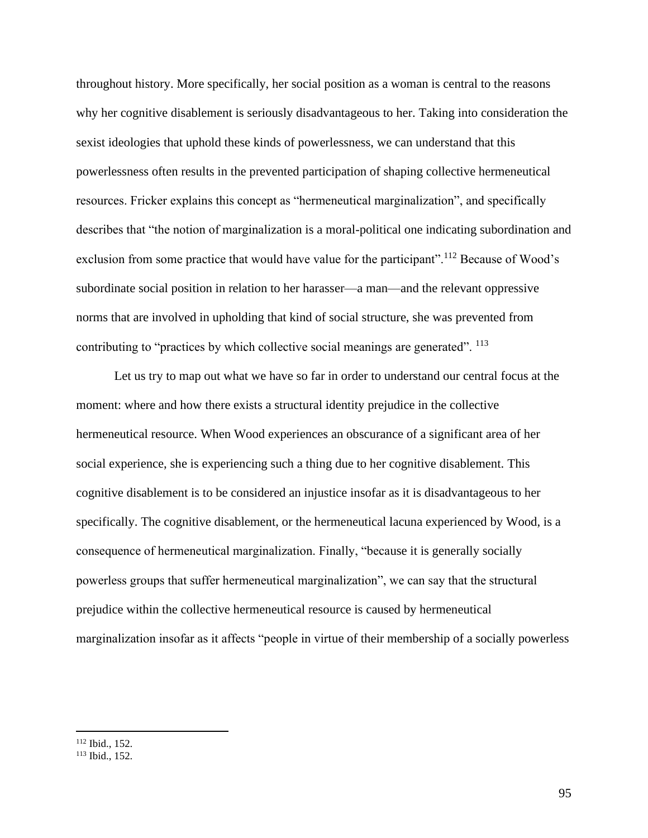throughout history. More specifically, her social position as a woman is central to the reasons why her cognitive disablement is seriously disadvantageous to her. Taking into consideration the sexist ideologies that uphold these kinds of powerlessness, we can understand that this powerlessness often results in the prevented participation of shaping collective hermeneutical resources. Fricker explains this concept as "hermeneutical marginalization", and specifically describes that "the notion of marginalization is a moral-political one indicating subordination and exclusion from some practice that would have value for the participant".<sup>112</sup> Because of Wood's subordinate social position in relation to her harasser—a man—and the relevant oppressive norms that are involved in upholding that kind of social structure, she was prevented from contributing to "practices by which collective social meanings are generated". <sup>113</sup>

Let us try to map out what we have so far in order to understand our central focus at the moment: where and how there exists a structural identity prejudice in the collective hermeneutical resource. When Wood experiences an obscurance of a significant area of her social experience, she is experiencing such a thing due to her cognitive disablement. This cognitive disablement is to be considered an injustice insofar as it is disadvantageous to her specifically. The cognitive disablement, or the hermeneutical lacuna experienced by Wood, is a consequence of hermeneutical marginalization. Finally, "because it is generally socially powerless groups that suffer hermeneutical marginalization", we can say that the structural prejudice within the collective hermeneutical resource is caused by hermeneutical marginalization insofar as it affects "people in virtue of their membership of a socially powerless

<sup>112</sup> Ibid., 152.

<sup>113</sup> Ibid., 152.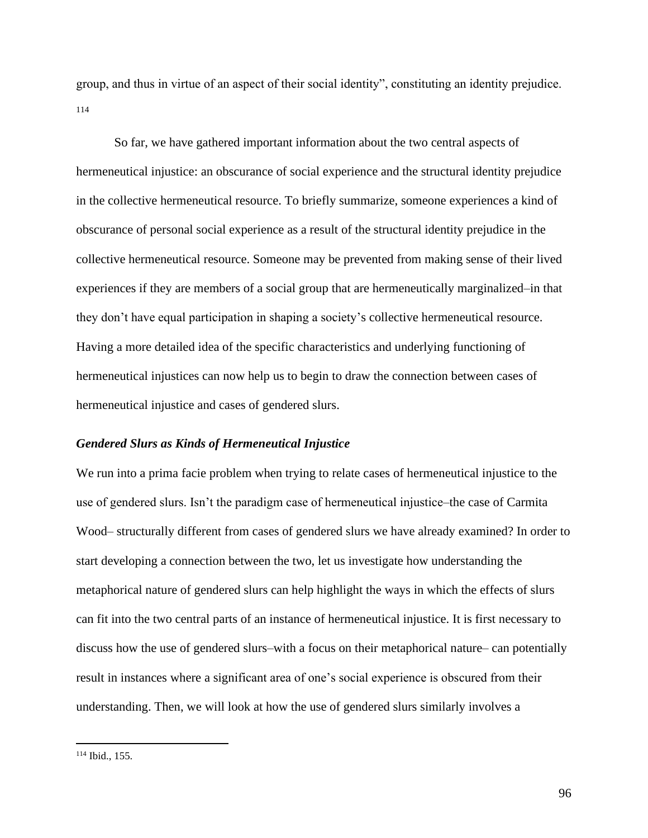group, and thus in virtue of an aspect of their social identity", constituting an identity prejudice. 114

So far, we have gathered important information about the two central aspects of hermeneutical injustice: an obscurance of social experience and the structural identity prejudice in the collective hermeneutical resource. To briefly summarize, someone experiences a kind of obscurance of personal social experience as a result of the structural identity prejudice in the collective hermeneutical resource. Someone may be prevented from making sense of their lived experiences if they are members of a social group that are hermeneutically marginalized–in that they don't have equal participation in shaping a society's collective hermeneutical resource. Having a more detailed idea of the specific characteristics and underlying functioning of hermeneutical injustices can now help us to begin to draw the connection between cases of hermeneutical injustice and cases of gendered slurs.

#### *Gendered Slurs as Kinds of Hermeneutical Injustice*

We run into a prima facie problem when trying to relate cases of hermeneutical injustice to the use of gendered slurs. Isn't the paradigm case of hermeneutical injustice–the case of Carmita Wood– structurally different from cases of gendered slurs we have already examined? In order to start developing a connection between the two, let us investigate how understanding the metaphorical nature of gendered slurs can help highlight the ways in which the effects of slurs can fit into the two central parts of an instance of hermeneutical injustice. It is first necessary to discuss how the use of gendered slurs–with a focus on their metaphorical nature– can potentially result in instances where a significant area of one's social experience is obscured from their understanding. Then, we will look at how the use of gendered slurs similarly involves a

<sup>114</sup> Ibid., 155.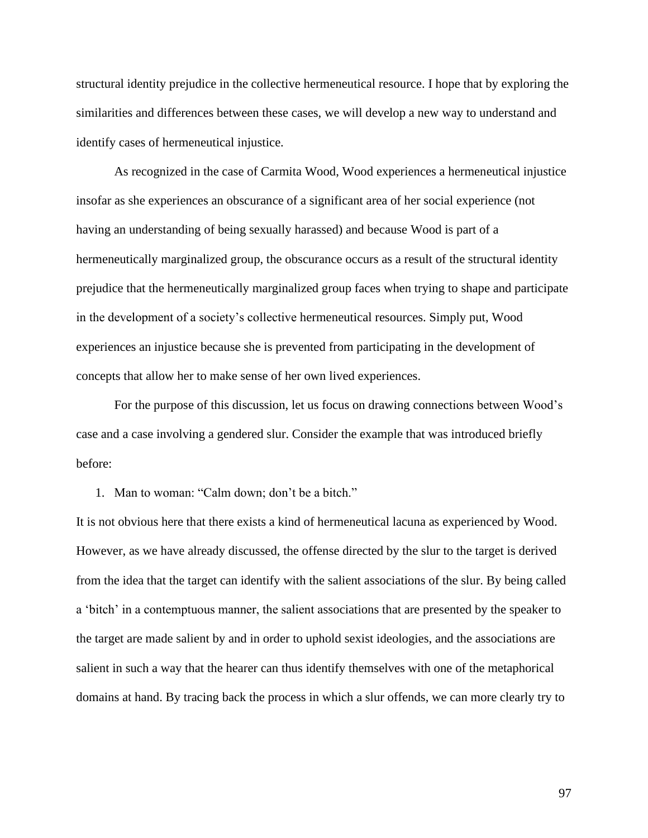structural identity prejudice in the collective hermeneutical resource. I hope that by exploring the similarities and differences between these cases, we will develop a new way to understand and identify cases of hermeneutical injustice.

As recognized in the case of Carmita Wood, Wood experiences a hermeneutical injustice insofar as she experiences an obscurance of a significant area of her social experience (not having an understanding of being sexually harassed) and because Wood is part of a hermeneutically marginalized group, the obscurance occurs as a result of the structural identity prejudice that the hermeneutically marginalized group faces when trying to shape and participate in the development of a society's collective hermeneutical resources. Simply put, Wood experiences an injustice because she is prevented from participating in the development of concepts that allow her to make sense of her own lived experiences.

For the purpose of this discussion, let us focus on drawing connections between Wood's case and a case involving a gendered slur. Consider the example that was introduced briefly before:

1. Man to woman: "Calm down; don't be a bitch."

It is not obvious here that there exists a kind of hermeneutical lacuna as experienced by Wood. However, as we have already discussed, the offense directed by the slur to the target is derived from the idea that the target can identify with the salient associations of the slur. By being called a 'bitch' in a contemptuous manner, the salient associations that are presented by the speaker to the target are made salient by and in order to uphold sexist ideologies, and the associations are salient in such a way that the hearer can thus identify themselves with one of the metaphorical domains at hand. By tracing back the process in which a slur offends, we can more clearly try to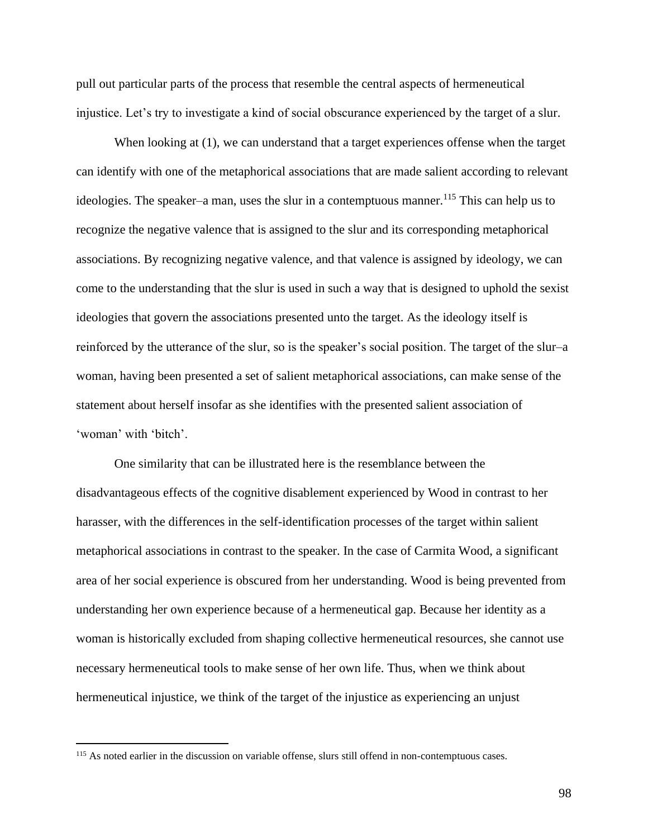pull out particular parts of the process that resemble the central aspects of hermeneutical injustice. Let's try to investigate a kind of social obscurance experienced by the target of a slur.

When looking at (1), we can understand that a target experiences offense when the target can identify with one of the metaphorical associations that are made salient according to relevant ideologies. The speaker–a man, uses the slur in a contemptuous manner.<sup>115</sup> This can help us to recognize the negative valence that is assigned to the slur and its corresponding metaphorical associations. By recognizing negative valence, and that valence is assigned by ideology, we can come to the understanding that the slur is used in such a way that is designed to uphold the sexist ideologies that govern the associations presented unto the target. As the ideology itself is reinforced by the utterance of the slur, so is the speaker's social position. The target of the slur–a woman, having been presented a set of salient metaphorical associations, can make sense of the statement about herself insofar as she identifies with the presented salient association of 'woman' with 'bitch'.

One similarity that can be illustrated here is the resemblance between the disadvantageous effects of the cognitive disablement experienced by Wood in contrast to her harasser, with the differences in the self-identification processes of the target within salient metaphorical associations in contrast to the speaker. In the case of Carmita Wood, a significant area of her social experience is obscured from her understanding. Wood is being prevented from understanding her own experience because of a hermeneutical gap. Because her identity as a woman is historically excluded from shaping collective hermeneutical resources, she cannot use necessary hermeneutical tools to make sense of her own life. Thus, when we think about hermeneutical injustice, we think of the target of the injustice as experiencing an unjust

<sup>&</sup>lt;sup>115</sup> As noted earlier in the discussion on variable offense, slurs still offend in non-contemptuous cases.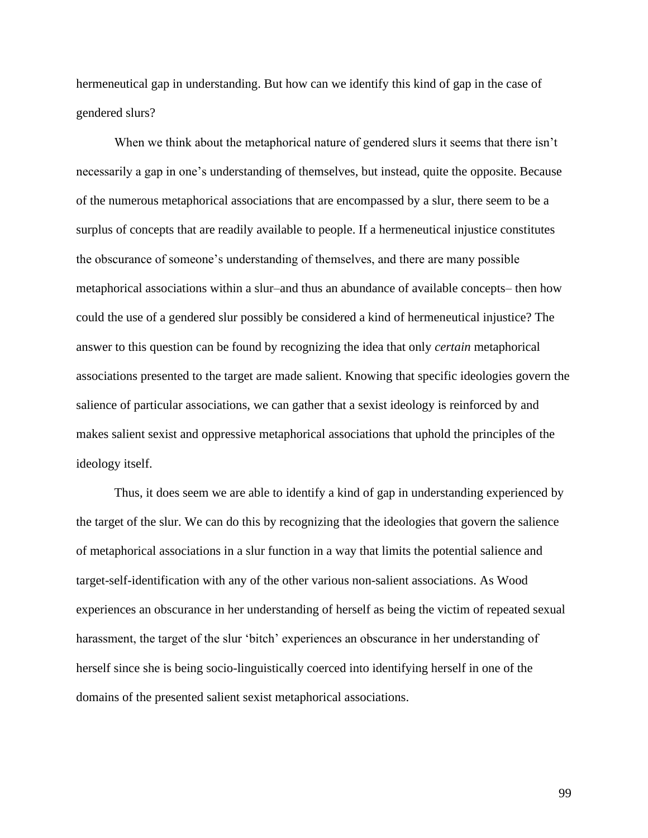hermeneutical gap in understanding. But how can we identify this kind of gap in the case of gendered slurs?

When we think about the metaphorical nature of gendered slurs it seems that there isn't necessarily a gap in one's understanding of themselves, but instead, quite the opposite. Because of the numerous metaphorical associations that are encompassed by a slur, there seem to be a surplus of concepts that are readily available to people. If a hermeneutical injustice constitutes the obscurance of someone's understanding of themselves, and there are many possible metaphorical associations within a slur–and thus an abundance of available concepts– then how could the use of a gendered slur possibly be considered a kind of hermeneutical injustice? The answer to this question can be found by recognizing the idea that only *certain* metaphorical associations presented to the target are made salient. Knowing that specific ideologies govern the salience of particular associations, we can gather that a sexist ideology is reinforced by and makes salient sexist and oppressive metaphorical associations that uphold the principles of the ideology itself.

Thus, it does seem we are able to identify a kind of gap in understanding experienced by the target of the slur. We can do this by recognizing that the ideologies that govern the salience of metaphorical associations in a slur function in a way that limits the potential salience and target-self-identification with any of the other various non-salient associations. As Wood experiences an obscurance in her understanding of herself as being the victim of repeated sexual harassment, the target of the slur 'bitch' experiences an obscurance in her understanding of herself since she is being socio-linguistically coerced into identifying herself in one of the domains of the presented salient sexist metaphorical associations.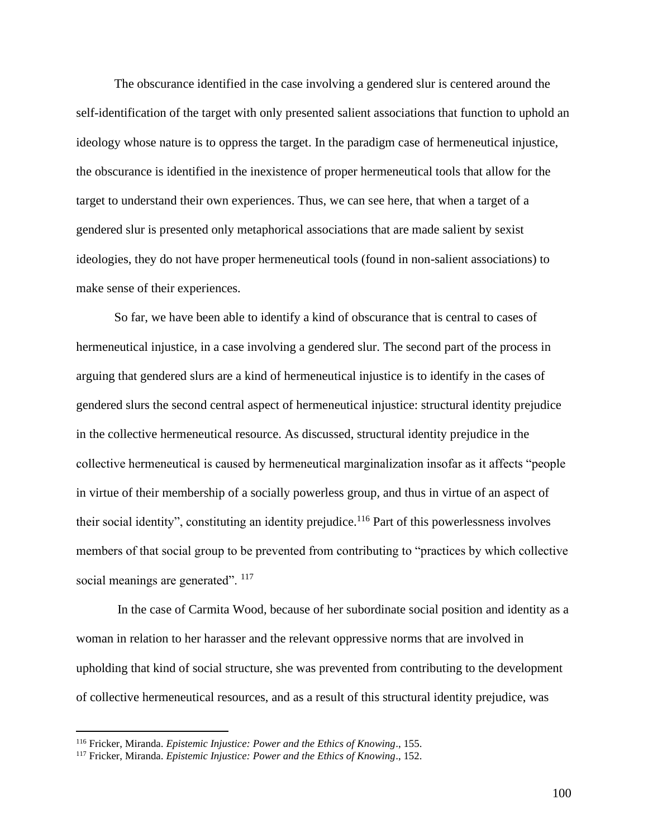The obscurance identified in the case involving a gendered slur is centered around the self-identification of the target with only presented salient associations that function to uphold an ideology whose nature is to oppress the target. In the paradigm case of hermeneutical injustice, the obscurance is identified in the inexistence of proper hermeneutical tools that allow for the target to understand their own experiences. Thus, we can see here, that when a target of a gendered slur is presented only metaphorical associations that are made salient by sexist ideologies, they do not have proper hermeneutical tools (found in non-salient associations) to make sense of their experiences.

So far, we have been able to identify a kind of obscurance that is central to cases of hermeneutical injustice, in a case involving a gendered slur. The second part of the process in arguing that gendered slurs are a kind of hermeneutical injustice is to identify in the cases of gendered slurs the second central aspect of hermeneutical injustice: structural identity prejudice in the collective hermeneutical resource. As discussed, structural identity prejudice in the collective hermeneutical is caused by hermeneutical marginalization insofar as it affects "people in virtue of their membership of a socially powerless group, and thus in virtue of an aspect of their social identity", constituting an identity prejudice.<sup>116</sup> Part of this powerlessness involves members of that social group to be prevented from contributing to "practices by which collective social meanings are generated". <sup>117</sup>

In the case of Carmita Wood, because of her subordinate social position and identity as a woman in relation to her harasser and the relevant oppressive norms that are involved in upholding that kind of social structure, she was prevented from contributing to the development of collective hermeneutical resources, and as a result of this structural identity prejudice, was

<sup>116</sup> Fricker, Miranda. *Epistemic Injustice: Power and the Ethics of Knowing*., 155.

<sup>117</sup> Fricker, Miranda. *Epistemic Injustice: Power and the Ethics of Knowing*., 152.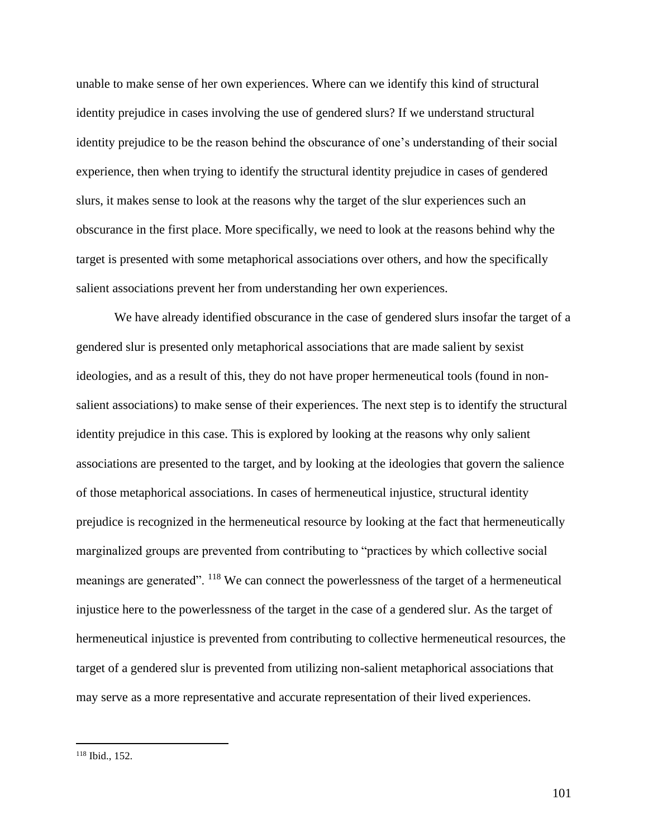unable to make sense of her own experiences. Where can we identify this kind of structural identity prejudice in cases involving the use of gendered slurs? If we understand structural identity prejudice to be the reason behind the obscurance of one's understanding of their social experience, then when trying to identify the structural identity prejudice in cases of gendered slurs, it makes sense to look at the reasons why the target of the slur experiences such an obscurance in the first place. More specifically, we need to look at the reasons behind why the target is presented with some metaphorical associations over others, and how the specifically salient associations prevent her from understanding her own experiences.

We have already identified obscurance in the case of gendered slurs insofar the target of a gendered slur is presented only metaphorical associations that are made salient by sexist ideologies, and as a result of this, they do not have proper hermeneutical tools (found in nonsalient associations) to make sense of their experiences. The next step is to identify the structural identity prejudice in this case. This is explored by looking at the reasons why only salient associations are presented to the target, and by looking at the ideologies that govern the salience of those metaphorical associations. In cases of hermeneutical injustice, structural identity prejudice is recognized in the hermeneutical resource by looking at the fact that hermeneutically marginalized groups are prevented from contributing to "practices by which collective social meanings are generated". <sup>118</sup> We can connect the powerlessness of the target of a hermeneutical injustice here to the powerlessness of the target in the case of a gendered slur. As the target of hermeneutical injustice is prevented from contributing to collective hermeneutical resources, the target of a gendered slur is prevented from utilizing non-salient metaphorical associations that may serve as a more representative and accurate representation of their lived experiences.

<sup>118</sup> Ibid., 152.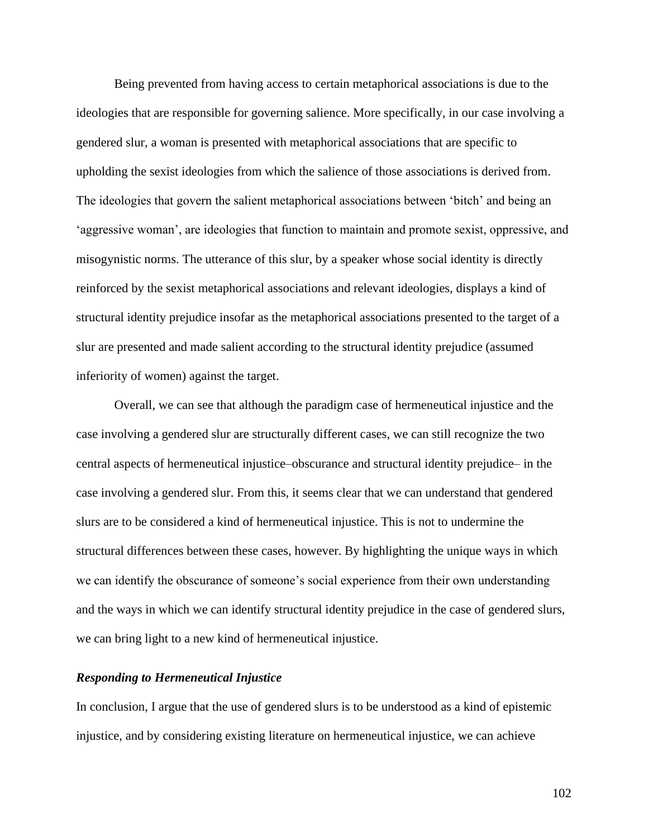Being prevented from having access to certain metaphorical associations is due to the ideologies that are responsible for governing salience. More specifically, in our case involving a gendered slur, a woman is presented with metaphorical associations that are specific to upholding the sexist ideologies from which the salience of those associations is derived from. The ideologies that govern the salient metaphorical associations between 'bitch' and being an 'aggressive woman', are ideologies that function to maintain and promote sexist, oppressive, and misogynistic norms. The utterance of this slur, by a speaker whose social identity is directly reinforced by the sexist metaphorical associations and relevant ideologies, displays a kind of structural identity prejudice insofar as the metaphorical associations presented to the target of a slur are presented and made salient according to the structural identity prejudice (assumed inferiority of women) against the target.

Overall, we can see that although the paradigm case of hermeneutical injustice and the case involving a gendered slur are structurally different cases, we can still recognize the two central aspects of hermeneutical injustice–obscurance and structural identity prejudice– in the case involving a gendered slur. From this, it seems clear that we can understand that gendered slurs are to be considered a kind of hermeneutical injustice. This is not to undermine the structural differences between these cases, however. By highlighting the unique ways in which we can identify the obscurance of someone's social experience from their own understanding and the ways in which we can identify structural identity prejudice in the case of gendered slurs, we can bring light to a new kind of hermeneutical injustice.

# *Responding to Hermeneutical Injustice*

In conclusion, I argue that the use of gendered slurs is to be understood as a kind of epistemic injustice, and by considering existing literature on hermeneutical injustice, we can achieve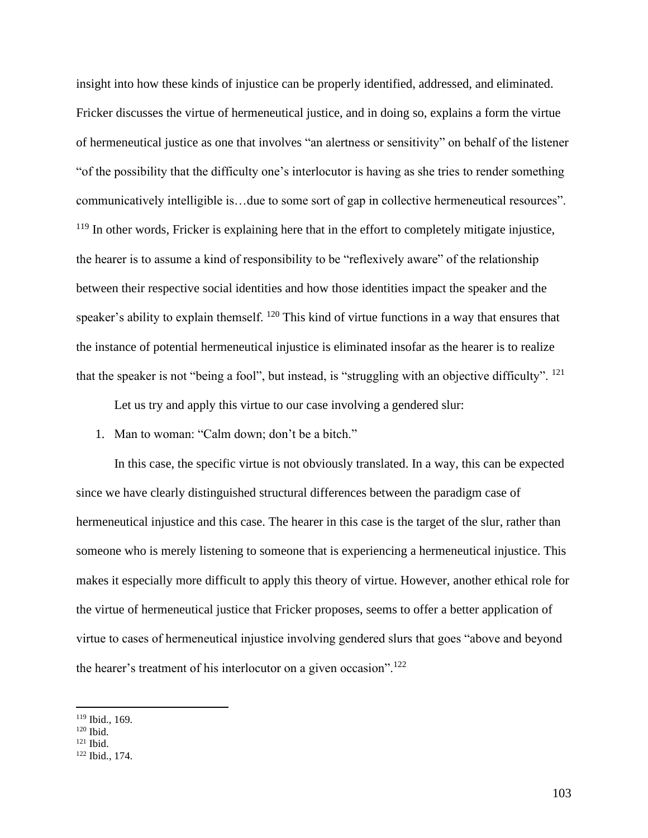insight into how these kinds of injustice can be properly identified, addressed, and eliminated. Fricker discusses the virtue of hermeneutical justice, and in doing so, explains a form the virtue of hermeneutical justice as one that involves "an alertness or sensitivity" on behalf of the listener "of the possibility that the difficulty one's interlocutor is having as she tries to render something communicatively intelligible is…due to some sort of gap in collective hermeneutical resources". <sup>119</sup> In other words, Fricker is explaining here that in the effort to completely mitigate injustice, the hearer is to assume a kind of responsibility to be "reflexively aware" of the relationship between their respective social identities and how those identities impact the speaker and the speaker's ability to explain themself. <sup>120</sup> This kind of virtue functions in a way that ensures that the instance of potential hermeneutical injustice is eliminated insofar as the hearer is to realize that the speaker is not "being a fool", but instead, is "struggling with an objective difficulty". <sup>121</sup>

Let us try and apply this virtue to our case involving a gendered slur:

1. Man to woman: "Calm down; don't be a bitch."

In this case, the specific virtue is not obviously translated. In a way, this can be expected since we have clearly distinguished structural differences between the paradigm case of hermeneutical injustice and this case. The hearer in this case is the target of the slur, rather than someone who is merely listening to someone that is experiencing a hermeneutical injustice. This makes it especially more difficult to apply this theory of virtue. However, another ethical role for the virtue of hermeneutical justice that Fricker proposes, seems to offer a better application of virtue to cases of hermeneutical injustice involving gendered slurs that goes "above and beyond the hearer's treatment of his interlocutor on a given occasion".<sup>122</sup>

<sup>119</sup> Ibid., 169.

 $120$  Ibid.

 $121$  Ibid.

<sup>122</sup> Ibid., 174.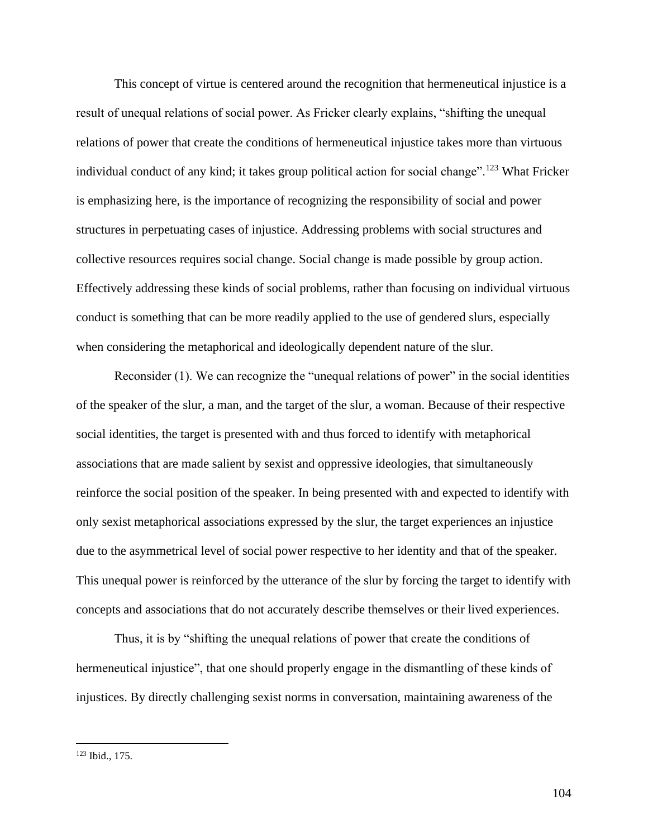This concept of virtue is centered around the recognition that hermeneutical injustice is a result of unequal relations of social power. As Fricker clearly explains, "shifting the unequal relations of power that create the conditions of hermeneutical injustice takes more than virtuous individual conduct of any kind; it takes group political action for social change".<sup>123</sup> What Fricker is emphasizing here, is the importance of recognizing the responsibility of social and power structures in perpetuating cases of injustice. Addressing problems with social structures and collective resources requires social change. Social change is made possible by group action. Effectively addressing these kinds of social problems, rather than focusing on individual virtuous conduct is something that can be more readily applied to the use of gendered slurs, especially when considering the metaphorical and ideologically dependent nature of the slur.

Reconsider (1). We can recognize the "unequal relations of power" in the social identities of the speaker of the slur, a man, and the target of the slur, a woman. Because of their respective social identities, the target is presented with and thus forced to identify with metaphorical associations that are made salient by sexist and oppressive ideologies, that simultaneously reinforce the social position of the speaker. In being presented with and expected to identify with only sexist metaphorical associations expressed by the slur, the target experiences an injustice due to the asymmetrical level of social power respective to her identity and that of the speaker. This unequal power is reinforced by the utterance of the slur by forcing the target to identify with concepts and associations that do not accurately describe themselves or their lived experiences.

Thus, it is by "shifting the unequal relations of power that create the conditions of hermeneutical injustice", that one should properly engage in the dismantling of these kinds of injustices. By directly challenging sexist norms in conversation, maintaining awareness of the

<sup>123</sup> Ibid., 175.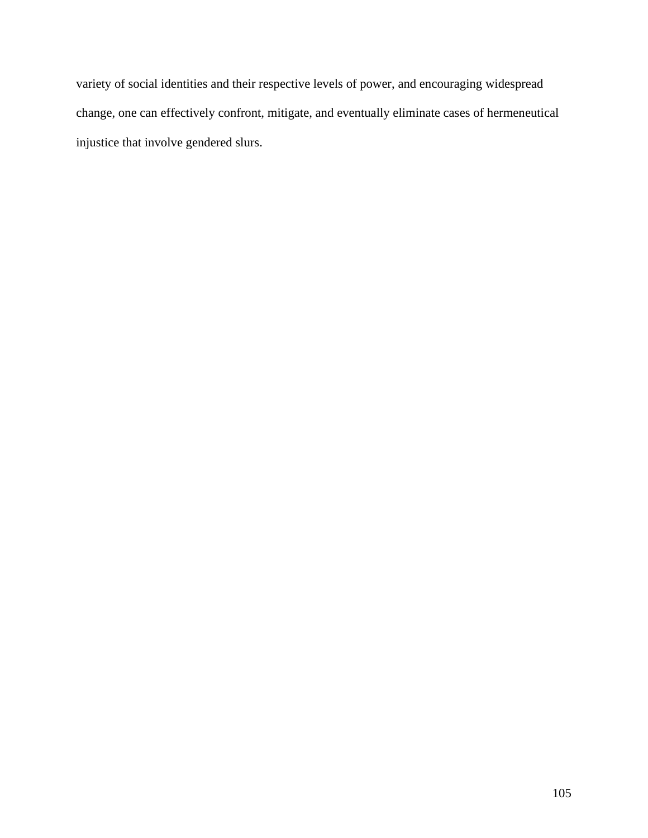variety of social identities and their respective levels of power, and encouraging widespread change, one can effectively confront, mitigate, and eventually eliminate cases of hermeneutical injustice that involve gendered slurs.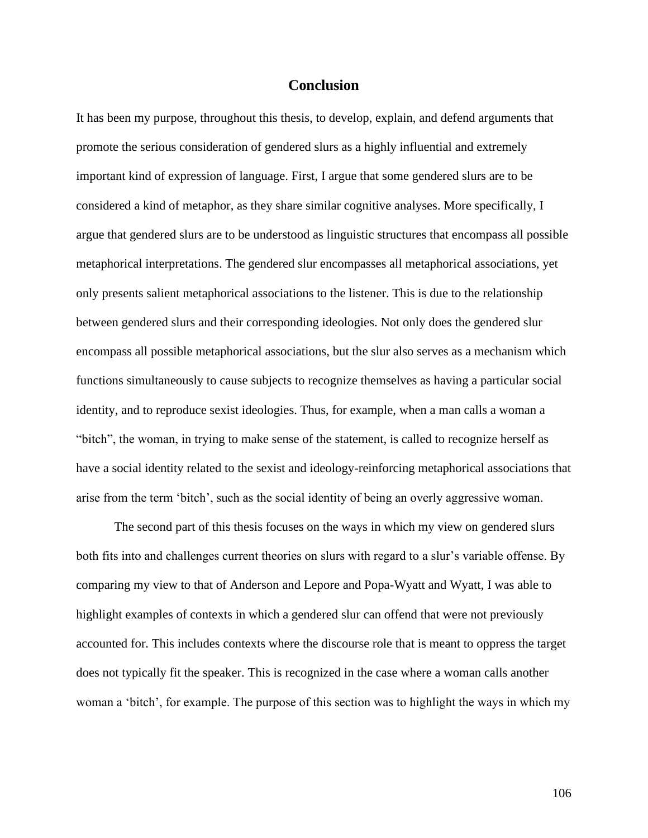## **Conclusion**

It has been my purpose, throughout this thesis, to develop, explain, and defend arguments that promote the serious consideration of gendered slurs as a highly influential and extremely important kind of expression of language. First, I argue that some gendered slurs are to be considered a kind of metaphor, as they share similar cognitive analyses. More specifically, I argue that gendered slurs are to be understood as linguistic structures that encompass all possible metaphorical interpretations. The gendered slur encompasses all metaphorical associations, yet only presents salient metaphorical associations to the listener. This is due to the relationship between gendered slurs and their corresponding ideologies. Not only does the gendered slur encompass all possible metaphorical associations, but the slur also serves as a mechanism which functions simultaneously to cause subjects to recognize themselves as having a particular social identity, and to reproduce sexist ideologies. Thus, for example, when a man calls a woman a "bitch", the woman, in trying to make sense of the statement, is called to recognize herself as have a social identity related to the sexist and ideology-reinforcing metaphorical associations that arise from the term 'bitch', such as the social identity of being an overly aggressive woman.

The second part of this thesis focuses on the ways in which my view on gendered slurs both fits into and challenges current theories on slurs with regard to a slur's variable offense. By comparing my view to that of Anderson and Lepore and Popa-Wyatt and Wyatt, I was able to highlight examples of contexts in which a gendered slur can offend that were not previously accounted for. This includes contexts where the discourse role that is meant to oppress the target does not typically fit the speaker. This is recognized in the case where a woman calls another woman a 'bitch', for example. The purpose of this section was to highlight the ways in which my

106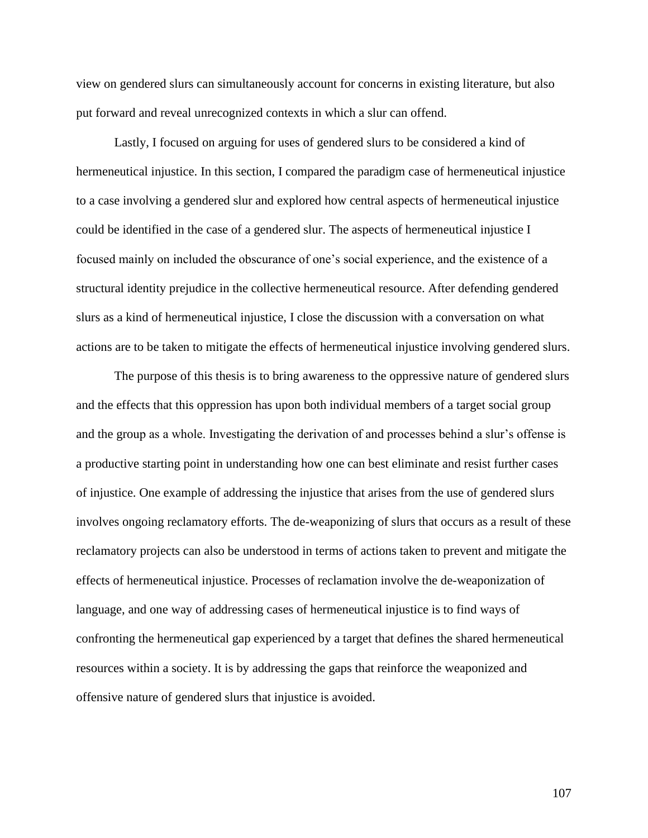view on gendered slurs can simultaneously account for concerns in existing literature, but also put forward and reveal unrecognized contexts in which a slur can offend.

Lastly, I focused on arguing for uses of gendered slurs to be considered a kind of hermeneutical injustice. In this section, I compared the paradigm case of hermeneutical injustice to a case involving a gendered slur and explored how central aspects of hermeneutical injustice could be identified in the case of a gendered slur. The aspects of hermeneutical injustice I focused mainly on included the obscurance of one's social experience, and the existence of a structural identity prejudice in the collective hermeneutical resource. After defending gendered slurs as a kind of hermeneutical injustice, I close the discussion with a conversation on what actions are to be taken to mitigate the effects of hermeneutical injustice involving gendered slurs.

The purpose of this thesis is to bring awareness to the oppressive nature of gendered slurs and the effects that this oppression has upon both individual members of a target social group and the group as a whole. Investigating the derivation of and processes behind a slur's offense is a productive starting point in understanding how one can best eliminate and resist further cases of injustice. One example of addressing the injustice that arises from the use of gendered slurs involves ongoing reclamatory efforts. The de-weaponizing of slurs that occurs as a result of these reclamatory projects can also be understood in terms of actions taken to prevent and mitigate the effects of hermeneutical injustice. Processes of reclamation involve the de-weaponization of language, and one way of addressing cases of hermeneutical injustice is to find ways of confronting the hermeneutical gap experienced by a target that defines the shared hermeneutical resources within a society. It is by addressing the gaps that reinforce the weaponized and offensive nature of gendered slurs that injustice is avoided.

107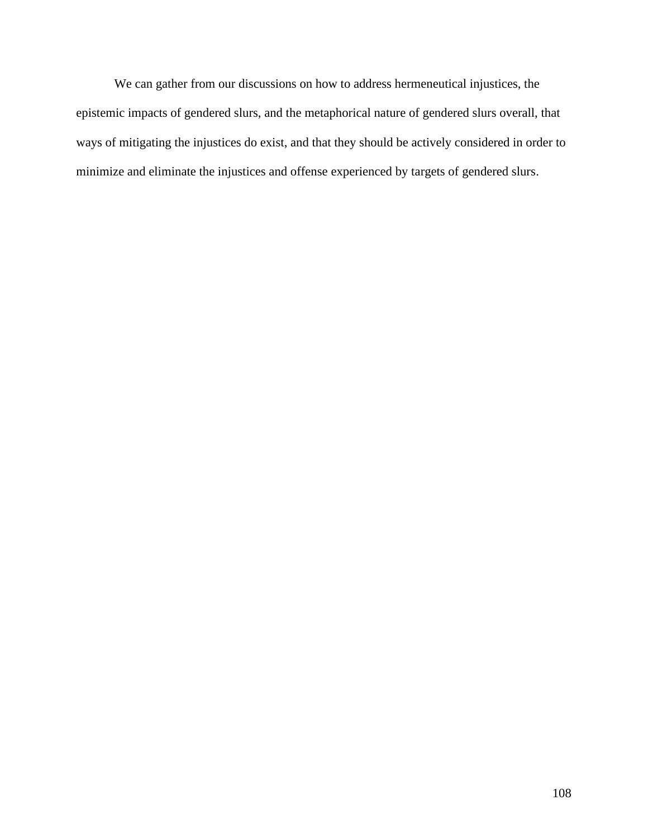We can gather from our discussions on how to address hermeneutical injustices, the epistemic impacts of gendered slurs, and the metaphorical nature of gendered slurs overall, that ways of mitigating the injustices do exist, and that they should be actively considered in order to minimize and eliminate the injustices and offense experienced by targets of gendered slurs.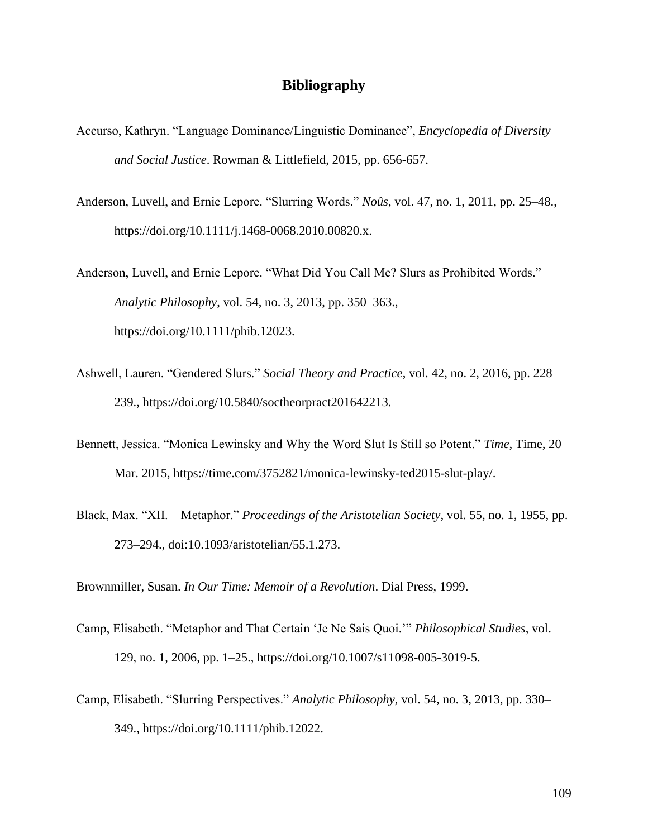## **Bibliography**

- Accurso, Kathryn. "Language Dominance/Linguistic Dominance", *Encyclopedia of Diversity and Social Justice*. Rowman & Littlefield, 2015, pp. 656-657.
- Anderson, Luvell, and Ernie Lepore. "Slurring Words." *Noûs*, vol. 47, no. 1, 2011, pp. 25–48., https://doi.org/10.1111/j.1468-0068.2010.00820.x.
- Anderson, Luvell, and Ernie Lepore. "What Did You Call Me? Slurs as Prohibited Words." *Analytic Philosophy*, vol. 54, no. 3, 2013, pp. 350–363., https://doi.org/10.1111/phib.12023.
- Ashwell, Lauren. "Gendered Slurs." *Social Theory and Practice*, vol. 42, no. 2, 2016, pp. 228– 239., https://doi.org/10.5840/soctheorpract201642213.
- Bennett, Jessica. "Monica Lewinsky and Why the Word Slut Is Still so Potent." *Time*, Time, 20 Mar. 2015, https://time.com/3752821/monica-lewinsky-ted2015-slut-play/.
- Black, Max. "XII.—Metaphor." *Proceedings of the Aristotelian Society*, vol. 55, no. 1, 1955, pp. 273–294., doi:10.1093/aristotelian/55.1.273.

Brownmiller, Susan. *In Our Time: Memoir of a Revolution*. Dial Press, 1999.

- Camp, Elisabeth. "Metaphor and That Certain 'Je Ne Sais Quoi.'" *Philosophical Studies*, vol. 129, no. 1, 2006, pp. 1–25., https://doi.org/10.1007/s11098-005-3019-5.
- Camp, Elisabeth. "Slurring Perspectives." *Analytic Philosophy*, vol. 54, no. 3, 2013, pp. 330– 349., https://doi.org/10.1111/phib.12022.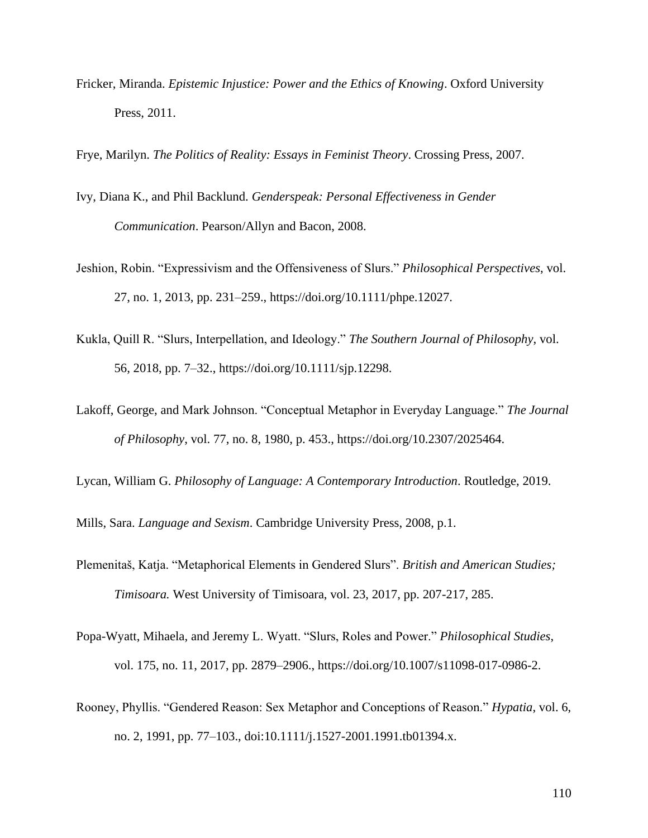Fricker, Miranda. *Epistemic Injustice: Power and the Ethics of Knowing*. Oxford University Press, 2011.

Frye, Marilyn. *The Politics of Reality: Essays in Feminist Theory*. Crossing Press, 2007.

- Ivy, Diana K., and Phil Backlund. *Genderspeak: Personal Effectiveness in Gender Communication*. Pearson/Allyn and Bacon, 2008.
- Jeshion, Robin. "Expressivism and the Offensiveness of Slurs." *Philosophical Perspectives*, vol. 27, no. 1, 2013, pp. 231–259., https://doi.org/10.1111/phpe.12027.
- Kukla, Quill R. "Slurs, Interpellation, and Ideology." *The Southern Journal of Philosophy*, vol. 56, 2018, pp. 7–32., https://doi.org/10.1111/sjp.12298.
- Lakoff, George, and Mark Johnson. "Conceptual Metaphor in Everyday Language." *The Journal of Philosophy*, vol. 77, no. 8, 1980, p. 453., https://doi.org/10.2307/2025464.

Lycan, William G. *Philosophy of Language: A Contemporary Introduction*. Routledge, 2019.

Mills, Sara. *Language and Sexism*. Cambridge University Press, 2008, p.1.

- Plemenitaš, Katja. "Metaphorical Elements in Gendered Slurs". *British and American Studies; Timisoara.* West University of Timisoara, vol. 23, 2017, pp. 207-217, 285.
- Popa-Wyatt, Mihaela, and Jeremy L. Wyatt. "Slurs, Roles and Power." *Philosophical Studies*, vol. 175, no. 11, 2017, pp. 2879–2906., https://doi.org/10.1007/s11098-017-0986-2.
- Rooney, Phyllis. "Gendered Reason: Sex Metaphor and Conceptions of Reason." *Hypatia*, vol. 6, no. 2, 1991, pp. 77–103., doi:10.1111/j.1527-2001.1991.tb01394.x.